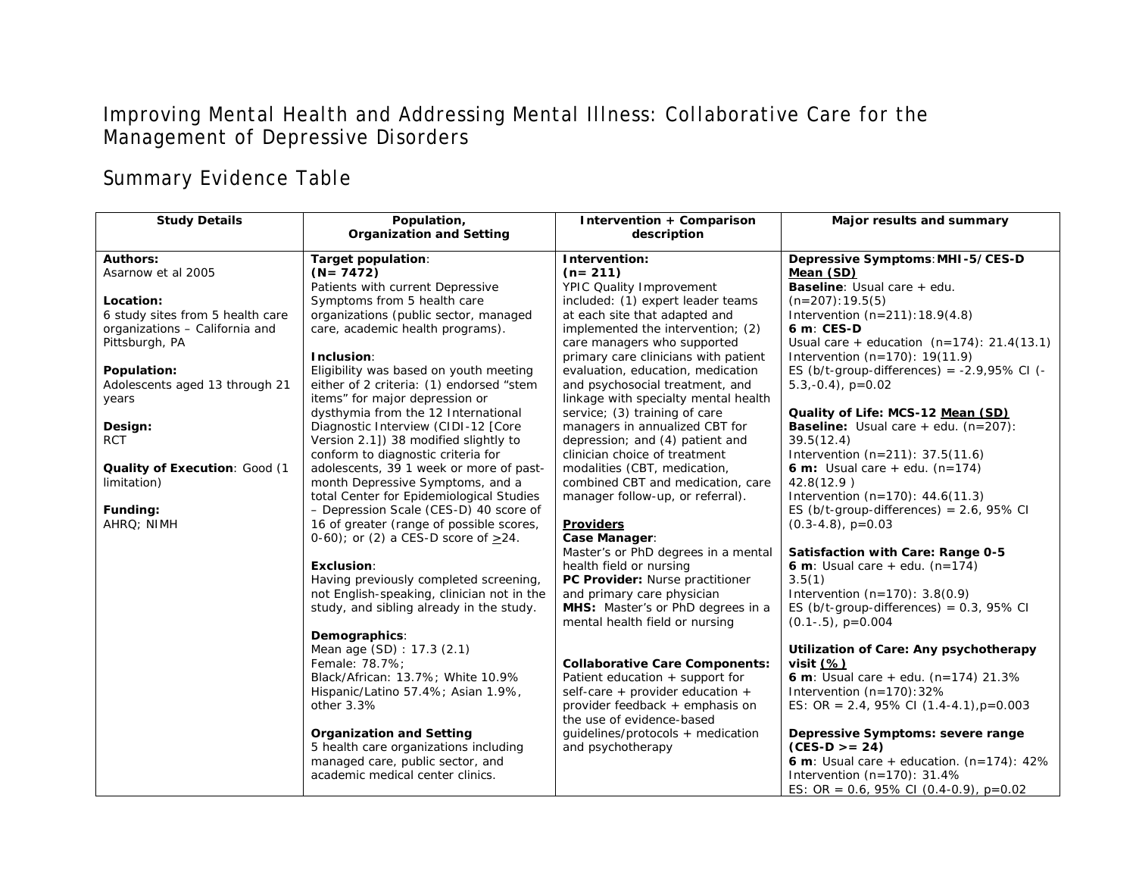# Improving Mental Health and Addressing Mental Illness: Collaborative Care for the Management of Depressive Disorders

# Summary Evidence Table

| <b>Study Details</b>             | Population,                                | Intervention + Comparison                                           | Major results and summary                                             |
|----------------------------------|--------------------------------------------|---------------------------------------------------------------------|-----------------------------------------------------------------------|
|                                  | <b>Organization and Setting</b>            | description                                                         |                                                                       |
| <b>Authors:</b>                  | Target population:                         | Intervention:                                                       | Depressive Symptoms: MHI-5/CES-D                                      |
| Asarnow et al 2005               | $(N = 7472)$                               | $(n=211)$                                                           | Mean (SD)                                                             |
|                                  | Patients with current Depressive           | <b>YPIC Quality Improvement</b>                                     | <b>Baseline:</b> Usual care + edu.                                    |
| Location:                        | Symptoms from 5 health care                | included: (1) expert leader teams                                   | $(n=207): 19.5(5)$                                                    |
| 6 study sites from 5 health care | organizations (public sector, managed      | at each site that adapted and                                       | Intervention $(n=211): 18.9(4.8)$                                     |
| organizations - California and   | care, academic health programs).           | implemented the intervention; (2)                                   | 6 m: CES-D                                                            |
| Pittsburgh, PA                   |                                            | care managers who supported                                         | Usual care + education $(n=174)$ : 21.4(13.1)                         |
|                                  | Inclusion:                                 | primary care clinicians with patient                                | Intervention $(n=170)$ : 19(11.9)                                     |
| Population:                      | Eligibility was based on youth meeting     | evaluation, education, medication                                   | ES (b/t-group-differences) = $-2.9,95\%$ CI (-                        |
| Adolescents aged 13 through 21   | either of 2 criteria: (1) endorsed "stem   | and psychosocial treatment, and                                     | $5.3,-0.4$ , $p=0.02$                                                 |
| years                            | items" for major depression or             | linkage with specialty mental health                                |                                                                       |
|                                  | dysthymia from the 12 International        | service; (3) training of care                                       | Quality of Life: MCS-12 Mean (SD)                                     |
| Design:                          | Diagnostic Interview (CIDI-12 [Core        | managers in annualized CBT for                                      | <b>Baseline:</b> Usual care $+$ edu. (n=207):                         |
| <b>RCT</b>                       | Version 2.1]) 38 modified slightly to      | depression; and (4) patient and                                     | 39.5(12.4)                                                            |
|                                  | conform to diagnostic criteria for         | clinician choice of treatment                                       | Intervention $(n=211)$ : 37.5(11.6)                                   |
| Quality of Execution: Good (1    | adolescents, 39 1 week or more of past-    | modalities (CBT, medication,                                        | <b>6 m:</b> Usual care $+$ edu. (n=174)                               |
| limitation)                      | month Depressive Symptoms, and a           | combined CBT and medication, care                                   | 42.8(12.9)                                                            |
|                                  | total Center for Epidemiological Studies   | manager follow-up, or referral).                                    | Intervention $(n=170)$ : 44.6(11.3)                                   |
| Funding:                         | - Depression Scale (CES-D) 40 score of     |                                                                     | ES (b/t-group-differences) = $2.6$ , $95\%$ CI                        |
| AHRQ; NIMH                       | 16 of greater (range of possible scores,   | <b>Providers</b>                                                    | $(0.3-4.8)$ , $p=0.03$                                                |
|                                  | $0-60$ ; or (2) a CES-D score of $>24$ .   | Case Manager:                                                       |                                                                       |
|                                  |                                            | Master's or PhD degrees in a mental                                 | Satisfaction with Care: Range 0-5                                     |
|                                  | Exclusion:                                 | health field or nursing                                             | <b>6 m</b> : Usual care + edu. $(n=174)$                              |
|                                  | Having previously completed screening,     | PC Provider: Nurse practitioner                                     | 3.5(1)                                                                |
|                                  | not English-speaking, clinician not in the | and primary care physician                                          | Intervention $(n=170)$ : 3.8(0.9)                                     |
|                                  | study, and sibling already in the study.   | MHS: Master's or PhD degrees in a<br>mental health field or nursing | ES (b/t-group-differences) = $0.3$ , 95% CI<br>$(0.1-.5)$ , $p=0.004$ |
|                                  | Demographics:                              |                                                                     |                                                                       |
|                                  | Mean age (SD): 17.3 (2.1)                  |                                                                     | Utilization of Care: Any psychotherapy                                |
|                                  | Female: 78.7%;                             | <b>Collaborative Care Components:</b>                               | visit $(%)$                                                           |
|                                  | Black/African: 13.7%; White 10.9%          | Patient education + support for                                     | 6 m: Usual care + edu. $(n=174)$ 21.3%                                |
|                                  | Hispanic/Latino 57.4%; Asian 1.9%,         | self-care + provider education +                                    | Intervention $(n=170)$ : 32%                                          |
|                                  | other 3.3%                                 | provider feedback + emphasis on                                     | ES: OR = 2.4, 95% CI $(1.4-4.1)$ , p=0.003                            |
|                                  |                                            | the use of evidence-based                                           |                                                                       |
|                                  | <b>Organization and Setting</b>            | guidelines/protocols + medication                                   | Depressive Symptoms: severe range                                     |
|                                  | 5 health care organizations including      | and psychotherapy                                                   | $(CES-D >= 24)$                                                       |
|                                  | managed care, public sector, and           |                                                                     | 6 m: Usual care + education. $(n=174)$ : 42%                          |
|                                  | academic medical center clinics.           |                                                                     | Intervention $(n=170)$ : 31.4%                                        |
|                                  |                                            |                                                                     | ES: OR = 0.6, 95% CI (0.4-0.9), p=0.02                                |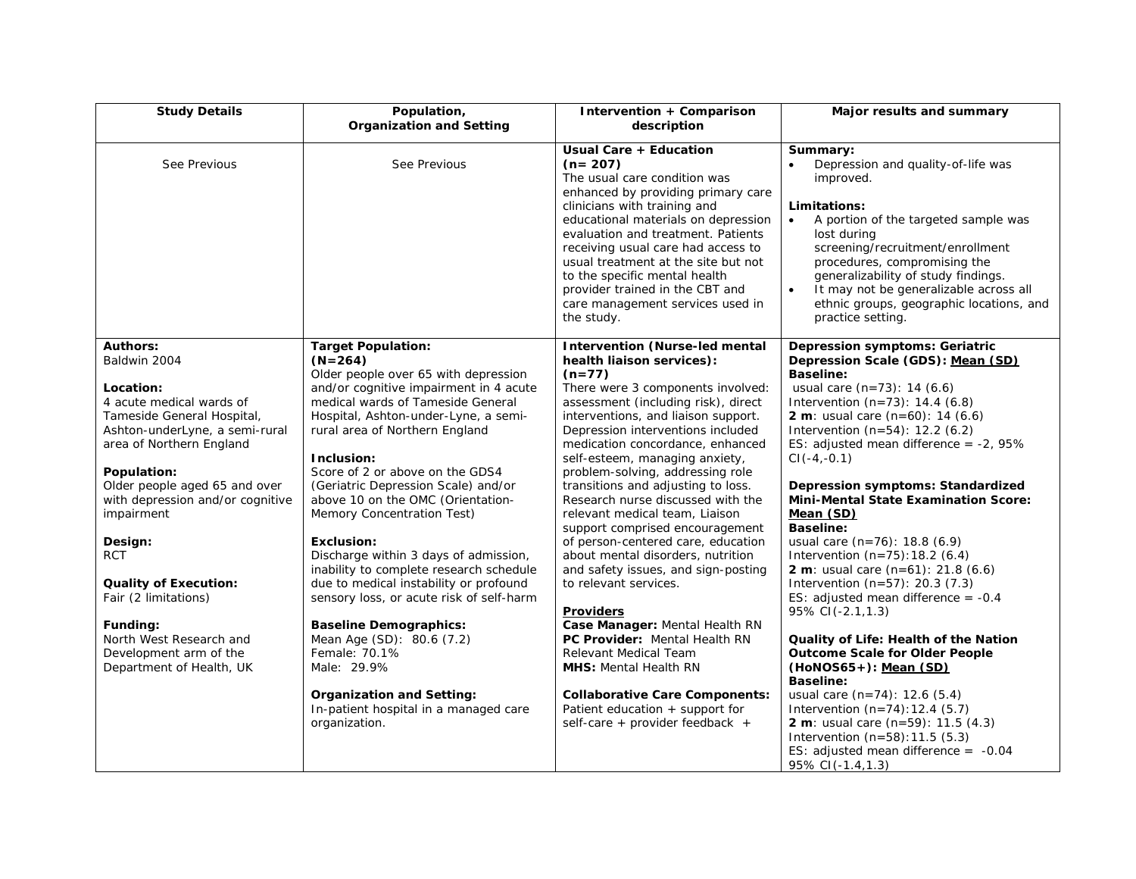| <b>Study Details</b>                                                                                                                                                                                                                                                                                                                                                                           | Population,<br><b>Organization and Setting</b>                                                                                                                                                                                                                                                                                                                                                                                                                                                                                                                                                                                                                  | Intervention + Comparison<br>description                                                                                                                                                                                                                                                                                                                                                                                                                                                                                                                                                                                                                                                                                    | Major results and summary                                                                                                                                                                                                                                                                                                                                                                                                                                                                                                                                                                                                                                                                                                |
|------------------------------------------------------------------------------------------------------------------------------------------------------------------------------------------------------------------------------------------------------------------------------------------------------------------------------------------------------------------------------------------------|-----------------------------------------------------------------------------------------------------------------------------------------------------------------------------------------------------------------------------------------------------------------------------------------------------------------------------------------------------------------------------------------------------------------------------------------------------------------------------------------------------------------------------------------------------------------------------------------------------------------------------------------------------------------|-----------------------------------------------------------------------------------------------------------------------------------------------------------------------------------------------------------------------------------------------------------------------------------------------------------------------------------------------------------------------------------------------------------------------------------------------------------------------------------------------------------------------------------------------------------------------------------------------------------------------------------------------------------------------------------------------------------------------------|--------------------------------------------------------------------------------------------------------------------------------------------------------------------------------------------------------------------------------------------------------------------------------------------------------------------------------------------------------------------------------------------------------------------------------------------------------------------------------------------------------------------------------------------------------------------------------------------------------------------------------------------------------------------------------------------------------------------------|
| See Previous                                                                                                                                                                                                                                                                                                                                                                                   | See Previous                                                                                                                                                                                                                                                                                                                                                                                                                                                                                                                                                                                                                                                    | Usual Care + Education<br>$(n=207)$<br>The usual care condition was<br>enhanced by providing primary care<br>clinicians with training and<br>educational materials on depression<br>evaluation and treatment. Patients<br>receiving usual care had access to<br>usual treatment at the site but not<br>to the specific mental health<br>provider trained in the CBT and<br>care management services used in<br>the study.                                                                                                                                                                                                                                                                                                   | Summary:<br>Depression and quality-of-life was<br>improved.<br>Limitations:<br>A portion of the targeted sample was<br>$\bullet$<br>lost during<br>screening/recruitment/enrollment<br>procedures, compromising the<br>generalizability of study findings.<br>It may not be generalizable across all<br>$\bullet$<br>ethnic groups, geographic locations, and<br>practice setting.                                                                                                                                                                                                                                                                                                                                       |
| <b>Authors:</b><br>Baldwin 2004<br>Location:<br>4 acute medical wards of<br>Tameside General Hospital,<br>Ashton-underLyne, a semi-rural<br>area of Northern England<br>Population:<br>Older people aged 65 and over<br>with depression and/or cognitive<br>impairment<br>Design:<br><b>RCT</b><br><b>Quality of Execution:</b><br>Fair (2 limitations)<br>Funding:<br>North West Research and | <b>Target Population:</b><br>$(N=264)$<br>Older people over 65 with depression<br>and/or cognitive impairment in 4 acute<br>medical wards of Tameside General<br>Hospital, Ashton-under-Lyne, a semi-<br>rural area of Northern England<br>Inclusion:<br>Score of 2 or above on the GDS4<br>(Geriatric Depression Scale) and/or<br>above 10 on the OMC (Orientation-<br>Memory Concentration Test)<br><b>Exclusion:</b><br>Discharge within 3 days of admission,<br>inability to complete research schedule<br>due to medical instability or profound<br>sensory loss, or acute risk of self-harm<br><b>Baseline Demographics:</b><br>Mean Age (SD): 80.6 (7.2) | <b>Intervention (Nurse-led mental</b><br>health liaison services):<br>$(n=77)$<br>There were 3 components involved:<br>assessment (including risk), direct<br>interventions, and liaison support.<br>Depression interventions included<br>medication concordance, enhanced<br>self-esteem, managing anxiety,<br>problem-solving, addressing role<br>transitions and adjusting to loss.<br>Research nurse discussed with the<br>relevant medical team, Liaison<br>support comprised encouragement<br>of person-centered care, education<br>about mental disorders, nutrition<br>and safety issues, and sign-posting<br>to relevant services.<br>Providers<br>Case Manager: Mental Health RN<br>PC Provider: Mental Health RN | <b>Depression symptoms: Geriatric</b><br>Depression Scale (GDS): Mean (SD)<br><b>Baseline:</b><br>usual care $(n=73)$ : 14 $(6.6)$<br>Intervention $(n=73)$ : 14.4 (6.8)<br><b>2 m</b> : usual care $(n=60)$ : 14 $(6.6)$<br>Intervention $(n=54)$ : 12.2 (6.2)<br>ES: adjusted mean difference = $-2$ , 95%<br>$CI(-4,-0.1)$<br>Depression symptoms: Standardized<br><b>Mini-Mental State Examination Score:</b><br>Mean (SD)<br><b>Baseline:</b><br>usual care (n=76): 18.8 (6.9)<br>Intervention $(n=75)$ : 18.2 (6.4)<br><b>2 m</b> : usual care $(n=61)$ : 21.8 $(6.6)$<br>Intervention $(n=57)$ : 20.3 (7.3)<br>ES: adjusted mean difference = $-0.4$<br>95% CI(-2.1,1.3)<br>Quality of Life: Health of the Nation |
| Development arm of the<br>Department of Health, UK                                                                                                                                                                                                                                                                                                                                             | Female: 70.1%<br>Male: 29.9%<br><b>Organization and Setting:</b><br>In-patient hospital in a managed care<br>organization.                                                                                                                                                                                                                                                                                                                                                                                                                                                                                                                                      | Relevant Medical Team<br><b>MHS:</b> Mental Health RN<br><b>Collaborative Care Components:</b><br>Patient education + support for<br>self-care + provider feedback +                                                                                                                                                                                                                                                                                                                                                                                                                                                                                                                                                        | <b>Outcome Scale for Older People</b><br>$(HoNOS65+)$ : Mean $(SD)$<br><b>Baseline:</b><br>usual care $(n=74)$ : 12.6 $(5.4)$<br>Intervention $(n=74):12.4(5.7)$<br><b>2 m</b> : usual care $(n=59)$ : 11.5 $(4.3)$<br>Intervention $(n=58):11.5(5.3)$<br>ES: adjusted mean difference = $-0.04$<br>95% CI(-1.4, 1.3)                                                                                                                                                                                                                                                                                                                                                                                                    |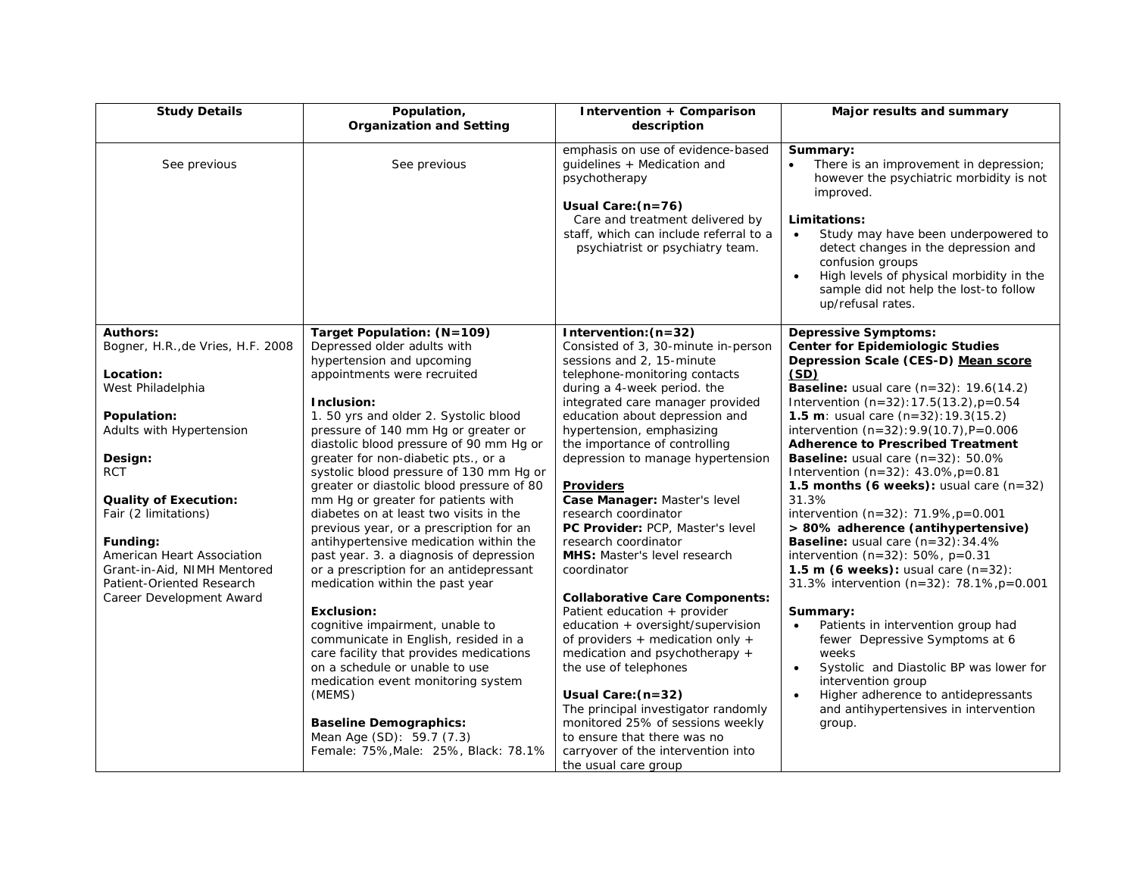| <b>Study Details</b>                                                                               | Population,<br><b>Organization and Setting</b>                                                                                                                            | Intervention + Comparison<br>description                                                                                                                                                                                 | Major results and summary                                                                                                                                                                                                                                                                                                                                           |
|----------------------------------------------------------------------------------------------------|---------------------------------------------------------------------------------------------------------------------------------------------------------------------------|--------------------------------------------------------------------------------------------------------------------------------------------------------------------------------------------------------------------------|---------------------------------------------------------------------------------------------------------------------------------------------------------------------------------------------------------------------------------------------------------------------------------------------------------------------------------------------------------------------|
| See previous                                                                                       | See previous                                                                                                                                                              | emphasis on use of evidence-based<br>guidelines + Medication and<br>psychotherapy<br>Usual Care: (n=76)<br>Care and treatment delivered by<br>staff, which can include referral to a<br>psychiatrist or psychiatry team. | Summary:<br>There is an improvement in depression;<br>however the psychiatric morbidity is not<br>improved.<br>Limitations:<br>Study may have been underpowered to<br>$\bullet$<br>detect changes in the depression and<br>confusion groups<br>High levels of physical morbidity in the<br>$\bullet$<br>sample did not help the lost-to follow<br>up/refusal rates. |
| <b>Authors:</b><br>Bogner, H.R., de Vries, H.F. 2008                                               | Target Population: (N=109)<br>Depressed older adults with<br>hypertension and upcoming                                                                                    | Intervention: $(n=32)$<br>Consisted of 3, 30-minute in-person<br>sessions and 2, 15-minute                                                                                                                               | <b>Depressive Symptoms:</b><br><b>Center for Epidemiologic Studies</b><br>Depression Scale (CES-D) Mean score                                                                                                                                                                                                                                                       |
| Location:<br>West Philadelphia                                                                     | appointments were recruited<br>Inclusion:                                                                                                                                 | telephone-monitoring contacts<br>during a 4-week period. the<br>integrated care manager provided                                                                                                                         | (SD)<br><b>Baseline:</b> usual care $(n=32)$ : 19.6(14.2)<br>Intervention $(n=32): 17.5(13.2)$ , $p=0.54$                                                                                                                                                                                                                                                           |
| Population:<br>Adults with Hypertension                                                            | 1.50 yrs and older 2. Systolic blood<br>pressure of 140 mm Hg or greater or<br>diastolic blood pressure of 90 mm Hg or                                                    | education about depression and<br>hypertension, emphasizing<br>the importance of controlling                                                                                                                             | 1.5 m: usual care $(n=32): 19.3(15.2)$<br>intervention $(n=32): 9.9(10.7)$ , P=0.006<br><b>Adherence to Prescribed Treatment</b>                                                                                                                                                                                                                                    |
| Design:<br><b>RCT</b>                                                                              | greater for non-diabetic pts., or a<br>systolic blood pressure of 130 mm Hg or<br>greater or diastolic blood pressure of 80                                               | depression to manage hypertension<br><b>Providers</b>                                                                                                                                                                    | <b>Baseline:</b> usual care $(n=32)$ : 50.0%<br>Intervention $(n=32)$ : 43.0%, $p=0.81$<br>1.5 months (6 weeks): usual care $(n=32)$                                                                                                                                                                                                                                |
| <b>Quality of Execution:</b><br>Fair (2 limitations)                                               | mm Hg or greater for patients with<br>diabetes on at least two visits in the<br>previous year, or a prescription for an                                                   | Case Manager: Master's level<br>research coordinator<br>PC Provider: PCP, Master's level                                                                                                                                 | 31.3%<br>intervention $(n=32)$ : 71.9%, $p=0.001$<br>> 80% adherence (antihypertensive)                                                                                                                                                                                                                                                                             |
| Funding:<br>American Heart Association<br>Grant-in-Aid, NIMH Mentored<br>Patient-Oriented Research | antihypertensive medication within the<br>past year. 3. a diagnosis of depression<br>or a prescription for an antidepressant<br>medication within the past year           | research coordinator<br>MHS: Master's level research<br>coordinator                                                                                                                                                      | Baseline: usual care (n=32): 34.4%<br>intervention ( $n=32$ ): 50%, $p=0.31$<br>1.5 m (6 weeks): usual care $(n=32)$ :<br>31.3% intervention (n=32): 78.1%, p=0.001                                                                                                                                                                                                 |
| Career Development Award                                                                           | <b>Exclusion:</b><br>cognitive impairment, unable to<br>communicate in English, resided in a<br>care facility that provides medications<br>on a schedule or unable to use | <b>Collaborative Care Components:</b><br>Patient education + provider<br>education + oversight/supervision<br>of providers + medication only +<br>medication and psychotherapy +<br>the use of telephones                | Summary:<br>Patients in intervention group had<br>fewer Depressive Symptoms at 6<br>weeks<br>Systolic and Diastolic BP was lower for<br>$\bullet$                                                                                                                                                                                                                   |
|                                                                                                    | medication event monitoring system<br>(MEMS)<br><b>Baseline Demographics:</b><br>Mean Age (SD): 59.7 (7.3)<br>Female: 75%, Male: 25%, Black: 78.1%                        | Usual Care: (n=32)<br>The principal investigator randomly<br>monitored 25% of sessions weekly<br>to ensure that there was no<br>carryover of the intervention into<br>the usual care group                               | intervention group<br>Higher adherence to antidepressants<br>$\bullet$<br>and antihypertensives in intervention<br>group.                                                                                                                                                                                                                                           |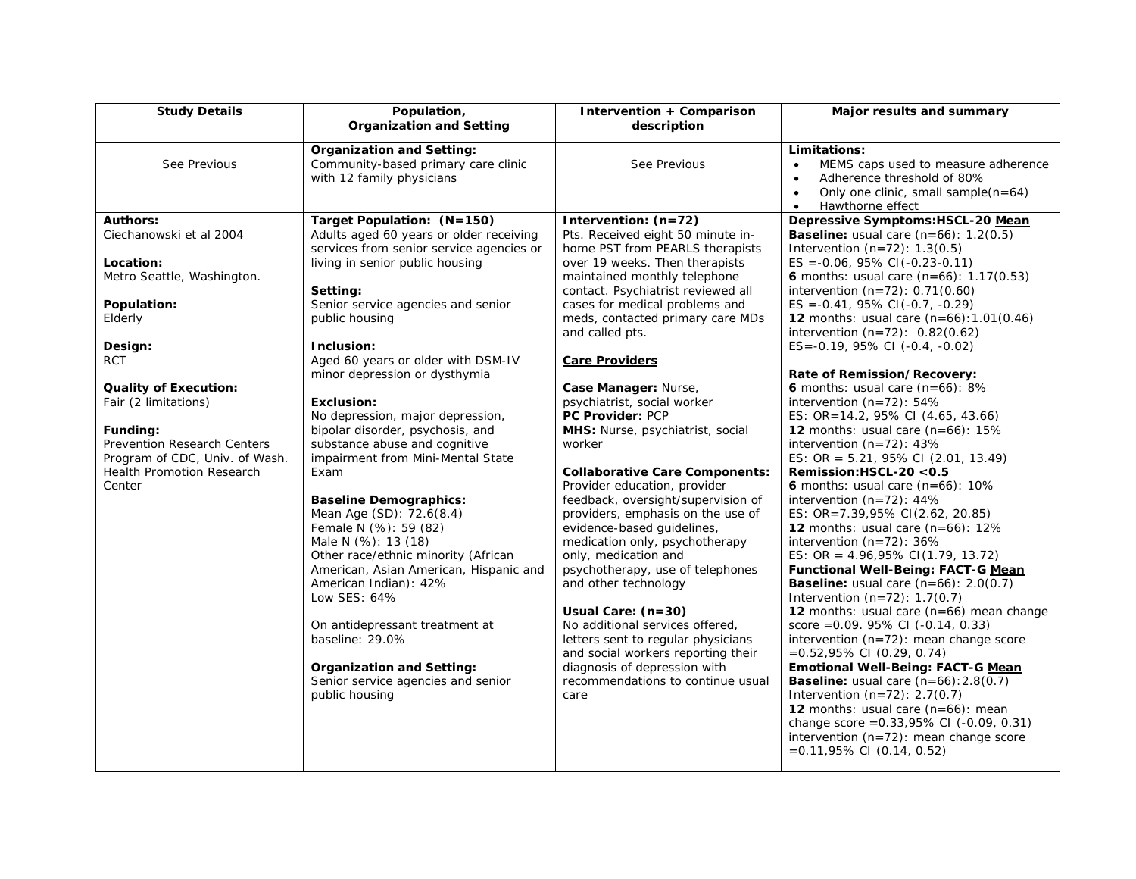| <b>Study Details</b>                                                                                                                                                                                                                                                                                                 | Population,<br><b>Organization and Setting</b>                                                                                                                                                                                                                                                                                                                                                                                                                                                                                                                                                                                                                                                                                                                                                                                                                                   | Intervention + Comparison<br>description                                                                                                                                                                                                                                                                                                                                                                                                                                                                                                                                                                                                                                                                                                                                                                                                                                                                                                                                           | Major results and summary                                                                                                                                                                                                                                                                                                                                                                                                                                                                                                                                                                                                                                                                                                                                                                                                                                                                                                                                                                                                                                                                                                                                                                                                                                                                                                                                                                                                                                     |
|----------------------------------------------------------------------------------------------------------------------------------------------------------------------------------------------------------------------------------------------------------------------------------------------------------------------|----------------------------------------------------------------------------------------------------------------------------------------------------------------------------------------------------------------------------------------------------------------------------------------------------------------------------------------------------------------------------------------------------------------------------------------------------------------------------------------------------------------------------------------------------------------------------------------------------------------------------------------------------------------------------------------------------------------------------------------------------------------------------------------------------------------------------------------------------------------------------------|------------------------------------------------------------------------------------------------------------------------------------------------------------------------------------------------------------------------------------------------------------------------------------------------------------------------------------------------------------------------------------------------------------------------------------------------------------------------------------------------------------------------------------------------------------------------------------------------------------------------------------------------------------------------------------------------------------------------------------------------------------------------------------------------------------------------------------------------------------------------------------------------------------------------------------------------------------------------------------|---------------------------------------------------------------------------------------------------------------------------------------------------------------------------------------------------------------------------------------------------------------------------------------------------------------------------------------------------------------------------------------------------------------------------------------------------------------------------------------------------------------------------------------------------------------------------------------------------------------------------------------------------------------------------------------------------------------------------------------------------------------------------------------------------------------------------------------------------------------------------------------------------------------------------------------------------------------------------------------------------------------------------------------------------------------------------------------------------------------------------------------------------------------------------------------------------------------------------------------------------------------------------------------------------------------------------------------------------------------------------------------------------------------------------------------------------------------|
| See Previous                                                                                                                                                                                                                                                                                                         | <b>Organization and Setting:</b><br>Community-based primary care clinic<br>with 12 family physicians                                                                                                                                                                                                                                                                                                                                                                                                                                                                                                                                                                                                                                                                                                                                                                             | See Previous                                                                                                                                                                                                                                                                                                                                                                                                                                                                                                                                                                                                                                                                                                                                                                                                                                                                                                                                                                       | Limitations:<br>MEMS caps used to measure adherence<br>$\bullet$<br>Adherence threshold of 80%<br>$\bullet$<br>Only one clinic, small sample(n=64)<br>$\bullet$<br>Hawthorne effect<br>$\bullet$                                                                                                                                                                                                                                                                                                                                                                                                                                                                                                                                                                                                                                                                                                                                                                                                                                                                                                                                                                                                                                                                                                                                                                                                                                                              |
| Authors:<br>Ciechanowski et al 2004<br>Location:<br>Metro Seattle, Washington.<br>Population:<br>Elderly<br>Design:<br><b>RCT</b><br><b>Quality of Execution:</b><br>Fair (2 limitations)<br>Funding:<br>Prevention Research Centers<br>Program of CDC, Univ. of Wash.<br><b>Health Promotion Research</b><br>Center | Target Population: (N=150)<br>Adults aged 60 years or older receiving<br>services from senior service agencies or<br>living in senior public housing<br>Setting:<br>Senior service agencies and senior<br>public housing<br>Inclusion:<br>Aged 60 years or older with DSM-IV<br>minor depression or dysthymia<br><b>Exclusion:</b><br>No depression, major depression,<br>bipolar disorder, psychosis, and<br>substance abuse and cognitive<br>impairment from Mini-Mental State<br>Exam<br><b>Baseline Demographics:</b><br>Mean Age (SD): 72.6(8.4)<br>Female N (%): 59 (82)<br>Male N (%): 13 (18)<br>Other race/ethnic minority (African<br>American, Asian American, Hispanic and<br>American Indian): 42%<br>Low SES: 64%<br>On antidepressant treatment at<br>baseline: 29.0%<br><b>Organization and Setting:</b><br>Senior service agencies and senior<br>public housing | Intervention: $(n=72)$<br>Pts. Received eight 50 minute in-<br>home PST from PEARLS therapists<br>over 19 weeks. Then therapists<br>maintained monthly telephone<br>contact. Psychiatrist reviewed all<br>cases for medical problems and<br>meds, contacted primary care MDs<br>and called pts.<br><b>Care Providers</b><br>Case Manager: Nurse,<br>psychiatrist, social worker<br><b>PC Provider: PCP</b><br>MHS: Nurse, psychiatrist, social<br>worker<br><b>Collaborative Care Components:</b><br>Provider education, provider<br>feedback, oversight/supervision of<br>providers, emphasis on the use of<br>evidence-based guidelines,<br>medication only, psychotherapy<br>only, medication and<br>psychotherapy, use of telephones<br>and other technology<br>Usual Care: (n=30)<br>No additional services offered,<br>letters sent to regular physicians<br>and social workers reporting their<br>diagnosis of depression with<br>recommendations to continue usual<br>care | Depressive Symptoms:HSCL-20 Mean<br><b>Baseline:</b> usual care $(n=66)$ : 1.2(0.5)<br>Intervention $(n=72)$ : 1.3(0.5)<br>$ES = -0.06$ , 95% CI( $-0.23 - 0.11$ )<br><b>6</b> months: usual care $(n=66)$ : 1.17 $(0.53)$<br>intervention $(n=72)$ : 0.71 $(0.60)$<br>$ES = -0.41, 95\% CI(-0.7, -0.29)$<br><b>12</b> months: usual care $(n=66):1.01(0.46)$<br>intervention $(n=72)$ : 0.82(0.62)<br>$ES = -0.19, 95\% CI (-0.4, -0.02)$<br>Rate of Remission/Recovery:<br>6 months: usual care $(n=66)$ : 8%<br>intervention $(n=72)$ : 54%<br>ES: OR=14.2, 95% CI (4.65, 43.66)<br>12 months: usual care $(n=66)$ : 15%<br>intervention $(n=72)$ : 43%<br>ES: OR = $5.21$ , 95% CI (2.01, 13.49)<br>Remission: $HSCL-20 < 0.5$<br>6 months: usual care $(n=66)$ : 10%<br>intervention $(n=72)$ : 44%<br>ES: OR=7.39,95% CI(2.62, 20.85)<br><b>12</b> months: usual care $(n=66)$ : 12%<br>intervention $(n=72)$ : 36%<br>ES: OR = $4.96,95\%$ CI(1.79, 13.72)<br><b>Functional Well-Being: FACT-G Mean</b><br><b>Baseline:</b> usual care $(n=66)$ : 2.0(0.7)<br>Intervention $(n=72)$ : 1.7(0.7)<br>12 months: usual care (n=66) mean change<br>score = $0.09.95\%$ CI ( $-0.14, 0.33$ )<br>intervention $(n=72)$ : mean change score<br>$=0.52,95\%$ CI (0.29, 0.74)<br><b>Emotional Well-Being: FACT-G Mean</b><br><b>Baseline:</b> usual care $(n=66)$ : 2.8(0.7)<br>Intervention $(n=72)$ : 2.7(0.7)<br><b>12</b> months: usual care $(n=66)$ : mean |
|                                                                                                                                                                                                                                                                                                                      |                                                                                                                                                                                                                                                                                                                                                                                                                                                                                                                                                                                                                                                                                                                                                                                                                                                                                  |                                                                                                                                                                                                                                                                                                                                                                                                                                                                                                                                                                                                                                                                                                                                                                                                                                                                                                                                                                                    | change score = $0.33,95\%$ CI (- $0.09, 0.31$ )<br>intervention $(n=72)$ : mean change score<br>$=0.11,95\%$ CI (0.14, 0.52)                                                                                                                                                                                                                                                                                                                                                                                                                                                                                                                                                                                                                                                                                                                                                                                                                                                                                                                                                                                                                                                                                                                                                                                                                                                                                                                                  |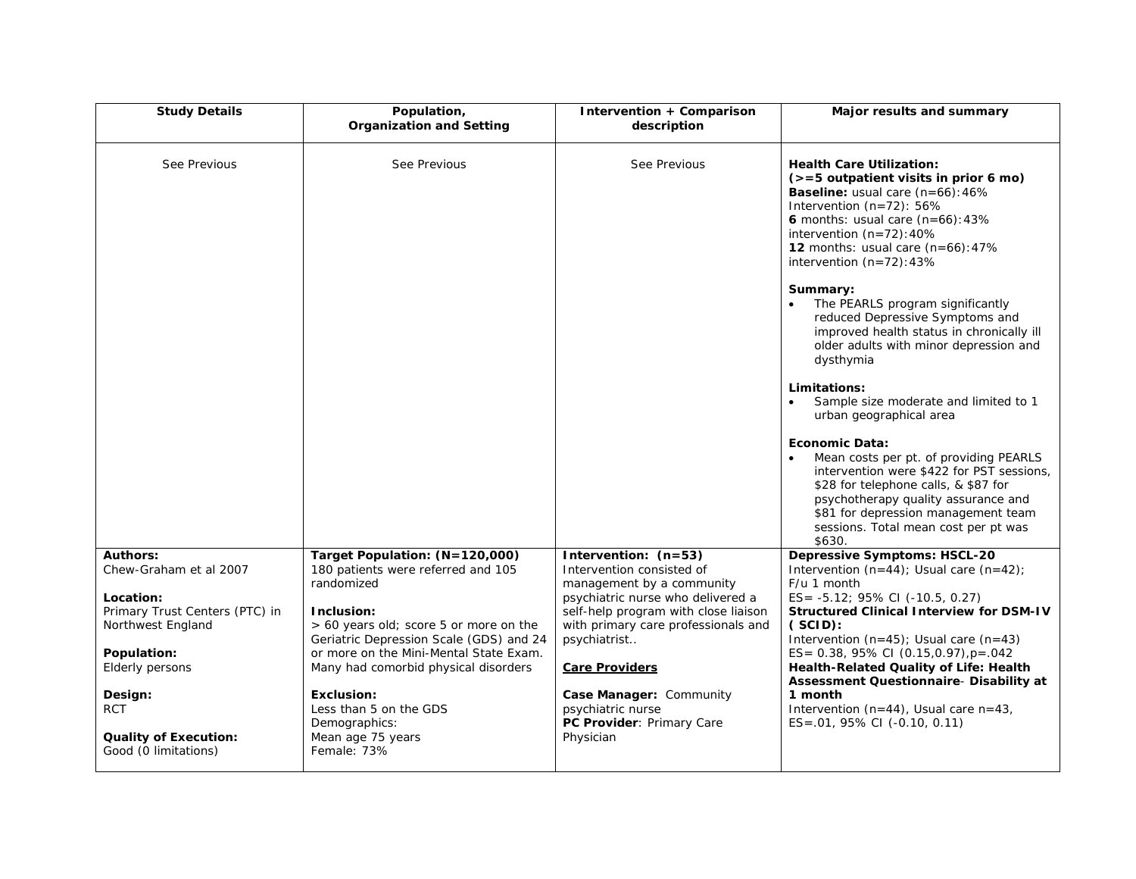| <b>Study Details</b>                                 | Population,<br><b>Organization and Setting</b>                                    | Intervention + Comparison<br>description                                  | Major results and summary                                                                                                                                                                                                                                                                    |
|------------------------------------------------------|-----------------------------------------------------------------------------------|---------------------------------------------------------------------------|----------------------------------------------------------------------------------------------------------------------------------------------------------------------------------------------------------------------------------------------------------------------------------------------|
| See Previous                                         | See Previous                                                                      | See Previous                                                              | <b>Health Care Utilization:</b><br>$(>=5$ outpatient visits in prior 6 mo)<br><b>Baseline:</b> usual care $(n=66):46\%$<br>Intervention (n=72): 56%<br>6 months: usual care $(n=66)$ : 43%<br>intervention $(n=72):40\%$<br>12 months: usual care $(n=66):47\%$<br>intervention $(n=72):43%$ |
|                                                      |                                                                                   |                                                                           | Summary:<br>The PEARLS program significantly<br>reduced Depressive Symptoms and<br>improved health status in chronically ill<br>older adults with minor depression and<br>dysthymia                                                                                                          |
|                                                      |                                                                                   |                                                                           | Limitations:<br>Sample size moderate and limited to 1<br>urban geographical area                                                                                                                                                                                                             |
|                                                      |                                                                                   |                                                                           | Economic Data:<br>Mean costs per pt. of providing PEARLS<br>intervention were \$422 for PST sessions,<br>\$28 for telephone calls, & \$87 for<br>psychotherapy quality assurance and<br>\$81 for depression management team<br>sessions. Total mean cost per pt was<br>\$630.                |
| <b>Authors:</b><br>Chew-Graham et al 2007            | Target Population: (N=120,000)<br>180 patients were referred and 105              | Intervention: (n=53)<br>Intervention consisted of                         | <b>Depressive Symptoms: HSCL-20</b><br>Intervention $(n=44)$ ; Usual care $(n=42)$ ;                                                                                                                                                                                                         |
|                                                      | randomized                                                                        | management by a community                                                 | F/u 1 month                                                                                                                                                                                                                                                                                  |
| Location:<br>Primary Trust Centers (PTC) in          | Inclusion:                                                                        | psychiatric nurse who delivered a<br>self-help program with close liaison | ES= -5.12; 95% CI (-10.5, 0.27)<br><b>Structured Clinical Interview for DSM-IV</b>                                                                                                                                                                                                           |
| Northwest England                                    | > 60 years old; score 5 or more on the                                            | with primary care professionals and                                       | (SCID):                                                                                                                                                                                                                                                                                      |
| Population:                                          | Geriatric Depression Scale (GDS) and 24<br>or more on the Mini-Mental State Exam. | psychiatrist                                                              | Intervention $(n=45)$ ; Usual care $(n=43)$<br>ES= $0.38$ , $95\%$ CI (0.15,0.97), $p = .042$                                                                                                                                                                                                |
| Elderly persons                                      | Many had comorbid physical disorders                                              | <b>Care Providers</b>                                                     | Health-Related Quality of Life: Health<br>Assessment Questionnaire- Disability at                                                                                                                                                                                                            |
| Design:                                              | <b>Exclusion:</b>                                                                 | Case Manager: Community                                                   | 1 month                                                                                                                                                                                                                                                                                      |
| <b>RCT</b>                                           | Less than 5 on the GDS<br>Demographics:                                           | psychiatric nurse<br>PC Provider: Primary Care                            | Intervention ( $n=44$ ), Usual care $n=43$ ,<br>$ES = .01, 95\% CI (-0.10, 0.11)$                                                                                                                                                                                                            |
| <b>Quality of Execution:</b><br>Good (0 limitations) | Mean age 75 years<br>Female: 73%                                                  | Physician                                                                 |                                                                                                                                                                                                                                                                                              |
|                                                      |                                                                                   |                                                                           |                                                                                                                                                                                                                                                                                              |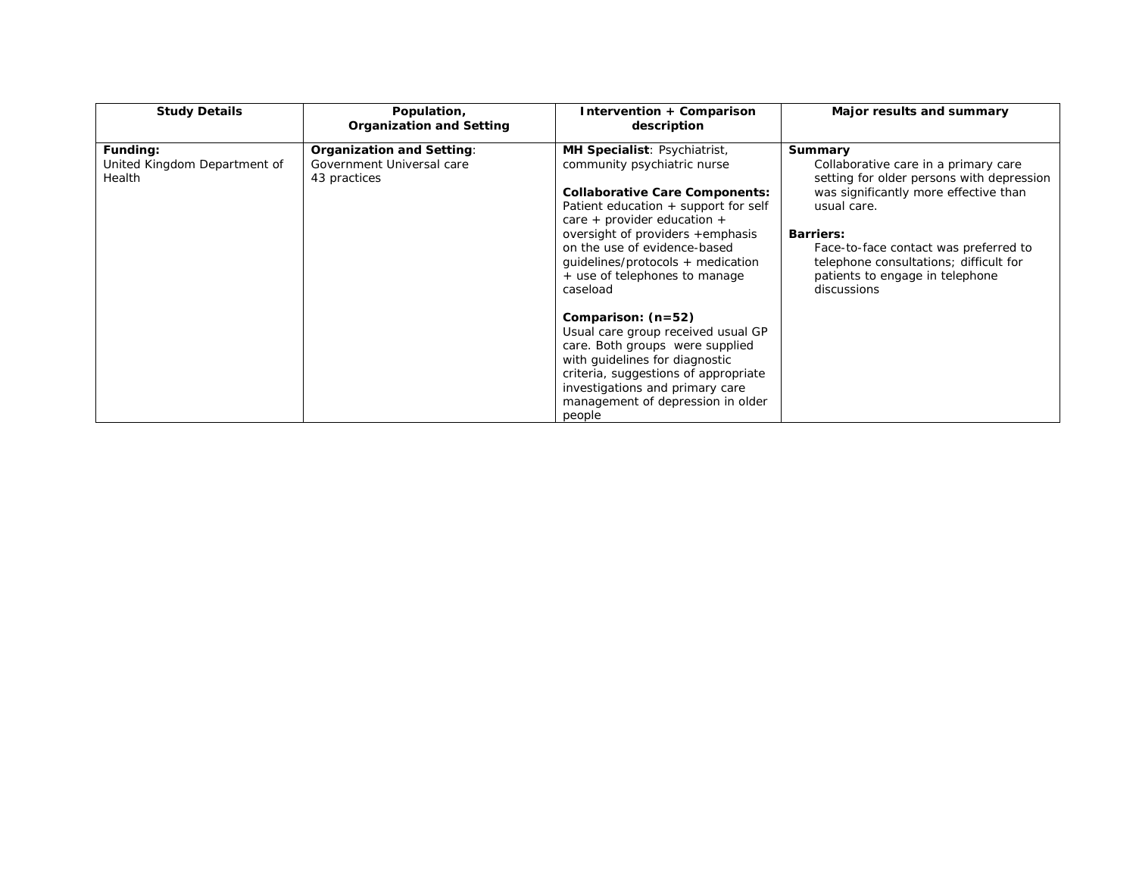| <b>Study Details</b>                               | Population,<br><b>Organization and Setting</b>                         | Intervention + Comparison<br>description                                                                                                                                                                                                                                                                                          | Major results and summary                                                                                                                                                                                                                                                                                     |
|----------------------------------------------------|------------------------------------------------------------------------|-----------------------------------------------------------------------------------------------------------------------------------------------------------------------------------------------------------------------------------------------------------------------------------------------------------------------------------|---------------------------------------------------------------------------------------------------------------------------------------------------------------------------------------------------------------------------------------------------------------------------------------------------------------|
| Funding:<br>United Kingdom Department of<br>Health | Organization and Setting:<br>Government Universal care<br>43 practices | MH Specialist: Psychiatrist,<br>community psychiatric nurse<br><b>Collaborative Care Components:</b><br>Patient education + support for self<br>care + provider education +<br>oversight of providers +emphasis<br>on the use of evidence-based<br>quidelines/protocols + medication<br>+ use of telephones to manage<br>caseload | Summary<br>Collaborative care in a primary care<br>setting for older persons with depression<br>was significantly more effective than<br>usual care.<br><b>Barriers:</b><br>Face-to-face contact was preferred to<br>telephone consultations; difficult for<br>patients to engage in telephone<br>discussions |
|                                                    |                                                                        | Comparison: $(n=52)$<br>Usual care group received usual GP<br>care. Both groups were supplied<br>with quidelines for diagnostic<br>criteria, suggestions of appropriate<br>investigations and primary care<br>management of depression in older<br>people                                                                         |                                                                                                                                                                                                                                                                                                               |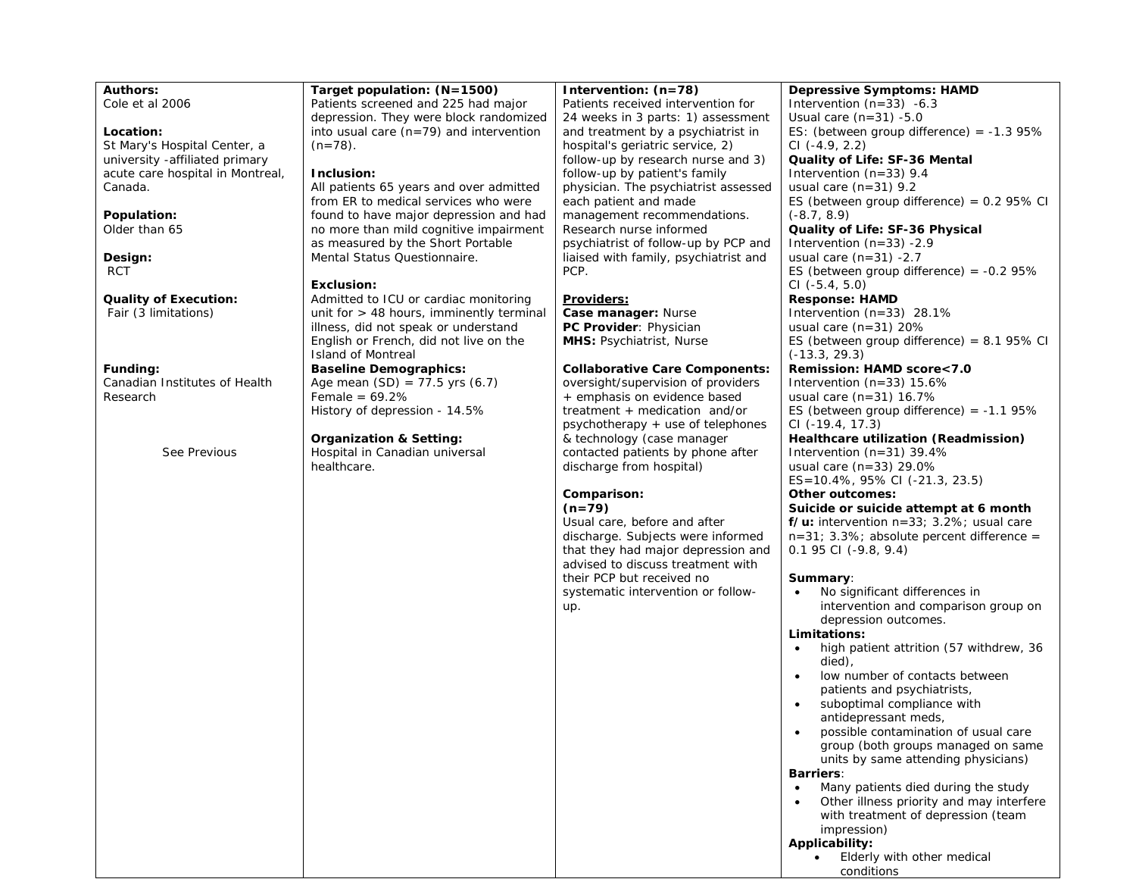| Location:<br>St Mary's Hospital Center, a<br>university -affiliated primary<br>acute care hospital in Montreal,<br>Canada.<br>Population:<br>Older than 65<br>Design:<br><b>RCT</b> | into usual care $(n=79)$ and intervention<br>$(n=78)$ .<br>Inclusion:<br>All patients 65 years and over admitted<br>from ER to medical services who were<br>found to have major depression and had<br>no more than mild cognitive impairment<br>as measured by the Short Portable<br>Mental Status Questionnaire.<br>Exclusion: | and treatment by a psychiatrist in<br>hospital's geriatric service, 2)<br>follow-up by research nurse and 3)<br>follow-up by patient's family<br>physician. The psychiatrist assessed<br>each patient and made<br>management recommendations.<br>Research nurse informed<br>psychiatrist of follow-up by PCP and<br>liaised with family, psychiatrist and<br>PCP. | ES: (between group difference) = $-1.395\%$<br>$CI$ (-4.9, 2.2)<br>Quality of Life: SF-36 Mental<br>Intervention $(n=33)$ 9.4<br>usual care $(n=31)$ 9.2<br>ES (between group difference) = $0.2$ 95% CI<br>$(-8.7, 8.9)$<br>Quality of Life: SF-36 Physical<br>Intervention $(n=33)$ -2.9<br>usual care $(n=31) -2.7$<br>ES (between group difference) = $-0.295\%$<br>$CI$ (-5.4, 5.0)                                                                                                                                                                                                                                                                                                                                                                                                                                                                                                                                                                                              |
|-------------------------------------------------------------------------------------------------------------------------------------------------------------------------------------|---------------------------------------------------------------------------------------------------------------------------------------------------------------------------------------------------------------------------------------------------------------------------------------------------------------------------------|-------------------------------------------------------------------------------------------------------------------------------------------------------------------------------------------------------------------------------------------------------------------------------------------------------------------------------------------------------------------|---------------------------------------------------------------------------------------------------------------------------------------------------------------------------------------------------------------------------------------------------------------------------------------------------------------------------------------------------------------------------------------------------------------------------------------------------------------------------------------------------------------------------------------------------------------------------------------------------------------------------------------------------------------------------------------------------------------------------------------------------------------------------------------------------------------------------------------------------------------------------------------------------------------------------------------------------------------------------------------|
| <b>Quality of Execution:</b><br>Fair (3 limitations)                                                                                                                                | Admitted to ICU or cardiac monitoring<br>unit for $>$ 48 hours, imminently terminal<br>illness, did not speak or understand<br>English or French, did not live on the<br><b>Island of Montreal</b>                                                                                                                              | <b>Providers:</b><br>Case manager: Nurse<br>PC Provider: Physician<br><b>MHS: Psychiatrist, Nurse</b>                                                                                                                                                                                                                                                             | <b>Response: HAMD</b><br>Intervention $(n=33)$ 28.1%<br>usual care $(n=31)$ 20%<br>ES (between group difference) = $8.1$ 95% CI<br>$(-13.3, 29.3)$                                                                                                                                                                                                                                                                                                                                                                                                                                                                                                                                                                                                                                                                                                                                                                                                                                    |
| Funding:<br>Canadian Institutes of Health<br>Research                                                                                                                               | <b>Baseline Demographics:</b><br>Age mean $(SD) = 77.5$ yrs $(6.7)$<br>Female = $69.2\%$<br>History of depression - 14.5%                                                                                                                                                                                                       | <b>Collaborative Care Components:</b><br>oversight/supervision of providers<br>+ emphasis on evidence based<br>treatment $+$ medication and/or<br>psychotherapy + use of telephones                                                                                                                                                                               | Remission: HAMD score<7.0<br>Intervention $(n=33)$ 15.6%<br>usual care $(n=31)$ 16.7%<br>ES (between group difference) = $-1.1$ 95%<br>CI (-19.4, 17.3)                                                                                                                                                                                                                                                                                                                                                                                                                                                                                                                                                                                                                                                                                                                                                                                                                               |
| See Previous                                                                                                                                                                        | <b>Organization &amp; Setting:</b><br>Hospital in Canadian universal<br>healthcare.                                                                                                                                                                                                                                             | & technology (case manager<br>contacted patients by phone after<br>discharge from hospital)<br>Comparison:<br>$(n=79)$<br>Usual care, before and after<br>discharge. Subjects were informed<br>that they had major depression and<br>advised to discuss treatment with<br>their PCP but received no<br>systematic intervention or follow-<br>up.                  | Healthcare utilization (Readmission)<br>Intervention $(n=31)$ 39.4%<br>usual care (n=33) 29.0%<br>$ES=10.4\%$ , 95% CI (-21.3, 23.5)<br>Other outcomes:<br>Suicide or suicide attempt at 6 month<br>$f/u$ : intervention $n=33$ ; 3.2%; usual care<br>$n=31$ ; 3.3%; absolute percent difference =<br>$0.1$ 95 CI (-9.8, 9.4)<br>Summary:<br>No significant differences in<br>intervention and comparison group on<br>depression outcomes.<br>Limitations:<br>high patient attrition (57 withdrew, 36<br>died),<br>low number of contacts between<br>patients and psychiatrists,<br>suboptimal compliance with<br>antidepressant meds,<br>possible contamination of usual care<br>group (both groups managed on same<br>units by same attending physicians)<br><b>Barriers:</b><br>Many patients died during the study<br>Other illness priority and may interfere<br>with treatment of depression (team<br>impression)<br>Applicability:<br>Elderly with other medical<br>conditions |

**Intervention: (n=78)**

Patients received intervention for 24 weeks in 3 parts: 1) assessment **Depressive Symptoms: HAMD**  Intervention (n=33) -6.3 Usual care  $(n=31)$  -5.0

**Target population: (N=1500)** Patients screened and 225 had major depression. They were block randomized

**Authors:** Cole et al 2006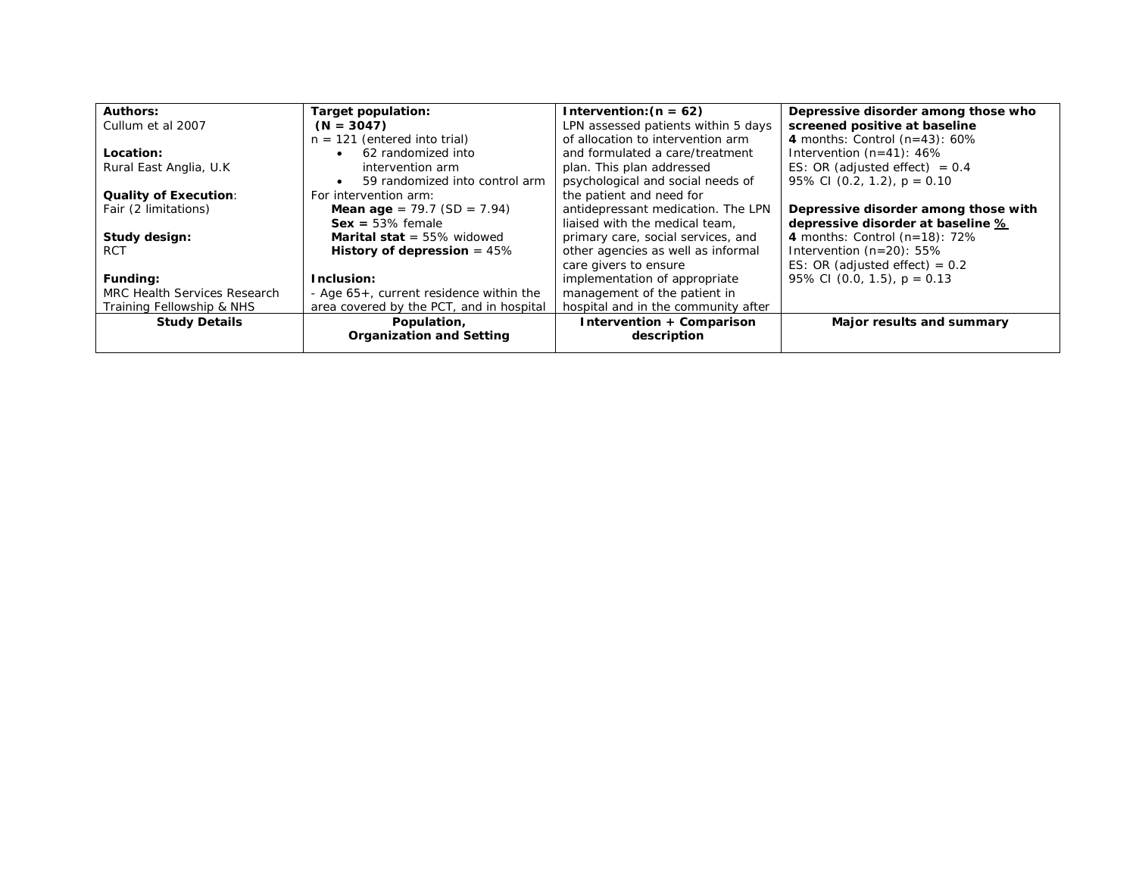| <b>Authors:</b>              | Target population:                       | Intervention: $(n = 62)$            | Depressive disorder among those who  |
|------------------------------|------------------------------------------|-------------------------------------|--------------------------------------|
| Cullum et al 2007            | $(N = 3047)$                             | LPN assessed patients within 5 days | screened positive at baseline        |
|                              | $n = 121$ (entered into trial)           | of allocation to intervention arm   | 4 months: Control $(n=43)$ : 60%     |
| Location:                    | 62 randomized into                       | and formulated a care/treatment     | Intervention $(n=41)$ : 46%          |
| Rural East Anglia, U.K.      | intervention arm                         | plan. This plan addressed           | ES: OR (adjusted effect) $= 0.4$     |
|                              | 59 randomized into control arm           | psychological and social needs of   | 95% CI (0.2, 1.2), $p = 0.10$        |
| <b>Quality of Execution:</b> | For intervention arm:                    | the patient and need for            |                                      |
| Fair (2 limitations)         | <b>Mean age</b> = $79.7$ (SD = $7.94$ )  | antidepressant medication. The LPN  | Depressive disorder among those with |
|                              | $Sex = 53\%$ female                      | liaised with the medical team.      | depressive disorder at baseline %    |
| Study design:                | <b>Marital stat</b> = $55\%$ widowed     | primary care, social services, and  | 4 months: Control $(n=18)$ : 72%     |
| <b>RCT</b>                   | History of depression $= 45\%$           | other agencies as well as informal  | Intervention $(n=20)$ : 55%          |
|                              |                                          | care givers to ensure               | ES: OR (adjusted effect) = $0.2$     |
| Funding:                     | Inclusion:                               | implementation of appropriate       | 95% CI (0.0, 1.5), $p = 0.13$        |
| MRC Health Services Research | - Age 65+, current residence within the  | management of the patient in        |                                      |
| Training Fellowship & NHS    | area covered by the PCT, and in hospital | hospital and in the community after |                                      |
| <b>Study Details</b>         | Population,                              | Intervention + Comparison           | Major results and summary            |
|                              | <b>Organization and Setting</b>          | description                         |                                      |
|                              |                                          |                                     |                                      |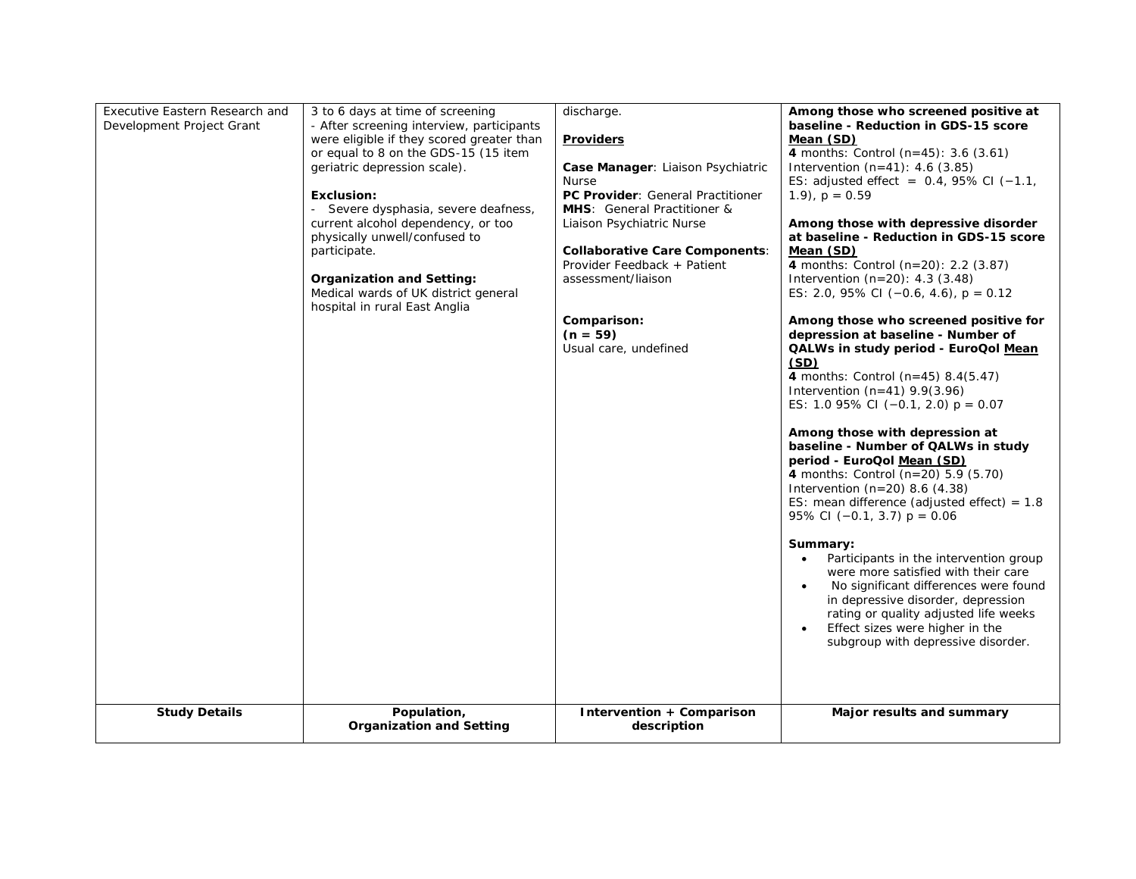| Executive Eastern Research and<br>Development Project Grant | 3 to 6 days at time of screening<br>- After screening interview, participants<br>were eligible if they scored greater than<br>or equal to 8 on the GDS-15 (15 item<br>geriatric depression scale).<br><b>Exclusion:</b><br>Severe dysphasia, severe deafness,<br>current alcohol dependency, or too<br>physically unwell/confused to<br>participate.<br><b>Organization and Setting:</b><br>Medical wards of UK district general<br>hospital in rural East Anglia | discharge.<br><b>Providers</b><br>Case Manager: Liaison Psychiatric<br><b>Nurse</b><br>PC Provider: General Practitioner<br><b>MHS:</b> General Practitioner &<br>Liaison Psychiatric Nurse<br><b>Collaborative Care Components:</b><br>Provider Feedback + Patient<br>assessment/liaison<br>Comparison: | Among those who screened positive at<br>baseline - Reduction in GDS-15 score<br>Mean (SD)<br>4 months: Control $(n=45)$ : 3.6 $(3.61)$<br>Intervention $(n=41)$ : 4.6 (3.85)<br>ES: adjusted effect = $0.4$ , 95% CI (-1.1,<br>$(1.9)$ , $p = 0.59$<br>Among those with depressive disorder<br>at baseline - Reduction in GDS-15 score<br>Mean (SD)<br>4 months: Control (n=20): 2.2 (3.87)<br>Intervention $(n=20)$ : 4.3 (3.48)<br>ES: 2.0, 95% CI $(-0.6, 4.6)$ , p = 0.12<br>Among those who screened positive for                                                                                                                                                                                                                                                                                   |
|-------------------------------------------------------------|-------------------------------------------------------------------------------------------------------------------------------------------------------------------------------------------------------------------------------------------------------------------------------------------------------------------------------------------------------------------------------------------------------------------------------------------------------------------|----------------------------------------------------------------------------------------------------------------------------------------------------------------------------------------------------------------------------------------------------------------------------------------------------------|----------------------------------------------------------------------------------------------------------------------------------------------------------------------------------------------------------------------------------------------------------------------------------------------------------------------------------------------------------------------------------------------------------------------------------------------------------------------------------------------------------------------------------------------------------------------------------------------------------------------------------------------------------------------------------------------------------------------------------------------------------------------------------------------------------|
|                                                             |                                                                                                                                                                                                                                                                                                                                                                                                                                                                   | $(n = 59)$<br>Usual care, undefined                                                                                                                                                                                                                                                                      | depression at baseline - Number of<br>QALWs in study period - EuroQol Mean<br>(SD)<br>4 months: Control ( $n=45$ ) 8.4(5.47)<br>Intervention $(n=41)$ 9.9(3.96)<br>ES: 1.0 95% CI $(-0.1, 2.0)$ p = 0.07<br>Among those with depression at<br>baseline - Number of QALWs in study<br>period - EuroQol Mean (SD)<br>4 months: Control $(n=20)$ 5.9 (5.70)<br>Intervention $(n=20)$ 8.6 $(4.38)$<br>ES: mean difference (adjusted effect) = $1.8$<br>95% CI $(-0.1, 3.7)$ p = 0.06<br>Summary:<br>Participants in the intervention group<br>$\bullet$<br>were more satisfied with their care<br>No significant differences were found<br>$\bullet$<br>in depressive disorder, depression<br>rating or quality adjusted life weeks<br>Effect sizes were higher in the<br>subgroup with depressive disorder. |
| <b>Study Details</b>                                        | Population,<br><b>Organization and Setting</b>                                                                                                                                                                                                                                                                                                                                                                                                                    | Intervention + Comparison<br>description                                                                                                                                                                                                                                                                 | Major results and summary                                                                                                                                                                                                                                                                                                                                                                                                                                                                                                                                                                                                                                                                                                                                                                                |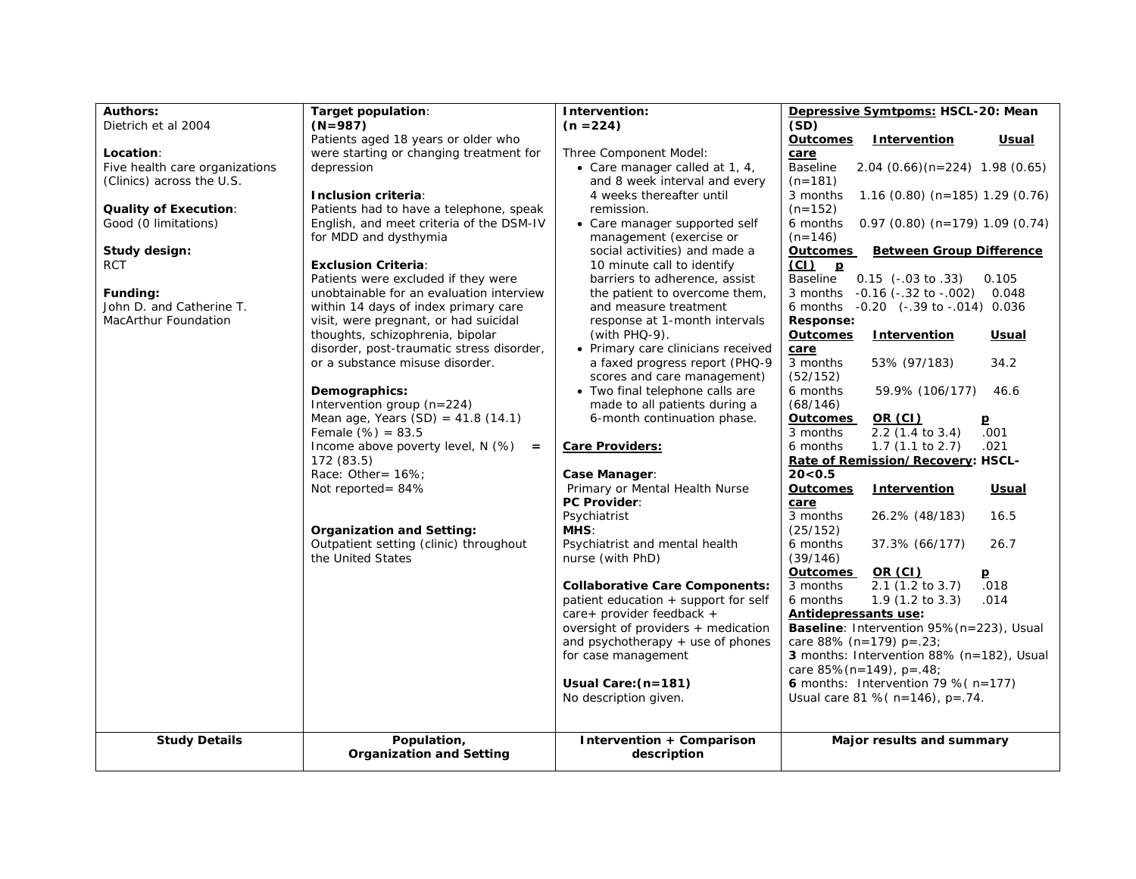| <b>Authors:</b>                | Target population:                        | Intervention:                                            | Depressive Symtpoms: HSCL-20: Mean                              |
|--------------------------------|-------------------------------------------|----------------------------------------------------------|-----------------------------------------------------------------|
| Dietrich et al 2004            | $(N=987)$                                 | $(n = 224)$                                              | (SD)                                                            |
|                                | Patients aged 18 years or older who       |                                                          | <b>Outcomes</b><br>Intervention<br><u>Usual</u>                 |
| Location:                      | were starting or changing treatment for   | Three Component Model:                                   | care                                                            |
| Five health care organizations | depression                                | • Care manager called at 1, 4,                           | <b>Baseline</b><br>$2.04$ (0.66)(n=224) 1.98 (0.65)             |
| (Clinics) across the U.S.      |                                           | and 8 week interval and every                            | $(n=181)$                                                       |
|                                | Inclusion criteria:                       | 4 weeks thereafter until                                 | $1.16$ (0.80) (n=185) 1.29 (0.76)<br>3 months                   |
| <b>Quality of Execution:</b>   | Patients had to have a telephone, speak   | remission.                                               | $(n=152)$                                                       |
| Good (0 limitations)           | English, and meet criteria of the DSM-IV  | • Care manager supported self                            | $0.97$ (0.80) (n=179) 1.09 (0.74)<br>6 months                   |
| Study design:                  | for MDD and dysthymia                     | management (exercise or<br>social activities) and made a | $(n=146)$<br><b>Outcomes</b><br><b>Between Group Difference</b> |
| <b>RCT</b>                     | <b>Exclusion Criteria:</b>                | 10 minute call to identify                               | CL<br>$\overline{p}$                                            |
|                                | Patients were excluded if they were       | barriers to adherence, assist                            | Baseline<br>$0.15$ ( $-.03$ to $.33$ )<br>0.105                 |
| Funding:                       | unobtainable for an evaluation interview  | the patient to overcome them,                            | 3 months -0.16 (-.32 to -.002)<br>0.048                         |
| John D. and Catherine T.       | within 14 days of index primary care      | and measure treatment                                    | 6 months -0.20 (-.39 to -.014) 0.036                            |
| MacArthur Foundation           | visit, were pregnant, or had suicidal     | response at 1-month intervals                            | Response:                                                       |
|                                | thoughts, schizophrenia, bipolar          | (with PHQ-9).                                            | <b>Outcomes</b><br>Intervention<br><u>Usual</u>                 |
|                                | disorder, post-traumatic stress disorder, | • Primary care clinicians received                       | care                                                            |
|                                | or a substance misuse disorder.           | a faxed progress report (PHQ-9                           | 34.2<br>3 months<br>53% (97/183)                                |
|                                |                                           | scores and care management)                              | (52/152)                                                        |
|                                | Demographics:                             | • Two final telephone calls are                          | 6 months<br>59.9% (106/177)<br>46.6                             |
|                                | Intervention group (n=224)                | made to all patients during a                            | (68/146)                                                        |
|                                | Mean age, Years $(SD) = 41.8 (14.1)$      | 6-month continuation phase.                              | OR (CI)<br>Outcomes<br>D                                        |
|                                | Female $(\%) = 83.5$                      |                                                          | $2.2$ (1.4 to 3.4)<br>.001<br>3 months                          |
|                                | Income above poverty level, N (%)<br>$=$  | <b>Care Providers:</b>                                   | 6 months<br>$1.7$ (1.1 to 2.7)<br>.021                          |
|                                | 172 (83.5)                                |                                                          | Rate of Remission/Recovery: HSCL-                               |
|                                | Race: Other= 16%;                         | Case Manager:                                            | 20 < 0.5                                                        |
|                                | Not reported= 84%                         | Primary or Mental Health Nurse                           | <b>Outcomes</b><br>Intervention<br>Usual                        |
|                                |                                           | <b>PC Provider:</b>                                      | care                                                            |
|                                |                                           | Psychiatrist                                             | 16.5<br>3 months<br>26.2% (48/183)                              |
|                                | <b>Organization and Setting:</b>          | MHS:                                                     | (25/152)                                                        |
|                                | Outpatient setting (clinic) throughout    | Psychiatrist and mental health                           | 6 months<br>37.3% (66/177)<br>26.7                              |
|                                | the United States                         | nurse (with PhD)                                         | (39/146)                                                        |
|                                |                                           |                                                          | Outcomes<br>$OR$ (CI)<br>D                                      |
|                                |                                           | <b>Collaborative Care Components:</b>                    | $2.1$ (1.2 to 3.7)<br>.018<br>3 months                          |
|                                |                                           | patient education + support for self                     | 6 months<br>$1.9$ (1.2 to 3.3)<br>.014                          |
|                                |                                           | care+ provider feedback +                                | Antidepressants use:                                            |
|                                |                                           | oversight of providers + medication                      | Baseline: Intervention 95% (n=223), Usual                       |
|                                |                                           | and psychotherapy $+$ use of phones                      | care 88% (n=179) p=.23;                                         |
|                                |                                           | for case management                                      | 3 months: Intervention 88% (n=182), Usual                       |
|                                |                                           |                                                          | care 85% (n=149), p=.48;                                        |
|                                |                                           | Usual Care: (n=181)                                      | <b>6</b> months: Intervention 79 % ( $n=177$ )                  |
|                                |                                           | No description given.                                    | Usual care 81 % ( $n=146$ ), $p=.74$ .                          |
| <b>Study Details</b>           | Population,                               | Intervention + Comparison                                | Major results and summary                                       |
|                                | <b>Organization and Setting</b>           | description                                              |                                                                 |
|                                |                                           |                                                          |                                                                 |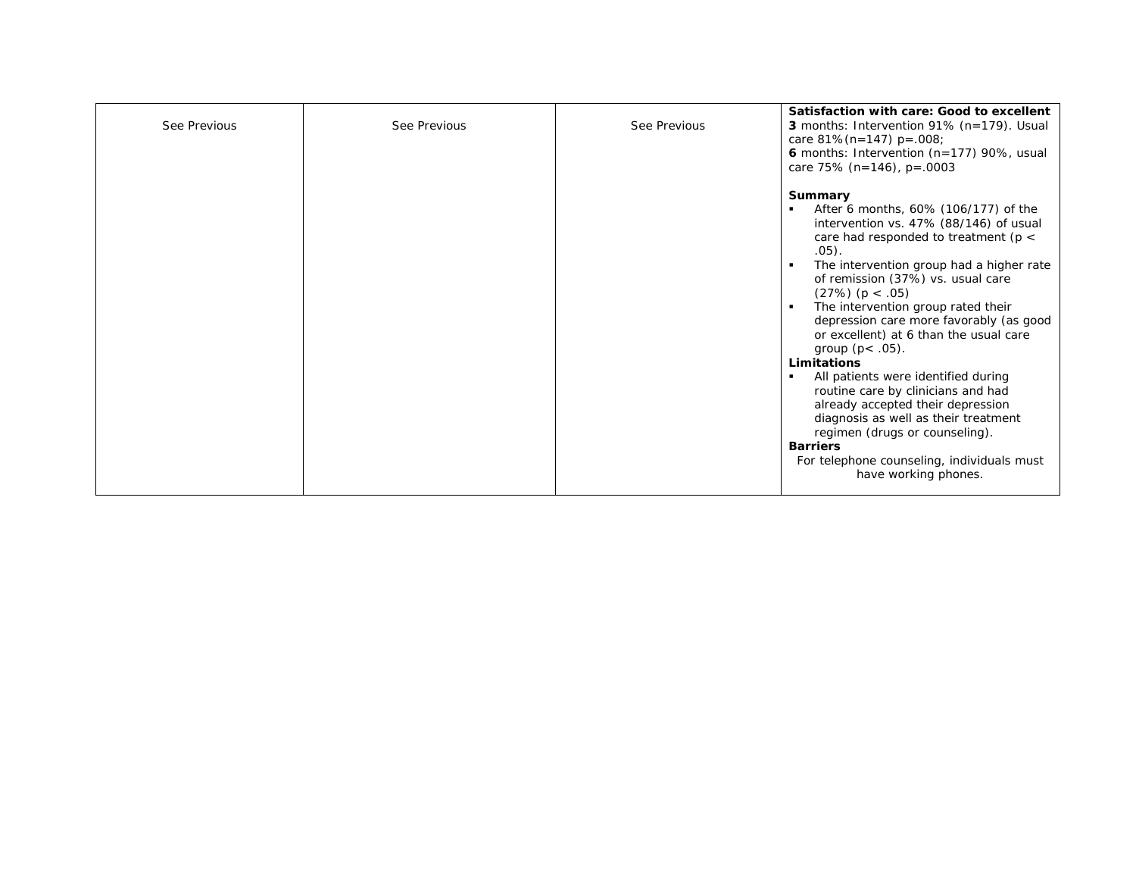| See Previous | See Previous | See Previous | Satisfaction with care: Good to excellent<br>3 months: Intervention 91% (n=179). Usual<br>care $81\%$ (n=147) p=.008;<br>6 months: Intervention (n=177) 90%, usual<br>care 75% $(n=146)$ , p=.0003                                                                                                                                                                                                                                                                                                                                                                                                                                                                                                             |
|--------------|--------------|--------------|----------------------------------------------------------------------------------------------------------------------------------------------------------------------------------------------------------------------------------------------------------------------------------------------------------------------------------------------------------------------------------------------------------------------------------------------------------------------------------------------------------------------------------------------------------------------------------------------------------------------------------------------------------------------------------------------------------------|
|              |              |              | Summary<br>After 6 months, 60% (106/177) of the<br>intervention vs. 47% (88/146) of usual<br>care had responded to treatment ( $p <$<br>.05).<br>The intervention group had a higher rate<br>of remission (37%) vs. usual care<br>(27%) (p < .05)<br>The intervention group rated their<br>depression care more favorably (as good<br>or excellent) at 6 than the usual care<br>group $(p < .05)$ .<br><b>Limitations</b><br>All patients were identified during<br>routine care by clinicians and had<br>already accepted their depression<br>diagnosis as well as their treatment<br>regimen (drugs or counseling).<br><b>Barriers</b><br>For telephone counseling, individuals must<br>have working phones. |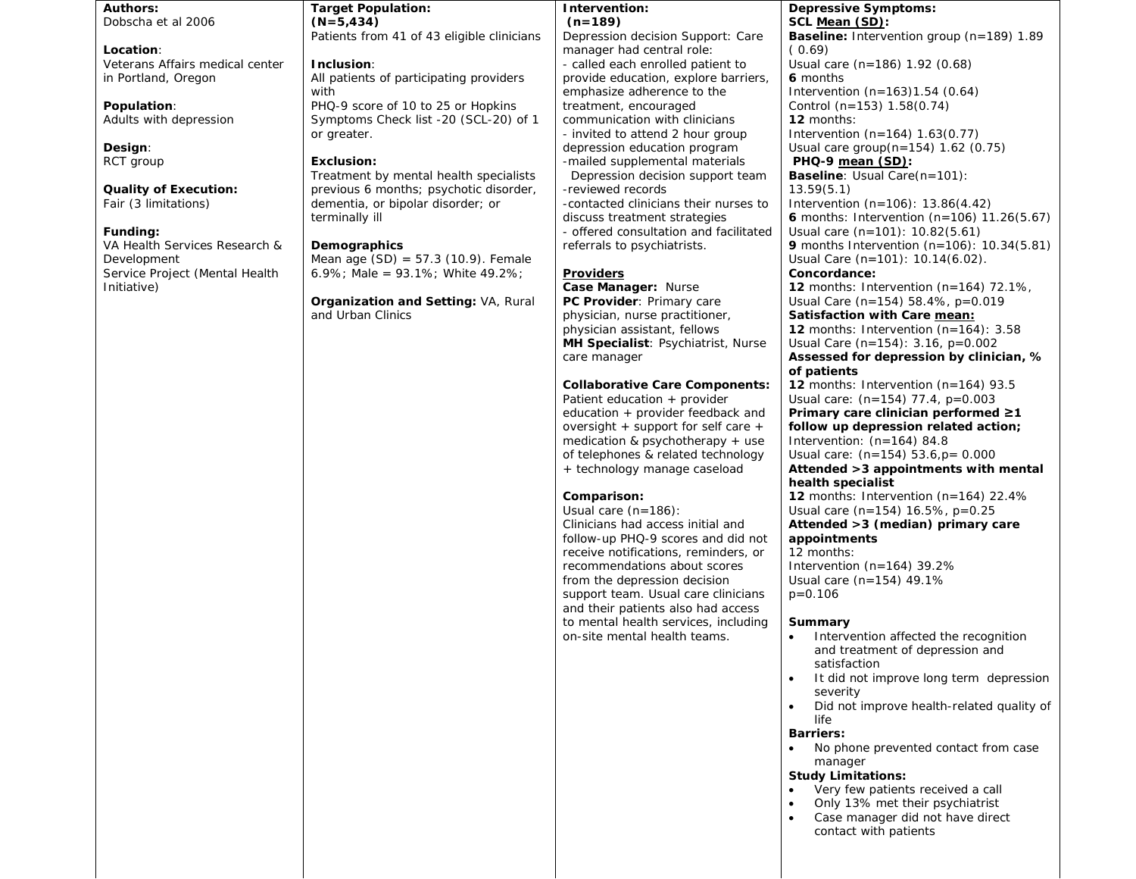**Authors:** Dobscha et al 2006

**Location**: Veterans Affairs medical center in Portland, Oregon

**Population**: Adults with depression

**Design**: RCT group

**Quality of Execution:**  Fair (3 limitations)

#### **Funding:**

VA Health Services Research & Development Service Project (Mental Health Initiative)

**Target Population: (N=5,434)**

# Patients from 41 of 43 eligible clinicians

**Inclusion**: All patients of participating providers

with PHQ-9 score of 10 to 25 or Hopkins Symptoms Check list -20 (SCL-20) of 1 or greater.

#### **Exclusion:**

Treatment by mental health specialists previous 6 months; psychotic disorder, dementia, or bipolar disorder; or terminally ill

#### **Demographics**

Mean age  $(SD) = 57.3$   $(10.9)$ . Female 6.9%; Male = 93.1%; White 49.2%;

**Organization and Setting:** VA, Rural and Urban Clinics

**Intervention:**

**(n=189)** Depression decision Support: Care manager had central role: - called each enrolled patient to provide education, explore barriers, emphasize adherence to the treatment, encouraged communication with clinicians - invited to attend 2 hour group

depression education program -mailed supplemental materials Depression decision support team -reviewed records -contacted clinicians their nurses to discuss treatment strategies - offered consultation and facilitated referrals to psychiatrists.

#### **Providers**

**Case Manager:** Nurse **PC Provider**: Primary care physician, nurse practitioner, physician assistant, fellows **MH Specialist**: Psychiatrist, Nurse care manager

#### **Collaborative Care Components:**

Patient education + provider education + provider feedback and oversight + support for self care + medication & psychotherapy + use of telephones & related technology + technology manage caseload

### **Comparison:**

Usual care (n=186):

Clinicians had access initial and follow-up PHQ-9 scores and did not receive notifications, reminders, or recommendations about scores from the depression decision support team. Usual care clinicians and their patients also had access to mental health services, including on-site mental health teams.

#### **Depressive Symptoms: SCL Mean (SD):**

**Baseline:** Intervention group (n=189) 1.89  $(0.69)$ Usual care (n=186) 1.92 (0.68) **6** months Intervention (n=163)1.54 (0.64) Control (n=153) 1.58(0.74) **12** months: Intervention (n=164) 1.63(0.77) Usual care group(n=154) 1.62 (0.75) **PHQ-9 mean (SD): Baseline**: Usual Care(n=101): 13.59(5.1) Intervention (n=106): 13.86(4.42) **6** months: Intervention (n=106) 11.26(5.67)

Usual care (n=101): 10.82(5.61) **9** months Intervention (n=106): 10.34(5.81) Usual Care (n=101): 10.14(6.02). **Concordance:**

## **12** months: Intervention (n=164) 72.1%, Usual Care (n=154) 58.4%, p=0.019

**Satisfaction with Care mean: 12** months: Intervention (n=164): 3.58 Usual Care (n=154): 3.16, p=0.002 **Assessed for depression by clinician, %** 

## **of patients**

**12** months: Intervention (n=164) 93.5 Usual care: (n=154) 77.4, p=0.003

#### **Primary care clinician performed ≥1 follow up depression related action;**  Intervention: (n=164) 84.8

Usual care: (n=154) 53.6,p= 0.000

**Attended >3 appointments with mental health specialist**

**12** months: Intervention (n=164) 22.4% Usual care (n=154) 16.5%, p=0.25

**Attended >3 (median) primary care appointments**

12 months: Intervention (n=164) 39.2% Usual care (n=154) 49.1% p=0.106

### **Summary**

- Intervention affected the recognition and treatment of depression and satisfaction
- It did not improve long term depression severity
- Did not improve health-related quality of life

#### **Barriers:**

• No phone prevented contact from case manager

#### **Study Limitations:**

- Very few patients received a call
- Only 13% met their psychiatrist
- Case manager did not have direct contact with patients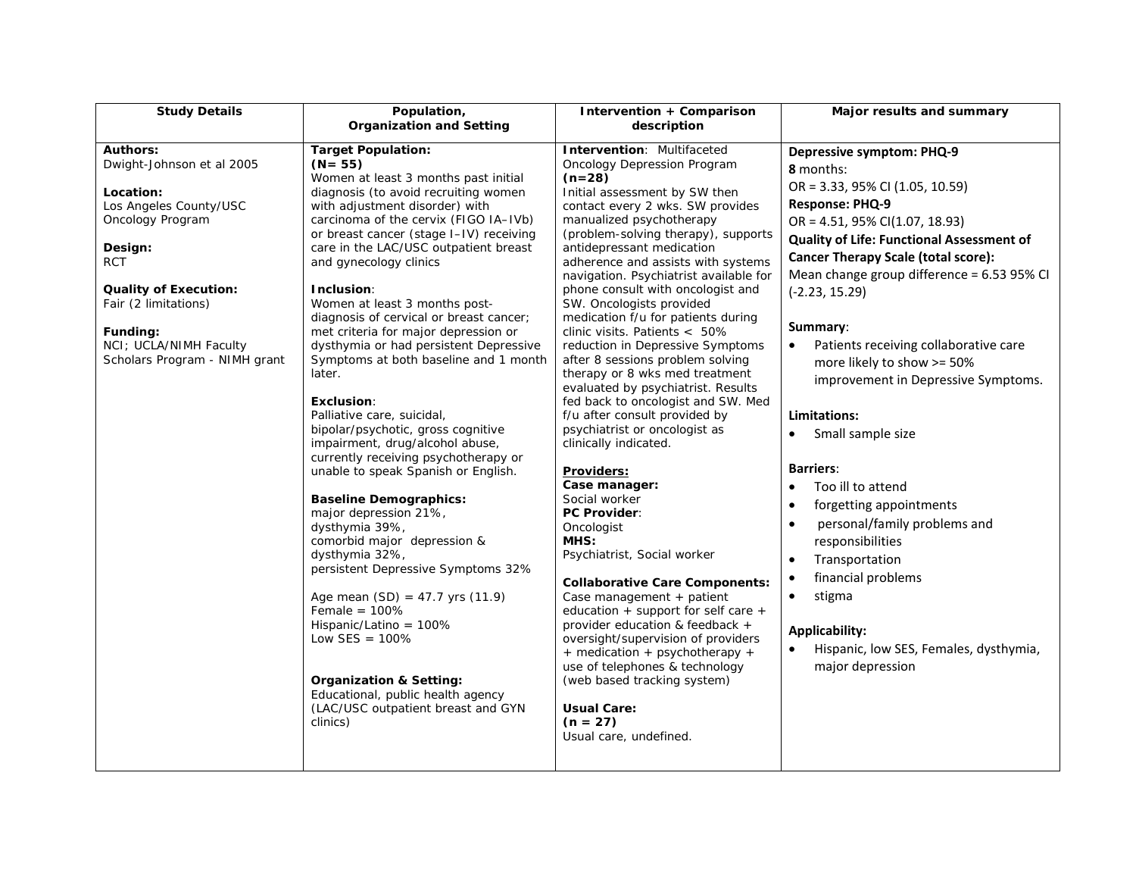| <b>Study Details</b>                                                                                                                                                                                                                                            | Population,                                                                                                                                                                                                                                                                                                                                                                                                                                                                                                                                                                                             | Intervention + Comparison                                                                                                                                                                                                                                                                                                                                                                                                                                                                                                                                                                                          | Major results and summary                                                                                                                                                                                                                                                                                                                                                                                                                                  |
|-----------------------------------------------------------------------------------------------------------------------------------------------------------------------------------------------------------------------------------------------------------------|---------------------------------------------------------------------------------------------------------------------------------------------------------------------------------------------------------------------------------------------------------------------------------------------------------------------------------------------------------------------------------------------------------------------------------------------------------------------------------------------------------------------------------------------------------------------------------------------------------|--------------------------------------------------------------------------------------------------------------------------------------------------------------------------------------------------------------------------------------------------------------------------------------------------------------------------------------------------------------------------------------------------------------------------------------------------------------------------------------------------------------------------------------------------------------------------------------------------------------------|------------------------------------------------------------------------------------------------------------------------------------------------------------------------------------------------------------------------------------------------------------------------------------------------------------------------------------------------------------------------------------------------------------------------------------------------------------|
|                                                                                                                                                                                                                                                                 |                                                                                                                                                                                                                                                                                                                                                                                                                                                                                                                                                                                                         | description                                                                                                                                                                                                                                                                                                                                                                                                                                                                                                                                                                                                        |                                                                                                                                                                                                                                                                                                                                                                                                                                                            |
| <b>Authors:</b><br>Dwight-Johnson et al 2005<br>Location:<br>Los Angeles County/USC<br>Oncology Program<br>Design:<br><b>RCT</b><br><b>Quality of Execution:</b><br>Fair (2 limitations)<br>Funding:<br>NCI; UCLA/NIMH Faculty<br>Scholars Program - NIMH grant | <b>Organization and Setting</b><br><b>Target Population:</b><br>$(N = 55)$<br>Women at least 3 months past initial<br>diagnosis (to avoid recruiting women<br>with adjustment disorder) with<br>carcinoma of the cervix (FIGO IA-IVb)<br>or breast cancer (stage I-IV) receiving<br>care in the LAC/USC outpatient breast<br>and gynecology clinics<br>Inclusion:<br>Women at least 3 months post-<br>diagnosis of cervical or breast cancer;<br>met criteria for major depression or<br>dysthymia or had persistent Depressive<br>Symptoms at both baseline and 1 month<br>later.<br><b>Exclusion:</b> | Intervention: Multifaceted<br>Oncology Depression Program<br>$(n=28)$<br>Initial assessment by SW then<br>contact every 2 wks. SW provides<br>manualized psychotherapy<br>(problem-solving therapy), supports<br>antidepressant medication<br>adherence and assists with systems<br>navigation. Psychiatrist available for<br>phone consult with oncologist and<br>SW. Oncologists provided<br>medication f/u for patients during<br>clinic visits. Patients < 50%<br>reduction in Depressive Symptoms<br>after 8 sessions problem solving<br>therapy or 8 wks med treatment<br>evaluated by psychiatrist. Results | <b>Depressive symptom: PHQ-9</b><br>8 months:<br>OR = 3.33, 95% CI (1.05, 10.59)<br><b>Response: PHQ-9</b><br>$OR = 4.51, 95\% CI(1.07, 18.93)$<br><b>Quality of Life: Functional Assessment of</b><br><b>Cancer Therapy Scale (total score):</b><br>Mean change group difference = 6.53 95% CI<br>$(-2.23, 15.29)$<br>Summary:<br>Patients receiving collaborative care<br>$\bullet$<br>more likely to show >= 50%<br>improvement in Depressive Symptoms. |
|                                                                                                                                                                                                                                                                 |                                                                                                                                                                                                                                                                                                                                                                                                                                                                                                                                                                                                         | fed back to oncologist and SW. Med                                                                                                                                                                                                                                                                                                                                                                                                                                                                                                                                                                                 |                                                                                                                                                                                                                                                                                                                                                                                                                                                            |
|                                                                                                                                                                                                                                                                 | Palliative care, suicidal,                                                                                                                                                                                                                                                                                                                                                                                                                                                                                                                                                                              | f/u after consult provided by                                                                                                                                                                                                                                                                                                                                                                                                                                                                                                                                                                                      | Limitations:                                                                                                                                                                                                                                                                                                                                                                                                                                               |
|                                                                                                                                                                                                                                                                 | bipolar/psychotic, gross cognitive<br>impairment, drug/alcohol abuse,<br>currently receiving psychotherapy or                                                                                                                                                                                                                                                                                                                                                                                                                                                                                           | psychiatrist or oncologist as<br>clinically indicated.                                                                                                                                                                                                                                                                                                                                                                                                                                                                                                                                                             | Small sample size<br>$\bullet$                                                                                                                                                                                                                                                                                                                                                                                                                             |
|                                                                                                                                                                                                                                                                 | unable to speak Spanish or English.                                                                                                                                                                                                                                                                                                                                                                                                                                                                                                                                                                     | <u>Providers:</u><br>Case manager:                                                                                                                                                                                                                                                                                                                                                                                                                                                                                                                                                                                 | <b>Barriers:</b><br>Too ill to attend<br>$\bullet$                                                                                                                                                                                                                                                                                                                                                                                                         |
|                                                                                                                                                                                                                                                                 | <b>Baseline Demographics:</b><br>major depression 21%,<br>dysthymia 39%,<br>comorbid major depression &<br>dysthymia 32%,<br>persistent Depressive Symptoms 32%<br>Age mean $(SD) = 47.7$ yrs $(11.9)$<br>Female = $100\%$<br>Hispanic/Latino = 100%<br>Low SES = $100\%$<br><b>Organization &amp; Setting:</b><br>Educational, public health agency<br>(LAC/USC outpatient breast and GYN                                                                                                                                                                                                              | Social worker<br><b>PC Provider:</b><br>Oncologist<br>MHS:<br>Psychiatrist, Social worker<br><b>Collaborative Care Components:</b><br>Case management + patient<br>education $+$ support for self care $+$<br>provider education & feedback +<br>oversight/supervision of providers<br>+ medication + psychotherapy +<br>use of telephones & technology<br>(web based tracking system)<br><b>Usual Care:</b>                                                                                                                                                                                                       | forgetting appointments<br>$\bullet$<br>personal/family problems and<br>$\bullet$<br>responsibilities<br>Transportation<br>$\bullet$<br>financial problems<br>$\bullet$<br>stigma<br>$\bullet$<br><b>Applicability:</b><br>Hispanic, low SES, Females, dysthymia,<br>$\bullet$<br>major depression                                                                                                                                                         |
|                                                                                                                                                                                                                                                                 | clinics)                                                                                                                                                                                                                                                                                                                                                                                                                                                                                                                                                                                                | $(n = 27)$<br>Usual care, undefined.                                                                                                                                                                                                                                                                                                                                                                                                                                                                                                                                                                               |                                                                                                                                                                                                                                                                                                                                                                                                                                                            |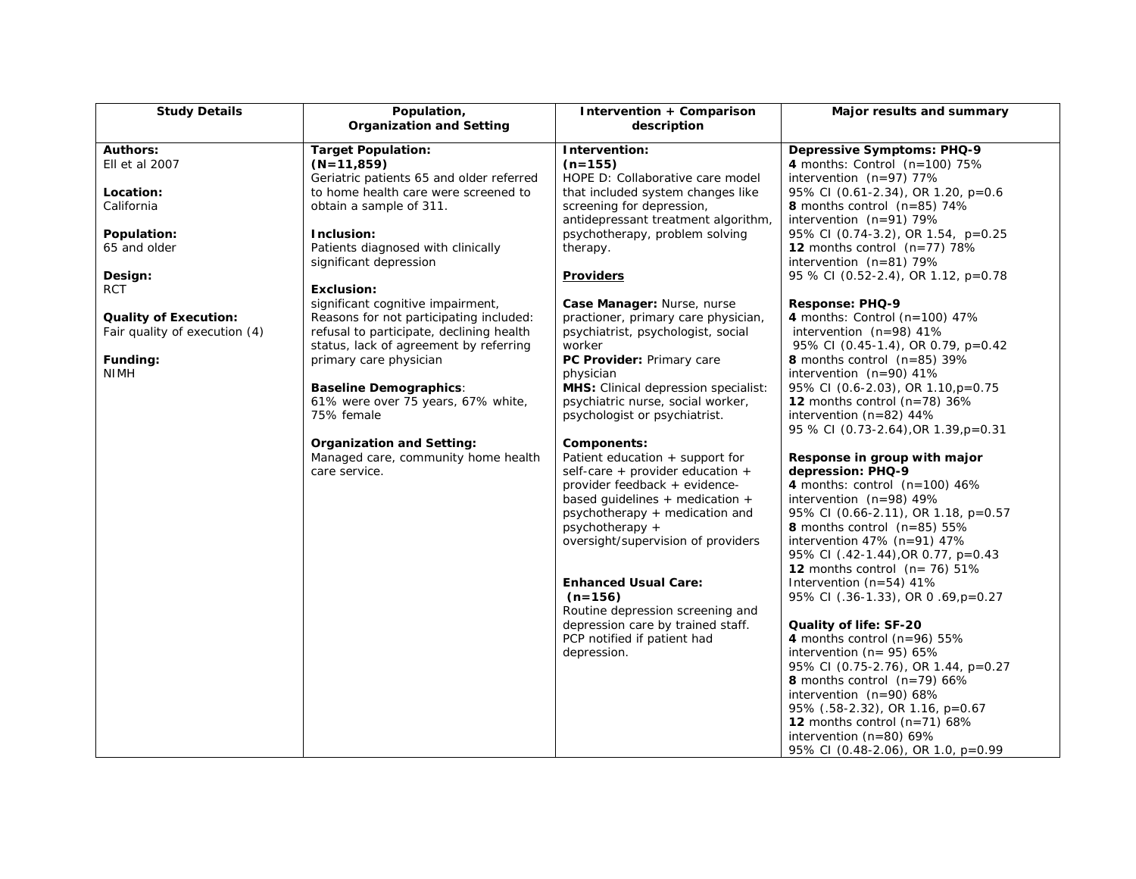| <b>Study Details</b>                                          | Population,<br><b>Organization and Setting</b>                                      | Intervention + Comparison<br>description                                  | Major results and summary                                                  |
|---------------------------------------------------------------|-------------------------------------------------------------------------------------|---------------------------------------------------------------------------|----------------------------------------------------------------------------|
| <b>Authors:</b>                                               | <b>Target Population:</b>                                                           | Intervention:                                                             | <b>Depressive Symptoms: PHQ-9</b>                                          |
| Ell et al 2007                                                | $(N=11,859)$                                                                        | $(n=155)$                                                                 | 4 months: Control $(n=100)$ 75%                                            |
|                                                               | Geriatric patients 65 and older referred                                            | HOPE D: Collaborative care model                                          | intervention (n=97) 77%                                                    |
| Location:<br>California                                       | to home health care were screened to<br>obtain a sample of 311.                     | that included system changes like<br>screening for depression,            | 95% CI (0.61-2.34), OR 1.20, p=0.6<br><b>8</b> months control $(n=85)$ 74% |
|                                                               |                                                                                     | antidepressant treatment algorithm,                                       | intervention $(n=91)$ 79%                                                  |
| Population:                                                   | Inclusion:                                                                          | psychotherapy, problem solving                                            | 95% CI (0.74-3.2), OR 1.54, p=0.25                                         |
| 65 and older                                                  | Patients diagnosed with clinically                                                  | therapy.                                                                  | 12 months control $(n=77)$ 78%                                             |
|                                                               | significant depression                                                              |                                                                           | intervention $(n=81)$ 79%                                                  |
| Design:                                                       |                                                                                     | <b>Providers</b>                                                          | 95 % CI (0.52-2.4), OR 1.12, p=0.78                                        |
| <b>RCT</b>                                                    | <b>Exclusion:</b>                                                                   |                                                                           |                                                                            |
|                                                               | significant cognitive impairment,                                                   | Case Manager: Nurse, nurse                                                | Response: PHQ-9                                                            |
| <b>Quality of Execution:</b><br>Fair quality of execution (4) | Reasons for not participating included:<br>refusal to participate, declining health | practioner, primary care physician,<br>psychiatrist, psychologist, social | 4 months: Control ( $n=100$ ) 47%<br>intervention $(n=98)$ 41%             |
|                                                               | status, lack of agreement by referring                                              | worker                                                                    | 95% CI (0.45-1.4), OR 0.79, p=0.42                                         |
| Funding:                                                      | primary care physician                                                              | PC Provider: Primary care                                                 | <b>8</b> months control $(n=85)$ 39%                                       |
| <b>NIMH</b>                                                   |                                                                                     | physician                                                                 | intervention $(n=90)$ 41%                                                  |
|                                                               | <b>Baseline Demographics:</b>                                                       | <b>MHS:</b> Clinical depression specialist:                               | 95% CI (0.6-2.03), OR 1.10, p=0.75                                         |
|                                                               | 61% were over 75 years, 67% white,                                                  | psychiatric nurse, social worker,                                         | 12 months control ( $n=78$ ) 36%                                           |
|                                                               | 75% female                                                                          | psychologist or psychiatrist.                                             | intervention (n=82) 44%                                                    |
|                                                               |                                                                                     |                                                                           | 95 % CI (0.73-2.64), OR 1.39, p=0.31                                       |
|                                                               | <b>Organization and Setting:</b><br>Managed care, community home health             | Components:<br>Patient education + support for                            | Response in group with major                                               |
|                                                               | care service.                                                                       | self-care + provider education +                                          | depression: PHQ-9                                                          |
|                                                               |                                                                                     | provider feedback + evidence-                                             | 4 months: control $(n=100)$ 46%                                            |
|                                                               |                                                                                     | based quidelines $+$ medication $+$                                       | intervention $(n=98)$ 49%                                                  |
|                                                               |                                                                                     | psychotherapy + medication and                                            | 95% CI (0.66-2.11), OR 1.18, p=0.57                                        |
|                                                               |                                                                                     | $psychotherapy +$                                                         | <b>8</b> months control $(n=85)$ 55%                                       |
|                                                               |                                                                                     | oversight/supervision of providers                                        | intervention $47\%$ (n=91) $47\%$                                          |
|                                                               |                                                                                     |                                                                           | 95% CI (.42-1.44), OR 0.77, p=0.43                                         |
|                                                               |                                                                                     | <b>Enhanced Usual Care:</b>                                               | <b>12</b> months control $(n=76)$ 51%<br>Intervention $(n=54)$ 41%         |
|                                                               |                                                                                     | $(n=156)$                                                                 | 95% CI (.36-1.33), OR 0.69, p=0.27                                         |
|                                                               |                                                                                     | Routine depression screening and                                          |                                                                            |
|                                                               |                                                                                     | depression care by trained staff.                                         | Quality of life: SF-20                                                     |
|                                                               |                                                                                     | PCP notified if patient had                                               | 4 months control ( $n=96$ ) 55%                                            |
|                                                               |                                                                                     | depression.                                                               | intervention ( $n = 95$ ) 65%                                              |
|                                                               |                                                                                     |                                                                           | 95% CI (0.75-2.76), OR 1.44, p=0.27                                        |
|                                                               |                                                                                     |                                                                           | <b>8</b> months control $(n=79)$ 66%                                       |
|                                                               |                                                                                     |                                                                           | intervention $(n=90)$ 68%<br>95% (.58-2.32), OR 1.16, p=0.67               |
|                                                               |                                                                                     |                                                                           | 12 months control $(n=71)$ 68%                                             |
|                                                               |                                                                                     |                                                                           | intervention ( $n=80$ ) 69%                                                |
|                                                               |                                                                                     |                                                                           | 95% CI (0.48-2.06), OR 1.0, p=0.99                                         |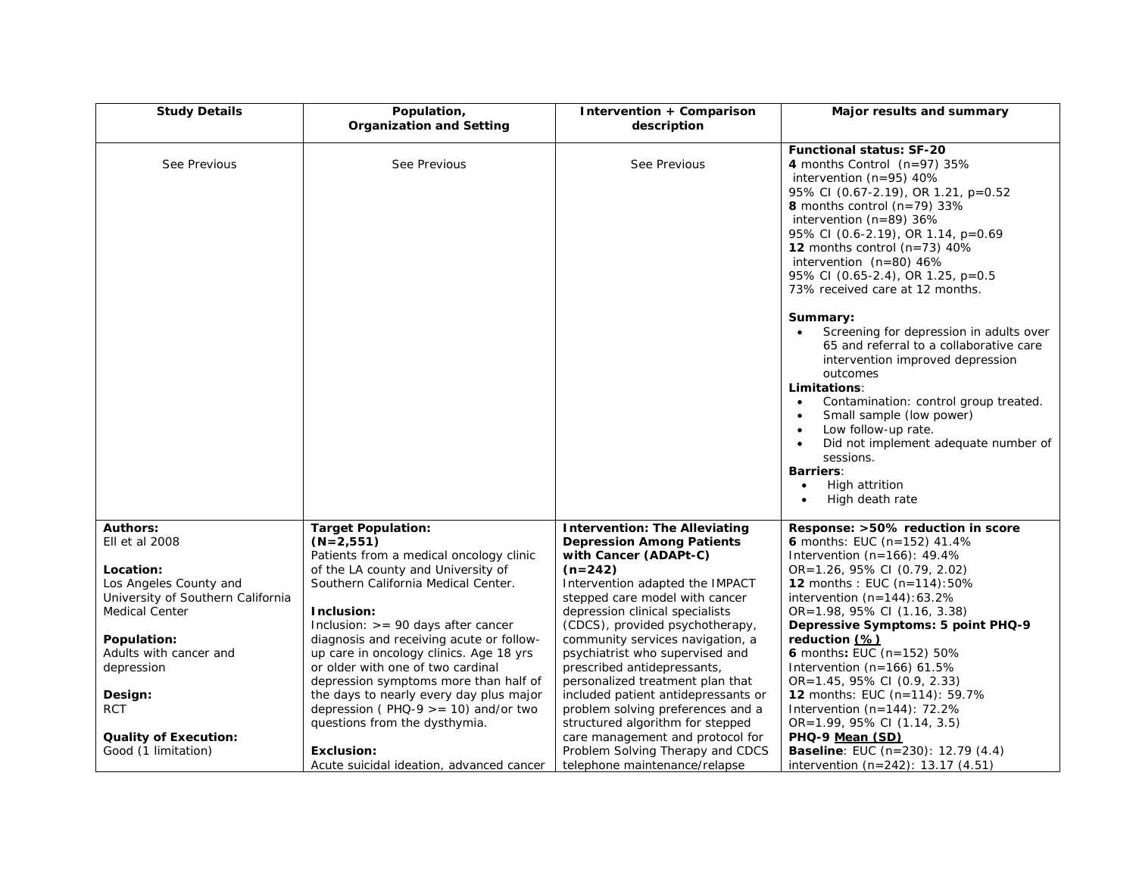| <b>Study Details</b>              | Population,<br><b>Organization and Setting</b>         | Intervention + Comparison<br>description                             | Major results and summary                                                                                                                                                                                                                                                                                                                                                                                       |
|-----------------------------------|--------------------------------------------------------|----------------------------------------------------------------------|-----------------------------------------------------------------------------------------------------------------------------------------------------------------------------------------------------------------------------------------------------------------------------------------------------------------------------------------------------------------------------------------------------------------|
| See Previous                      | See Previous                                           | See Previous                                                         | <b>Functional status: SF-20</b><br>4 months Control $(n=97)$ 35%<br>intervention $(n=95)$ 40%<br>95% CI (0.67-2.19), OR 1.21, p=0.52<br>8 months control ( $n=79$ ) 33%<br>intervention ( $n=89$ ) 36%<br>95% CI (0.6-2.19), OR 1.14, p=0.69<br><b>12</b> months control $(n=73)$ 40%<br>intervention $(n=80)$ 46%<br>95% CI (0.65-2.4), OR 1.25, p=0.5<br>73% received care at 12 months.                      |
|                                   |                                                        |                                                                      | Summary:<br>Screening for depression in adults over<br>65 and referral to a collaborative care<br>intervention improved depression<br>outcomes<br>Limitations:<br>Contamination: control group treated.<br>$\bullet$<br>Small sample (low power)<br>Low follow-up rate.<br>$\bullet$<br>Did not implement adequate number of<br>sessions.<br><b>Barriers:</b><br>High attrition<br>$\bullet$<br>High death rate |
| <b>Authors:</b>                   | <b>Target Population:</b>                              | <b>Intervention: The Alleviating</b>                                 | Response: >50% reduction in score                                                                                                                                                                                                                                                                                                                                                                               |
| Ell et al 2008                    | $(N=2,551)$<br>Patients from a medical oncology clinic | <b>Depression Among Patients</b><br>with Cancer (ADAPt-C)            | 6 months: EUC ( $n=152$ ) 41.4%<br>Intervention $(n=166)$ : 49.4%                                                                                                                                                                                                                                                                                                                                               |
| Location:                         | of the LA county and University of                     | $(n=242)$                                                            | OR=1.26, 95% CI (0.79, 2.02)                                                                                                                                                                                                                                                                                                                                                                                    |
| Los Angeles County and            | Southern California Medical Center.                    | Intervention adapted the IMPACT                                      | <b>12</b> months : EUC $(n=114):50\%$                                                                                                                                                                                                                                                                                                                                                                           |
| University of Southern California |                                                        | stepped care model with cancer                                       | intervention $(n=144):63.2\%$                                                                                                                                                                                                                                                                                                                                                                                   |
| <b>Medical Center</b>             | Inclusion:                                             | depression clinical specialists                                      | OR=1.98, 95% CI (1.16, 3.38)                                                                                                                                                                                                                                                                                                                                                                                    |
|                                   | Inclusion: $>= 90$ days after cancer                   | (CDCS), provided psychotherapy,                                      | Depressive Symptoms: 5 point PHQ-9                                                                                                                                                                                                                                                                                                                                                                              |
| Population:                       | diagnosis and receiving acute or follow-               | community services navigation, a                                     | reduction (%)                                                                                                                                                                                                                                                                                                                                                                                                   |
| Adults with cancer and            | up care in oncology clinics. Age 18 yrs                | psychiatrist who supervised and                                      | 6 months: EUC (n=152) 50%                                                                                                                                                                                                                                                                                                                                                                                       |
| depression                        | or older with one of two cardinal                      | prescribed antidepressants,                                          | Intervention (n=166) 61.5%                                                                                                                                                                                                                                                                                                                                                                                      |
|                                   | depression symptoms more than half of                  | personalized treatment plan that                                     | $OR=1.45, 95\% \text{ CI}$ (0.9, 2.33)                                                                                                                                                                                                                                                                                                                                                                          |
| Design:                           | the days to nearly every day plus major                | included patient antidepressants or                                  | <b>12</b> months: EUC $(n=114)$ : 59.7%                                                                                                                                                                                                                                                                                                                                                                         |
| <b>RCT</b>                        | depression (PHQ-9 $>$ = 10) and/or two                 | problem solving preferences and a                                    | Intervention $(n=144)$ : 72.2%                                                                                                                                                                                                                                                                                                                                                                                  |
| <b>Quality of Execution:</b>      | questions from the dysthymia.                          | structured algorithm for stepped<br>care management and protocol for | OR=1.99, 95% CI (1.14, 3.5)<br>PHQ-9 Mean (SD)                                                                                                                                                                                                                                                                                                                                                                  |
| Good (1 limitation)               | <b>Exclusion:</b>                                      | Problem Solving Therapy and CDCS                                     | <b>Baseline</b> : EUC (n=230): 12.79 (4.4)                                                                                                                                                                                                                                                                                                                                                                      |
|                                   | Acute suicidal ideation, advanced cancer               | telephone maintenance/relapse                                        | intervention $(n=242)$ : 13.17 $(4.51)$                                                                                                                                                                                                                                                                                                                                                                         |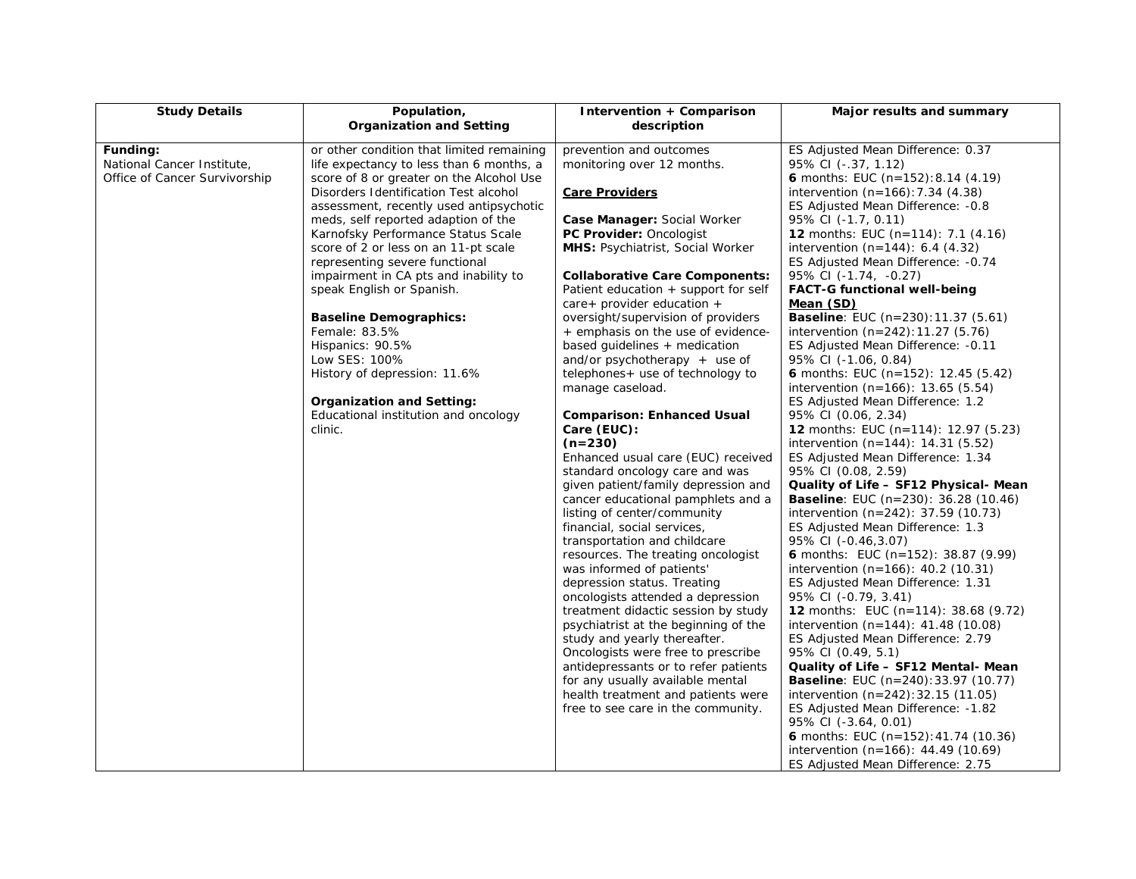| <b>Study Details</b>          | Population,                                    | <b>Intervention + Comparison</b>                                         | Major results and summary                                 |
|-------------------------------|------------------------------------------------|--------------------------------------------------------------------------|-----------------------------------------------------------|
|                               | <b>Organization and Setting</b>                | description                                                              |                                                           |
| Funding:                      | or other condition that limited remaining      | prevention and outcomes                                                  | ES Adjusted Mean Difference: 0.37                         |
| National Cancer Institute,    | life expectancy to less than 6 months, a       | monitoring over 12 months.                                               | 95% CI (-.37, 1.12)                                       |
| Office of Cancer Survivorship | score of 8 or greater on the Alcohol Use       |                                                                          | 6 months: EUC (n=152): 8.14 (4.19)                        |
|                               | Disorders Identification Test alcohol          | <b>Care Providers</b>                                                    | intervention $(n=166)$ : 7.34 $(4.38)$                    |
|                               | assessment, recently used antipsychotic        |                                                                          | ES Adjusted Mean Difference: -0.8                         |
|                               | meds, self reported adaption of the            | Case Manager: Social Worker                                              | 95% CI (-1.7, 0.11)                                       |
|                               | Karnofsky Performance Status Scale             | <b>PC Provider: Oncologist</b>                                           | <b>12</b> months: EUC $(n=114)$ : 7.1 $(4.16)$            |
|                               | score of 2 or less on an 11-pt scale           | <b>MHS: Psychiatrist, Social Worker</b>                                  | intervention $(n=144)$ : 6.4 $(4.32)$                     |
|                               | representing severe functional                 |                                                                          | ES Adjusted Mean Difference: -0.74                        |
|                               | impairment in CA pts and inability to          | <b>Collaborative Care Components:</b>                                    | 95% CI (-1.74, -0.27)                                     |
|                               | speak English or Spanish.                      | Patient education + support for self                                     | <b>FACT-G functional well-being</b>                       |
|                               |                                                | $care +$ provider education $+$                                          | Mean (SD)<br><b>Baseline:</b> EUC (n=230):11.37 (5.61)    |
|                               | <b>Baseline Demographics:</b><br>Female: 83.5% | oversight/supervision of providers<br>+ emphasis on the use of evidence- | intervention $(n=242):11.27(5.76)$                        |
|                               | Hispanics: 90.5%                               | based quidelines + medication                                            | ES Adjusted Mean Difference: -0.11                        |
|                               | Low SES: 100%                                  | and/or psychotherapy $+$ use of                                          | 95% CI (-1.06, 0.84)                                      |
|                               | History of depression: 11.6%                   | telephones + use of technology to                                        | <b>6</b> months: EUC (n=152): 12.45 (5.42)                |
|                               |                                                | manage caseload.                                                         | intervention $(n=166)$ : 13.65 $(5.54)$                   |
|                               | <b>Organization and Setting:</b>               |                                                                          | ES Adjusted Mean Difference: 1.2                          |
|                               | Educational institution and oncology           | <b>Comparison: Enhanced Usual</b>                                        | 95% CI (0.06, 2.34)                                       |
|                               | clinic.                                        | Care (EUC):                                                              | <b>12</b> months: EUC (n=114): 12.97 (5.23)               |
|                               |                                                | $(n=230)$                                                                | intervention $(n=144)$ : 14.31 (5.52)                     |
|                               |                                                | Enhanced usual care (EUC) received                                       | ES Adjusted Mean Difference: 1.34                         |
|                               |                                                | standard oncology care and was                                           | 95% CI (0.08, 2.59)                                       |
|                               |                                                | given patient/family depression and                                      | Quality of Life – SF12 Physical- Mean                     |
|                               |                                                | cancer educational pamphlets and a                                       | <b>Baseline</b> : EUC (n=230): $36.28$ (10.46)            |
|                               |                                                | listing of center/community                                              | intervention $(n=242)$ : 37.59 $(10.73)$                  |
|                               |                                                | financial, social services,                                              | ES Adjusted Mean Difference: 1.3                          |
|                               |                                                | transportation and childcare                                             | 95% CI (-0.46,3.07)                                       |
|                               |                                                | resources. The treating oncologist                                       | <b>6</b> months: EUC (n=152): 38.87 (9.99)                |
|                               |                                                | was informed of patients'                                                | intervention $(n=166)$ : 40.2 (10.31)                     |
|                               |                                                | depression status. Treating<br>oncologists attended a depression         | ES Adjusted Mean Difference: 1.31<br>95% CI (-0.79, 3.41) |
|                               |                                                | treatment didactic session by study                                      | <b>12</b> months: EUC (n=114): 38.68 (9.72)               |
|                               |                                                | psychiatrist at the beginning of the                                     | intervention $(n=144)$ : 41.48 (10.08)                    |
|                               |                                                | study and yearly thereafter.                                             | ES Adjusted Mean Difference: 2.79                         |
|                               |                                                | Oncologists were free to prescribe                                       | 95% CI (0.49, 5.1)                                        |
|                               |                                                | antidepressants or to refer patients                                     | Quality of Life – SF12 Mental- Mean                       |
|                               |                                                | for any usually available mental                                         | <b>Baseline</b> : EUC $(n=240):33.97(10.77)$              |
|                               |                                                | health treatment and patients were                                       | intervention $(n=242):32.15(11.05)$                       |
|                               |                                                | free to see care in the community.                                       | ES Adjusted Mean Difference: -1.82                        |
|                               |                                                |                                                                          | 95% CI (-3.64, 0.01)                                      |
|                               |                                                |                                                                          | 6 months: EUC (n=152): 41.74 (10.36)                      |
|                               |                                                |                                                                          | intervention $(n=166)$ : 44.49 $(10.69)$                  |
|                               |                                                |                                                                          | ES Adjusted Mean Difference: 2.75                         |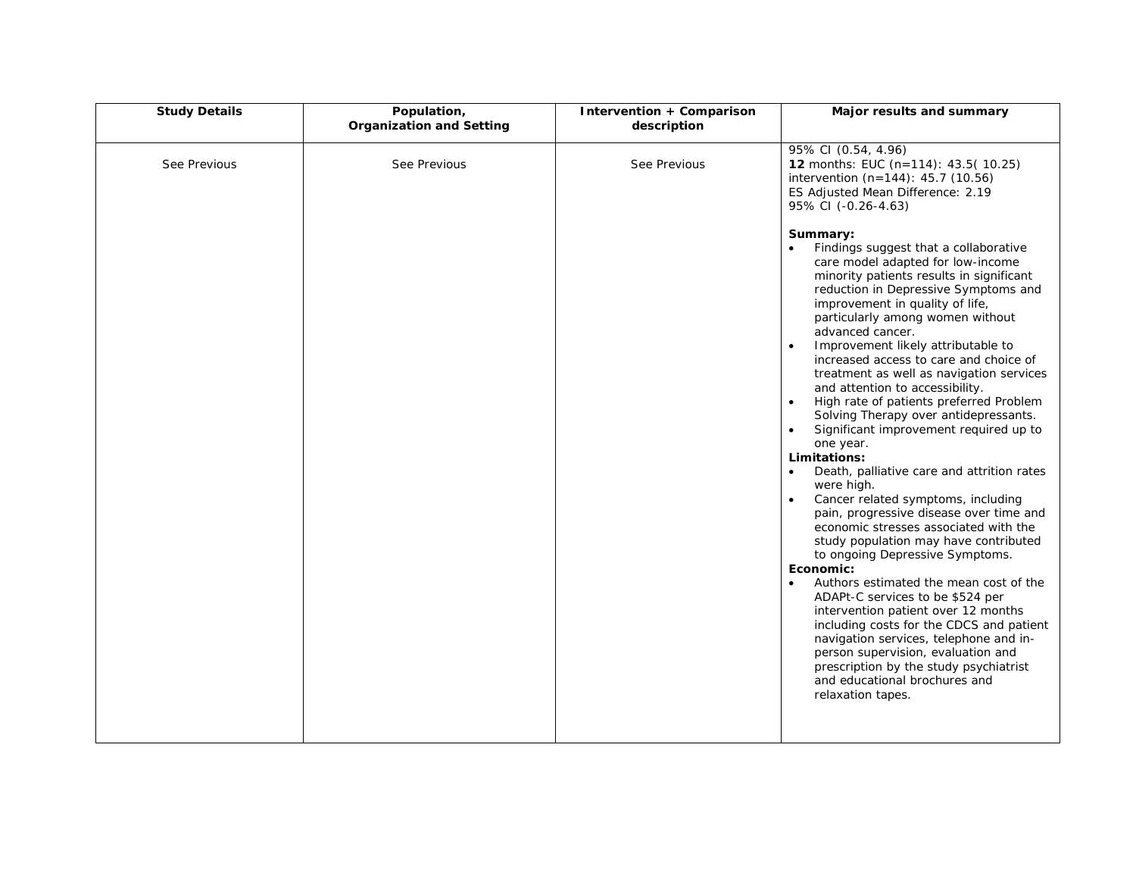| <b>Study Details</b> | Population,<br><b>Organization and Setting</b> | Intervention + Comparison<br>description | Major results and summary                                                                                                                                                                                                                                                                                                                                                                                                                                                                                                                                                                                                                                                                                                                                                                                                                                                                                                                                                                                                                                                                                                                                                                                                                                                                                     |
|----------------------|------------------------------------------------|------------------------------------------|---------------------------------------------------------------------------------------------------------------------------------------------------------------------------------------------------------------------------------------------------------------------------------------------------------------------------------------------------------------------------------------------------------------------------------------------------------------------------------------------------------------------------------------------------------------------------------------------------------------------------------------------------------------------------------------------------------------------------------------------------------------------------------------------------------------------------------------------------------------------------------------------------------------------------------------------------------------------------------------------------------------------------------------------------------------------------------------------------------------------------------------------------------------------------------------------------------------------------------------------------------------------------------------------------------------|
| See Previous         | See Previous                                   | See Previous                             | 95% CI (0.54, 4.96)<br>12 months: EUC (n=114): 43.5(10.25)<br>intervention $(n=144)$ : 45.7 (10.56)<br>ES Adjusted Mean Difference: 2.19<br>95% CI (-0.26-4.63)                                                                                                                                                                                                                                                                                                                                                                                                                                                                                                                                                                                                                                                                                                                                                                                                                                                                                                                                                                                                                                                                                                                                               |
|                      |                                                |                                          | Summary:<br>Findings suggest that a collaborative<br>$\bullet$<br>care model adapted for low-income<br>minority patients results in significant<br>reduction in Depressive Symptoms and<br>improvement in quality of life,<br>particularly among women without<br>advanced cancer.<br>Improvement likely attributable to<br>$\bullet$<br>increased access to care and choice of<br>treatment as well as navigation services<br>and attention to accessibility.<br>High rate of patients preferred Problem<br>$\bullet$<br>Solving Therapy over antidepressants.<br>Significant improvement required up to<br>$\bullet$<br>one year.<br>Limitations:<br>Death, palliative care and attrition rates<br>$\bullet$<br>were high.<br>Cancer related symptoms, including<br>pain, progressive disease over time and<br>economic stresses associated with the<br>study population may have contributed<br>to ongoing Depressive Symptoms.<br>Economic:<br>Authors estimated the mean cost of the<br>$\bullet$<br>ADAPt-C services to be \$524 per<br>intervention patient over 12 months<br>including costs for the CDCS and patient<br>navigation services, telephone and in-<br>person supervision, evaluation and<br>prescription by the study psychiatrist<br>and educational brochures and<br>relaxation tapes. |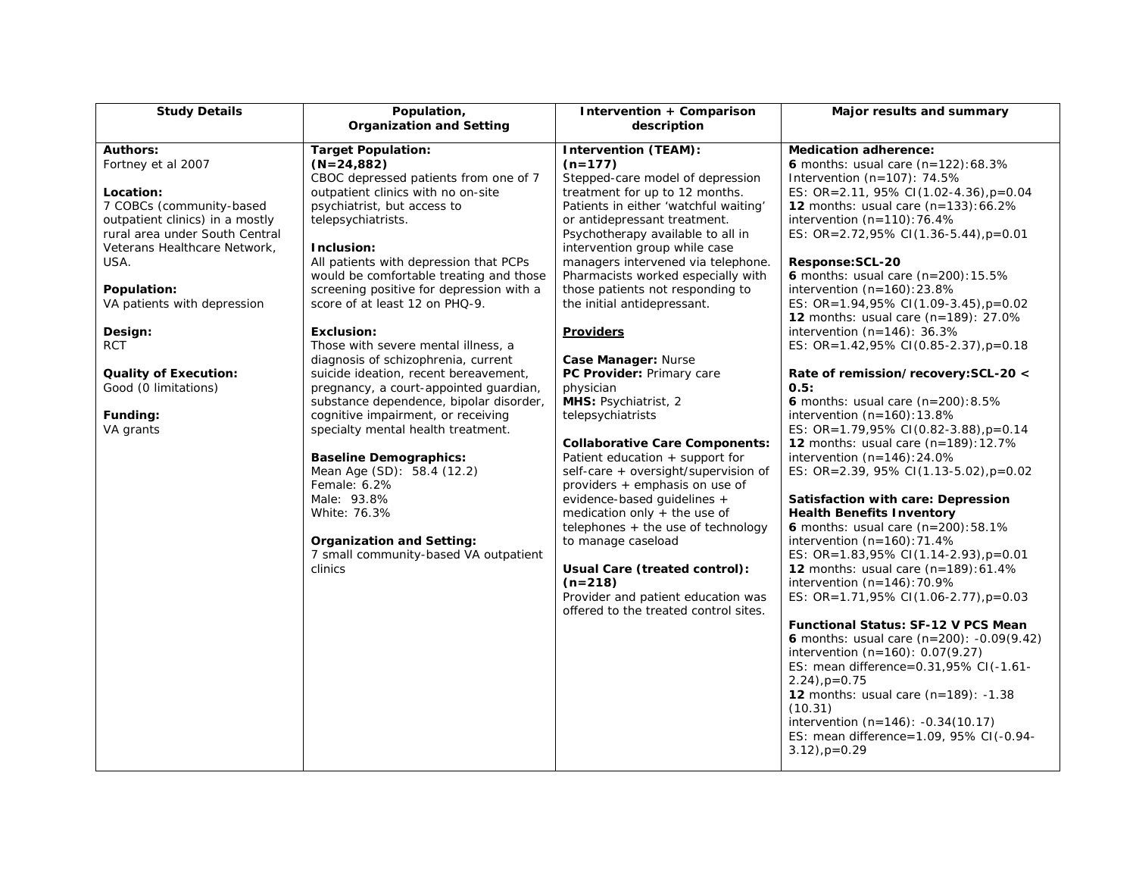| <b>Study Details</b>                                                                                                                                                                                                                                                                                                                                | Population,                                                                                                                                                                                                                                                                                                                                                                                                                                                                                                                                                                                                                                                                                                                                                                                                                                                                       | Intervention + Comparison                                                                                                                                                                                                                                                                                                                                                                                                                                                                                                                                                                                                                                                                                                                                                                                                                                                         | Major results and summary                                                                                                                                                                                                                                                                                                                                                                                                                                                                                                                                                                                                                                                                                                                                                                                                                                                                                                                                                                                                                                                                                                                       |
|-----------------------------------------------------------------------------------------------------------------------------------------------------------------------------------------------------------------------------------------------------------------------------------------------------------------------------------------------------|-----------------------------------------------------------------------------------------------------------------------------------------------------------------------------------------------------------------------------------------------------------------------------------------------------------------------------------------------------------------------------------------------------------------------------------------------------------------------------------------------------------------------------------------------------------------------------------------------------------------------------------------------------------------------------------------------------------------------------------------------------------------------------------------------------------------------------------------------------------------------------------|-----------------------------------------------------------------------------------------------------------------------------------------------------------------------------------------------------------------------------------------------------------------------------------------------------------------------------------------------------------------------------------------------------------------------------------------------------------------------------------------------------------------------------------------------------------------------------------------------------------------------------------------------------------------------------------------------------------------------------------------------------------------------------------------------------------------------------------------------------------------------------------|-------------------------------------------------------------------------------------------------------------------------------------------------------------------------------------------------------------------------------------------------------------------------------------------------------------------------------------------------------------------------------------------------------------------------------------------------------------------------------------------------------------------------------------------------------------------------------------------------------------------------------------------------------------------------------------------------------------------------------------------------------------------------------------------------------------------------------------------------------------------------------------------------------------------------------------------------------------------------------------------------------------------------------------------------------------------------------------------------------------------------------------------------|
|                                                                                                                                                                                                                                                                                                                                                     | <b>Organization and Setting</b>                                                                                                                                                                                                                                                                                                                                                                                                                                                                                                                                                                                                                                                                                                                                                                                                                                                   | description                                                                                                                                                                                                                                                                                                                                                                                                                                                                                                                                                                                                                                                                                                                                                                                                                                                                       |                                                                                                                                                                                                                                                                                                                                                                                                                                                                                                                                                                                                                                                                                                                                                                                                                                                                                                                                                                                                                                                                                                                                                 |
| <b>Authors:</b><br>Fortney et al 2007<br>Location:<br>7 COBCs (community-based<br>outpatient clinics) in a mostly<br>rural area under South Central<br>Veterans Healthcare Network,<br>USA.<br>Population:<br>VA patients with depression<br>Design:<br><b>RCT</b><br><b>Quality of Execution:</b><br>Good (0 limitations)<br>Funding:<br>VA grants | <b>Target Population:</b><br>$(N=24,882)$<br>CBOC depressed patients from one of 7<br>outpatient clinics with no on-site<br>psychiatrist, but access to<br>telepsychiatrists.<br>Inclusion:<br>All patients with depression that PCPs<br>would be comfortable treating and those<br>screening positive for depression with a<br>score of at least 12 on PHQ-9.<br><b>Exclusion:</b><br>Those with severe mental illness, a<br>diagnosis of schizophrenia, current<br>suicide ideation, recent bereavement,<br>pregnancy, a court-appointed guardian,<br>substance dependence, bipolar disorder,<br>cognitive impairment, or receiving<br>specialty mental health treatment.<br><b>Baseline Demographics:</b><br>Mean Age (SD): 58.4 (12.2)<br>Female: 6.2%<br>Male: 93.8%<br>White: 76.3%<br><b>Organization and Setting:</b><br>7 small community-based VA outpatient<br>clinics | <b>Intervention (TEAM):</b><br>$(n=177)$<br>Stepped-care model of depression<br>treatment for up to 12 months.<br>Patients in either 'watchful waiting'<br>or antidepressant treatment.<br>Psychotherapy available to all in<br>intervention group while case<br>managers intervened via telephone.<br>Pharmacists worked especially with<br>those patients not responding to<br>the initial antidepressant.<br><b>Providers</b><br>Case Manager: Nurse<br>PC Provider: Primary care<br>physician<br>MHS: Psychiatrist, 2<br>telepsychiatrists<br><b>Collaborative Care Components:</b><br>Patient education + support for<br>self-care + oversight/supervision of<br>providers + emphasis on use of<br>evidence-based guidelines +<br>medication only $+$ the use of<br>telephones $+$ the use of technology<br>to manage caseload<br>Usual Care (treated control):<br>$(n=218)$ | <b>Medication adherence:</b><br>6 months: usual care $(n=122):68.3%$<br>Intervention $(n=107)$ : 74.5%<br>ES: OR=2.11, 95% CI(1.02-4.36), $p=0.04$<br><b>12</b> months: usual care $(n=133):66.2\%$<br>intervention $(n=110): 76.4%$<br>ES: OR=2.72,95% CI(1.36-5.44), $p=0.01$<br>Response:SCL-20<br><b>6</b> months: usual care $(n=200):15.5\%$<br>intervention $(n=160):23.8\%$<br>ES: OR=1.94,95% CI(1.09-3.45), $p=0.02$<br><b>12</b> months: usual care (n=189): 27.0%<br>intervention $(n=146)$ : 36.3%<br>ES: OR=1.42,95% CI(0.85-2.37), p=0.18<br>Rate of remission/recovery: SCL-20 <<br>0.5:<br>6 months: usual care $(n=200):8.5\%$<br>intervention $(n=160):13.8%$<br>ES: OR=1.79,95% CI(0.82-3.88), p=0.14<br><b>12</b> months: usual care $(n=189):12.7%$<br>intervention $(n=146):24.0\%$<br>ES: OR=2.39, 95% CI(1.13-5.02), $p=0.02$<br>Satisfaction with care: Depression<br><b>Health Benefits Inventory</b><br><b>6</b> months: usual care $(n=200):58.1\%$<br>intervention $(n=160): 71.4%$<br>ES: OR=1.83,95% CI(1.14-2.93), $p=0.01$<br><b>12</b> months: usual care $(n=189):61.4\%$<br>intervention $(n=146)$ : 70.9% |
|                                                                                                                                                                                                                                                                                                                                                     |                                                                                                                                                                                                                                                                                                                                                                                                                                                                                                                                                                                                                                                                                                                                                                                                                                                                                   |                                                                                                                                                                                                                                                                                                                                                                                                                                                                                                                                                                                                                                                                                                                                                                                                                                                                                   |                                                                                                                                                                                                                                                                                                                                                                                                                                                                                                                                                                                                                                                                                                                                                                                                                                                                                                                                                                                                                                                                                                                                                 |
|                                                                                                                                                                                                                                                                                                                                                     |                                                                                                                                                                                                                                                                                                                                                                                                                                                                                                                                                                                                                                                                                                                                                                                                                                                                                   | Provider and patient education was<br>offered to the treated control sites.                                                                                                                                                                                                                                                                                                                                                                                                                                                                                                                                                                                                                                                                                                                                                                                                       | ES: OR=1.71,95% CI(1.06-2.77), p=0.03<br><b>Functional Status: SF-12 V PCS Mean</b><br><b>6</b> months: usual care $(n=200)$ : -0.09(9.42)<br>intervention $(n=160)$ : 0.07(9.27)<br>ES: mean difference=0.31,95% CI(-1.61-<br>$2.24$ ), $p=0.75$<br><b>12</b> months: usual care $(n=189)$ : -1.38<br>(10.31)<br>intervention $(n=146)$ : $-0.34(10.17)$<br>ES: mean difference=1.09, 95% CI(-0.94-<br>$3.12$ , $p=0.29$                                                                                                                                                                                                                                                                                                                                                                                                                                                                                                                                                                                                                                                                                                                       |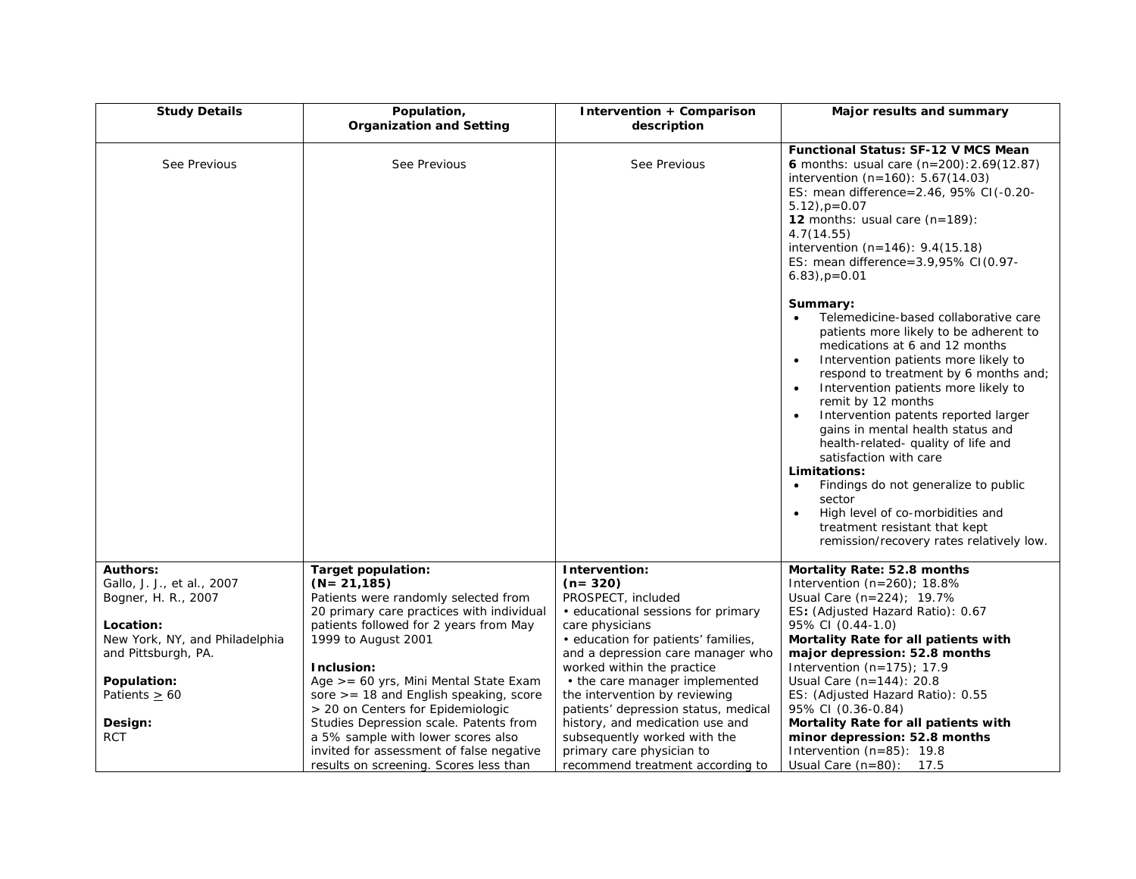| <b>Study Details</b>                        | Population,<br><b>Organization and Setting</b>                | Intervention + Comparison<br>description               | Major results and summary                                                                                                                                                                                                                                                                                                                                                                                                                                                                                                                                                                                                                                         |
|---------------------------------------------|---------------------------------------------------------------|--------------------------------------------------------|-------------------------------------------------------------------------------------------------------------------------------------------------------------------------------------------------------------------------------------------------------------------------------------------------------------------------------------------------------------------------------------------------------------------------------------------------------------------------------------------------------------------------------------------------------------------------------------------------------------------------------------------------------------------|
|                                             |                                                               |                                                        |                                                                                                                                                                                                                                                                                                                                                                                                                                                                                                                                                                                                                                                                   |
| See Previous                                | See Previous                                                  | See Previous                                           | <b>Functional Status: SF-12 V MCS Mean</b><br><b>6</b> months: usual care $(n=200):2.69(12.87)$<br>intervention $(n=160)$ : 5.67(14.03)<br>ES: mean difference=2.46, 95% CI(-0.20-<br>$5.12$ , $p=0.07$<br>12 months: usual care $(n=189)$ :<br>4.7(14.55)<br>intervention (n=146): 9.4(15.18)<br>ES: mean difference=3.9,95% CI(0.97-<br>$6.83)$ , $p=0.01$                                                                                                                                                                                                                                                                                                      |
|                                             |                                                               |                                                        | Summary:<br>Telemedicine-based collaborative care<br>patients more likely to be adherent to<br>medications at 6 and 12 months<br>Intervention patients more likely to<br>$\bullet$<br>respond to treatment by 6 months and;<br>Intervention patients more likely to<br>$\bullet$<br>remit by 12 months<br>Intervention patents reported larger<br>$\bullet$<br>gains in mental health status and<br>health-related- quality of life and<br>satisfaction with care<br>Limitations:<br>Findings do not generalize to public<br>$\bullet$<br>sector<br>High level of co-morbidities and<br>treatment resistant that kept<br>remission/recovery rates relatively low. |
| <b>Authors:</b>                             | <b>Target population:</b>                                     | Intervention:                                          | Mortality Rate: 52.8 months                                                                                                                                                                                                                                                                                                                                                                                                                                                                                                                                                                                                                                       |
| Gallo, J. J., et al., 2007                  | $(N = 21, 185)$                                               | $(n=320)$                                              | Intervention $(n=260)$ ; 18.8%                                                                                                                                                                                                                                                                                                                                                                                                                                                                                                                                                                                                                                    |
| Bogner, H. R., 2007                         | Patients were randomly selected from                          | PROSPECT, included                                     | Usual Care $(n=224)$ ; 19.7%                                                                                                                                                                                                                                                                                                                                                                                                                                                                                                                                                                                                                                      |
|                                             | 20 primary care practices with individual                     | • educational sessions for primary                     | ES: (Adjusted Hazard Ratio): 0.67                                                                                                                                                                                                                                                                                                                                                                                                                                                                                                                                                                                                                                 |
| Location:<br>New York, NY, and Philadelphia | patients followed for 2 years from May<br>1999 to August 2001 | care physicians<br>· education for patients' families, | 95% CI (0.44-1.0)<br>Mortality Rate for all patients with                                                                                                                                                                                                                                                                                                                                                                                                                                                                                                                                                                                                         |
| and Pittsburgh, PA.                         |                                                               | and a depression care manager who                      | major depression: 52.8 months                                                                                                                                                                                                                                                                                                                                                                                                                                                                                                                                                                                                                                     |
|                                             | Inclusion:                                                    | worked within the practice                             | Intervention $(n=175)$ ; 17.9                                                                                                                                                                                                                                                                                                                                                                                                                                                                                                                                                                                                                                     |
| Population:                                 | Age >= 60 yrs, Mini Mental State Exam                         | • the care manager implemented                         | Usual Care $(n=144)$ : 20.8                                                                                                                                                                                                                                                                                                                                                                                                                                                                                                                                                                                                                                       |
| Patients $\geq 60$                          | sore $>=$ 18 and English speaking, score                      | the intervention by reviewing                          | ES: (Adjusted Hazard Ratio): 0.55                                                                                                                                                                                                                                                                                                                                                                                                                                                                                                                                                                                                                                 |
|                                             | > 20 on Centers for Epidemiologic                             | patients' depression status, medical                   | 95% CI (0.36-0.84)                                                                                                                                                                                                                                                                                                                                                                                                                                                                                                                                                                                                                                                |
| Design:                                     | Studies Depression scale. Patents from                        | history, and medication use and                        | Mortality Rate for all patients with                                                                                                                                                                                                                                                                                                                                                                                                                                                                                                                                                                                                                              |
| <b>RCT</b>                                  | a 5% sample with lower scores also                            | subsequently worked with the                           | minor depression: 52.8 months                                                                                                                                                                                                                                                                                                                                                                                                                                                                                                                                                                                                                                     |
|                                             | invited for assessment of false negative                      | primary care physician to                              | Intervention $(n=85)$ : 19.8                                                                                                                                                                                                                                                                                                                                                                                                                                                                                                                                                                                                                                      |
|                                             | results on screening. Scores less than                        | recommend treatment according to                       | Usual Care $(n=80)$ : 17.5                                                                                                                                                                                                                                                                                                                                                                                                                                                                                                                                                                                                                                        |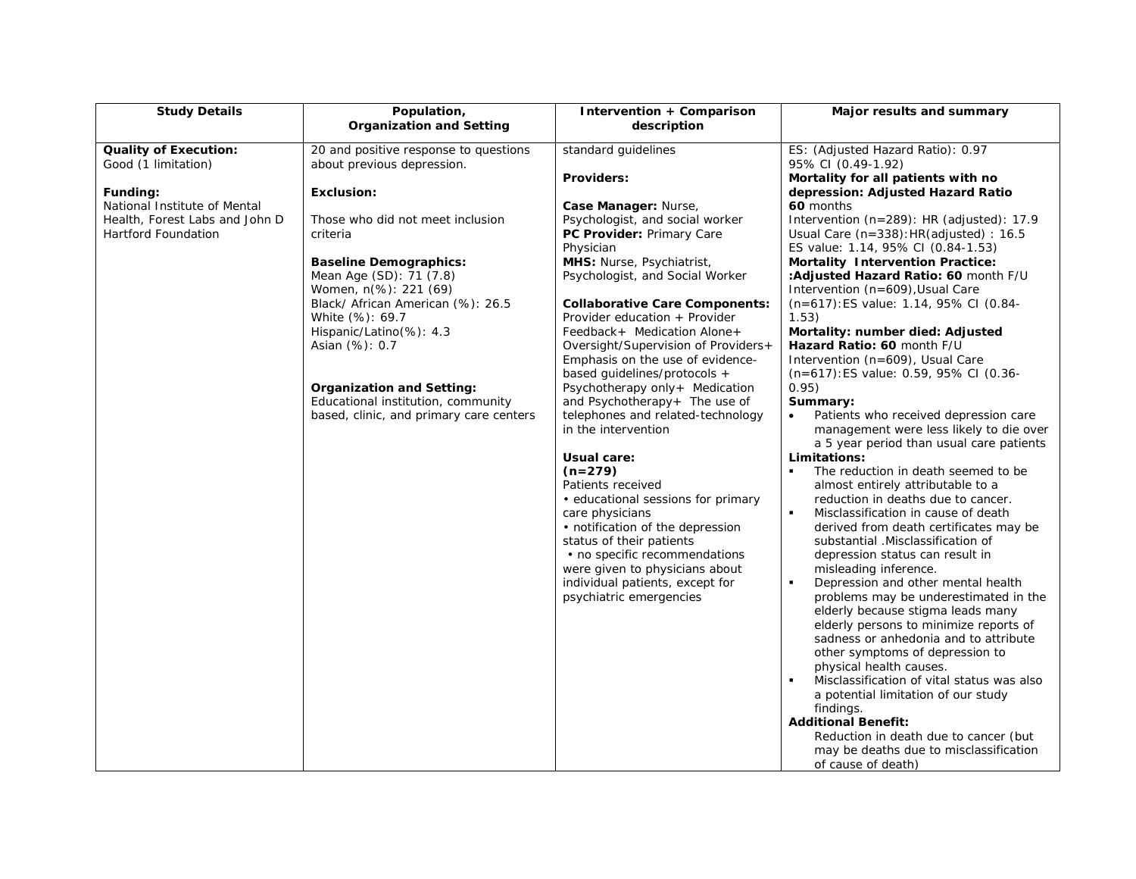| <b>Study Details</b>                                                                                                                                            | Population,<br><b>Organization and Setting</b>                                                                                                                                                                                                                                                                                                                                                                                                          | Intervention + Comparison<br>description                                                                                                                                                                                                                                                                                                                                                                                                                                                                                                                                                                                                                                                                                                                                                                                                                             | Major results and summary                                                                                                                                                                                                                                                                                                                                                                                                                                                                                                                                                                                                                                                                                                                                                                                                                                                                                                                                                                                                                                                                                                                                                                                                                                                                                                                                                                                                                                                                                                                                                                                                              |
|-----------------------------------------------------------------------------------------------------------------------------------------------------------------|---------------------------------------------------------------------------------------------------------------------------------------------------------------------------------------------------------------------------------------------------------------------------------------------------------------------------------------------------------------------------------------------------------------------------------------------------------|----------------------------------------------------------------------------------------------------------------------------------------------------------------------------------------------------------------------------------------------------------------------------------------------------------------------------------------------------------------------------------------------------------------------------------------------------------------------------------------------------------------------------------------------------------------------------------------------------------------------------------------------------------------------------------------------------------------------------------------------------------------------------------------------------------------------------------------------------------------------|----------------------------------------------------------------------------------------------------------------------------------------------------------------------------------------------------------------------------------------------------------------------------------------------------------------------------------------------------------------------------------------------------------------------------------------------------------------------------------------------------------------------------------------------------------------------------------------------------------------------------------------------------------------------------------------------------------------------------------------------------------------------------------------------------------------------------------------------------------------------------------------------------------------------------------------------------------------------------------------------------------------------------------------------------------------------------------------------------------------------------------------------------------------------------------------------------------------------------------------------------------------------------------------------------------------------------------------------------------------------------------------------------------------------------------------------------------------------------------------------------------------------------------------------------------------------------------------------------------------------------------------|
| <b>Quality of Execution:</b><br>Good (1 limitation)<br>Funding:<br>National Institute of Mental<br>Health, Forest Labs and John D<br><b>Hartford Foundation</b> | 20 and positive response to questions<br>about previous depression.<br><b>Exclusion:</b><br>Those who did not meet inclusion<br>criteria<br><b>Baseline Demographics:</b><br>Mean Age (SD): 71 (7.8)<br>Women, n(%): 221 (69)<br>Black/ African American (%): 26.5<br>White (%): 69.7<br>Hispanic/Latino(%): 4.3<br>Asian (%): 0.7<br><b>Organization and Setting:</b><br>Educational institution, community<br>based, clinic, and primary care centers | standard guidelines<br>Providers:<br>Case Manager: Nurse,<br>Psychologist, and social worker<br>PC Provider: Primary Care<br>Physician<br>MHS: Nurse, Psychiatrist,<br>Psychologist, and Social Worker<br><b>Collaborative Care Components:</b><br>Provider education + Provider<br>Feedback+ Medication Alone+<br>Oversight/Supervision of Providers+<br>Emphasis on the use of evidence-<br>based guidelines/protocols +<br>Psychotherapy only+ Medication<br>and Psychotherapy+ The use of<br>telephones and related-technology<br>in the intervention<br>Usual care:<br>$(n=279)$<br>Patients received<br>• educational sessions for primary<br>care physicians<br>• notification of the depression<br>status of their patients<br>• no specific recommendations<br>were given to physicians about<br>individual patients, except for<br>psychiatric emergencies | ES: (Adjusted Hazard Ratio): 0.97<br>95% CI (0.49-1.92)<br>Mortality for all patients with no<br>depression: Adjusted Hazard Ratio<br>60 months<br>Intervention (n=289): HR (adjusted): 17.9<br>Usual Care $(n=338)$ : HR(adjusted) : 16.5<br>ES value: 1.14, 95% CI (0.84-1.53)<br><b>Mortality Intervention Practice:</b><br>:Adjusted Hazard Ratio: 60 month F/U<br>Intervention (n=609), Usual Care<br>(n=617): ES value: 1.14, 95% CI (0.84-<br>1.53)<br>Mortality: number died: Adjusted<br>Hazard Ratio: 60 month F/U<br>Intervention (n=609), Usual Care<br>(n=617): ES value: 0.59, 95% CI (0.36-<br>0.95)<br>Summary:<br>Patients who received depression care<br>management were less likely to die over<br>a 5 year period than usual care patients<br>Limitations:<br>The reduction in death seemed to be<br>almost entirely attributable to a<br>reduction in deaths due to cancer.<br>$\blacksquare$<br>Misclassification in cause of death<br>derived from death certificates may be<br>substantial . Misclassification of<br>depression status can result in<br>misleading inference.<br>$\blacksquare$<br>Depression and other mental health<br>problems may be underestimated in the<br>elderly because stigma leads many<br>elderly persons to minimize reports of<br>sadness or anhedonia and to attribute<br>other symptoms of depression to<br>physical health causes.<br>Misclassification of vital status was also<br>a potential limitation of our study<br>findings.<br><b>Additional Benefit:</b><br>Reduction in death due to cancer (but<br>may be deaths due to misclassification<br>of cause of death) |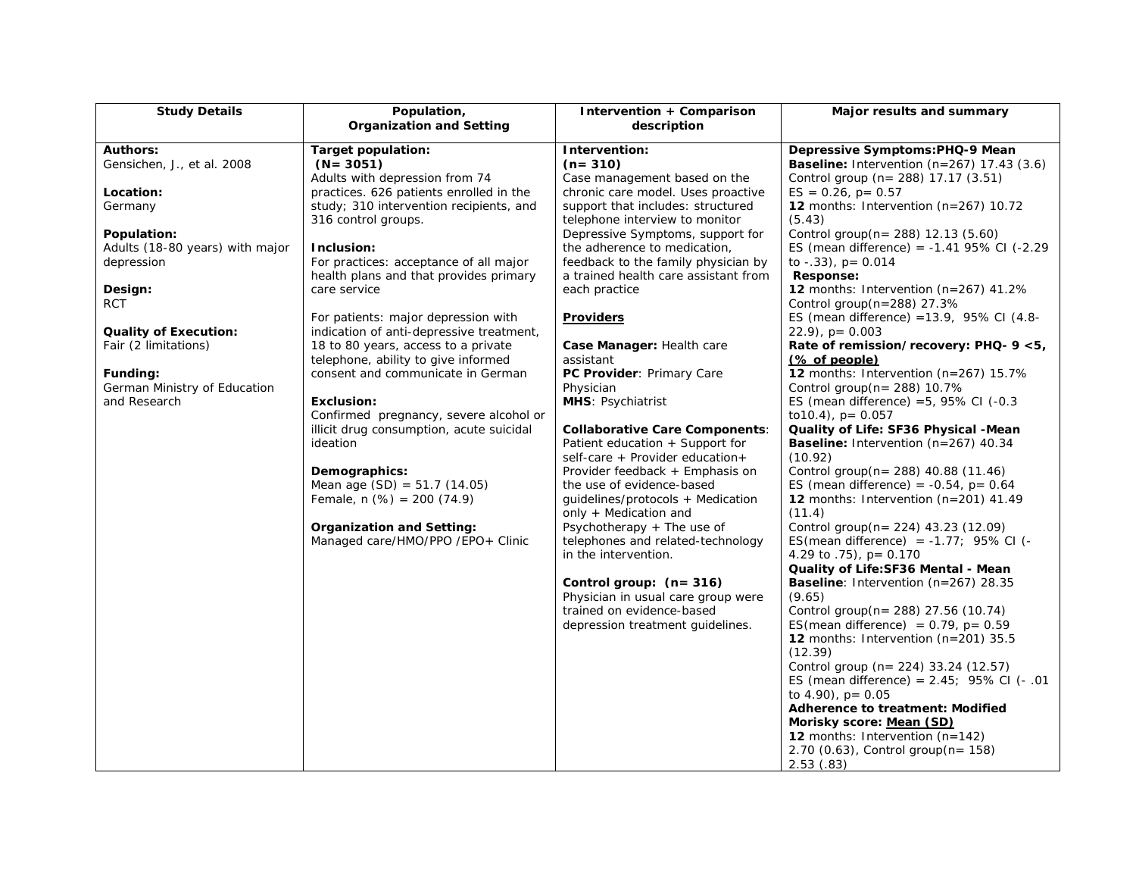| <b>Study Details</b>            | Population,                              | Intervention + Comparison                                          | Major results and summary                             |
|---------------------------------|------------------------------------------|--------------------------------------------------------------------|-------------------------------------------------------|
|                                 | <b>Organization and Setting</b>          | description                                                        |                                                       |
| <b>Authors:</b>                 | Target population:                       | Intervention:                                                      | Depressive Symptoms:PHQ-9 Mean                        |
| Gensichen, J., et al. 2008      | $(N = 3051)$                             | $(n=310)$                                                          | <b>Baseline:</b> Intervention $(n=267)$ 17.43 $(3.6)$ |
|                                 | Adults with depression from 74           | Case management based on the                                       | Control group (n= 288) 17.17 (3.51)                   |
| Location:                       | practices. 626 patients enrolled in the  | chronic care model. Uses proactive                                 | $ES = 0.26$ , $p = 0.57$                              |
| Germany                         | study; 310 intervention recipients, and  | support that includes: structured                                  | 12 months: Intervention (n=267) 10.72                 |
|                                 | 316 control groups.                      | telephone interview to monitor                                     | (5.43)                                                |
| Population:                     |                                          | Depressive Symptoms, support for                                   | Control group(n= 288) 12.13 (5.60)                    |
| Adults (18-80 years) with major | Inclusion:                               | the adherence to medication,                                       | ES (mean difference) = $-1.41$ 95% CI ( $-2.29$       |
| depression                      | For practices: acceptance of all major   | feedback to the family physician by                                | to $-.33$ ), $p = 0.014$                              |
|                                 | health plans and that provides primary   | a trained health care assistant from                               | Response:                                             |
| Design:                         | care service                             | each practice                                                      | 12 months: Intervention ( $n=267$ ) 41.2%             |
| <b>RCT</b>                      |                                          |                                                                    | Control group(n=288) 27.3%                            |
|                                 | For patients: major depression with      | <b>Providers</b>                                                   | ES (mean difference) = $13.9$ , $95\%$ CI (4.8-       |
| <b>Quality of Execution:</b>    | indication of anti-depressive treatment, |                                                                    | $22.9$ , $p = 0.003$                                  |
| Fair (2 limitations)            | 18 to 80 years, access to a private      | Case Manager: Health care                                          | Rate of remission/recovery: PHQ- 9 <5,                |
|                                 | telephone, ability to give informed      | assistant                                                          | $%$ of people)                                        |
| Funding:                        | consent and communicate in German        | PC Provider: Primary Care                                          | 12 months: Intervention (n=267) 15.7%                 |
| German Ministry of Education    |                                          | Physician                                                          | Control group(n= 288) 10.7%                           |
| and Research                    | Exclusion:                               | MHS: Psychiatrist                                                  | ES (mean difference) = $5,95\%$ CI (-0.3              |
|                                 | Confirmed pregnancy, severe alcohol or   |                                                                    | to $10.4$ ), $p = 0.057$                              |
|                                 | illicit drug consumption, acute suicidal | <b>Collaborative Care Components:</b>                              | Quality of Life: SF36 Physical -Mean                  |
|                                 | ideation                                 | Patient education + Support for                                    | <b>Baseline:</b> Intervention $(n=267)$ 40.34         |
|                                 | Demographics:                            | self-care + Provider education+<br>Provider feedback + Emphasis on | (10.92)<br>Control group(n= 288) 40.88 (11.46)        |
|                                 | Mean age $(SD) = 51.7 (14.05)$           | the use of evidence-based                                          | ES (mean difference) = $-0.54$ , p= 0.64              |
|                                 | Female, $n$ (%) = 200 (74.9)             | quidelines/protocols + Medication                                  | 12 months: Intervention (n=201) 41.49                 |
|                                 |                                          | only + Medication and                                              | (11.4)                                                |
|                                 | <b>Organization and Setting:</b>         | Psychotherapy + The use of                                         | Control group(n= 224) 43.23 (12.09)                   |
|                                 | Managed care/HMO/PPO /EPO+ Clinic        | telephones and related-technology                                  | ES(mean difference) = $-1.77$ ; 95% CI (-             |
|                                 |                                          | in the intervention.                                               | 4.29 to $.75$ ), p= 0.170                             |
|                                 |                                          |                                                                    | Quality of Life: SF36 Mental - Mean                   |
|                                 |                                          | Control group: $(n=316)$                                           | <b>Baseline:</b> Intervention $(n=267)$ 28.35         |
|                                 |                                          | Physician in usual care group were                                 | (9.65)                                                |
|                                 |                                          | trained on evidence-based                                          | Control group(n= 288) 27.56 (10.74)                   |
|                                 |                                          | depression treatment guidelines.                                   | ES(mean difference) = $0.79$ , p= $0.59$              |
|                                 |                                          |                                                                    | <b>12</b> months: Intervention $(n=201)$ 35.5         |
|                                 |                                          |                                                                    | (12.39)                                               |
|                                 |                                          |                                                                    | Control group (n= 224) 33.24 (12.57)                  |
|                                 |                                          |                                                                    | ES (mean difference) = $2.45$ ; $95\%$ CI (- .01      |
|                                 |                                          |                                                                    | to $4.90$ ), $p = 0.05$                               |
|                                 |                                          |                                                                    | <b>Adherence to treatment: Modified</b>               |
|                                 |                                          |                                                                    | Morisky score: Mean (SD)                              |
|                                 |                                          |                                                                    | <b>12</b> months: Intervention $(n=142)$              |
|                                 |                                          |                                                                    | $2.70$ (0.63), Control group(n= 158)                  |
|                                 |                                          |                                                                    | 2.53(.83)                                             |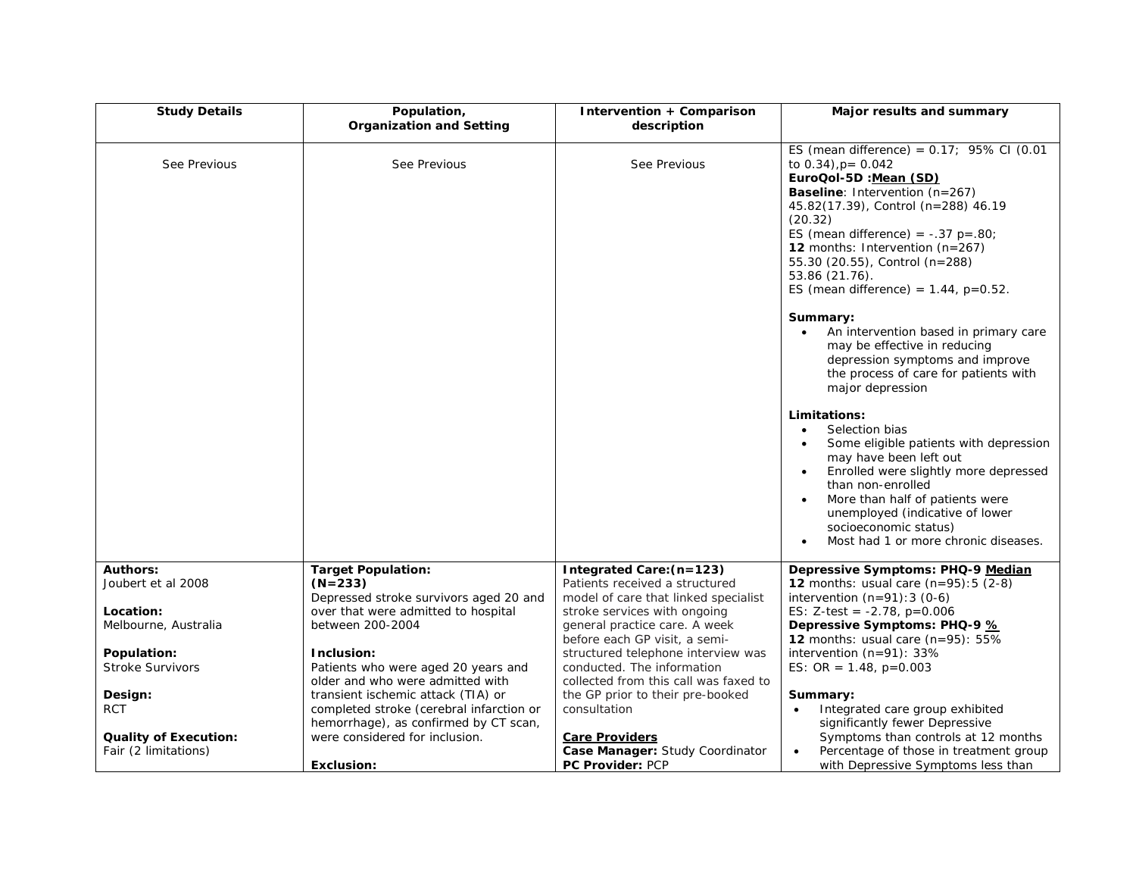| <b>Study Details</b>                                 | Population,<br><b>Organization and Setting</b>                                                                          | Intervention + Comparison<br>description                                                                                               | Major results and summary                                                                                                                                                                                                                                                                                                                                             |
|------------------------------------------------------|-------------------------------------------------------------------------------------------------------------------------|----------------------------------------------------------------------------------------------------------------------------------------|-----------------------------------------------------------------------------------------------------------------------------------------------------------------------------------------------------------------------------------------------------------------------------------------------------------------------------------------------------------------------|
| See Previous                                         | See Previous                                                                                                            | See Previous                                                                                                                           | ES (mean difference) = $0.17$ ; 95% CI (0.01<br>to $0.34$ ), $p = 0.042$<br>EuroQol-5D :Mean (SD)<br>Baseline: Intervention (n=267)<br>45.82(17.39), Control (n=288) 46.19<br>(20.32)<br>ES (mean difference) = $-.37$ p= $.80$ ;<br>12 months: Intervention $(n=267)$<br>55.30 (20.55), Control (n=288)<br>53.86 (21.76).<br>ES (mean difference) = $1.44$ , p=0.52. |
|                                                      |                                                                                                                         |                                                                                                                                        | Summary:<br>An intervention based in primary care<br>may be effective in reducing<br>depression symptoms and improve<br>the process of care for patients with<br>major depression                                                                                                                                                                                     |
|                                                      |                                                                                                                         |                                                                                                                                        | Limitations:<br>Selection bias<br>$\bullet$<br>Some eligible patients with depression<br>may have been left out<br>Enrolled were slightly more depressed<br>than non-enrolled<br>More than half of patients were<br>unemployed (indicative of lower<br>socioeconomic status)<br>Most had 1 or more chronic diseases.                                                  |
| <b>Authors:</b><br>Joubert et al 2008                | <b>Target Population:</b><br>$(N=233)$                                                                                  | Integrated Care: (n=123)<br>Patients received a structured                                                                             | Depressive Symptoms: PHQ-9 Median<br><b>12</b> months: usual care $(n=95):5(2-8)$                                                                                                                                                                                                                                                                                     |
| Location:<br>Melbourne, Australia                    | Depressed stroke survivors aged 20 and<br>over that were admitted to hospital<br>between 200-2004                       | model of care that linked specialist<br>stroke services with ongoing<br>general practice care. A week<br>before each GP visit, a semi- | intervention $(n=91):3(0-6)$<br>ES: Z-test = $-2.78$ , p=0.006<br>Depressive Symptoms: PHQ-9 %<br><b>12</b> months: usual care $(n=95)$ : 55%                                                                                                                                                                                                                         |
| Population:                                          | Inclusion:                                                                                                              | structured telephone interview was                                                                                                     | intervention (n=91): 33%                                                                                                                                                                                                                                                                                                                                              |
| <b>Stroke Survivors</b>                              | Patients who were aged 20 years and<br>older and who were admitted with                                                 | conducted. The information<br>collected from this call was faxed to                                                                    | ES: OR = $1.48$ , p=0.003                                                                                                                                                                                                                                                                                                                                             |
| Design:<br><b>RCT</b>                                | transient ischemic attack (TIA) or<br>completed stroke (cerebral infarction or<br>hemorrhage), as confirmed by CT scan, | the GP prior to their pre-booked<br>consultation                                                                                       | Summary:<br>Integrated care group exhibited<br>$\bullet$<br>significantly fewer Depressive                                                                                                                                                                                                                                                                            |
| <b>Quality of Execution:</b><br>Fair (2 limitations) | were considered for inclusion.<br><b>Exclusion:</b>                                                                     | <b>Care Providers</b><br>Case Manager: Study Coordinator<br><b>PC Provider: PCP</b>                                                    | Symptoms than controls at 12 months<br>Percentage of those in treatment group<br>$\bullet$<br>with Depressive Symptoms less than                                                                                                                                                                                                                                      |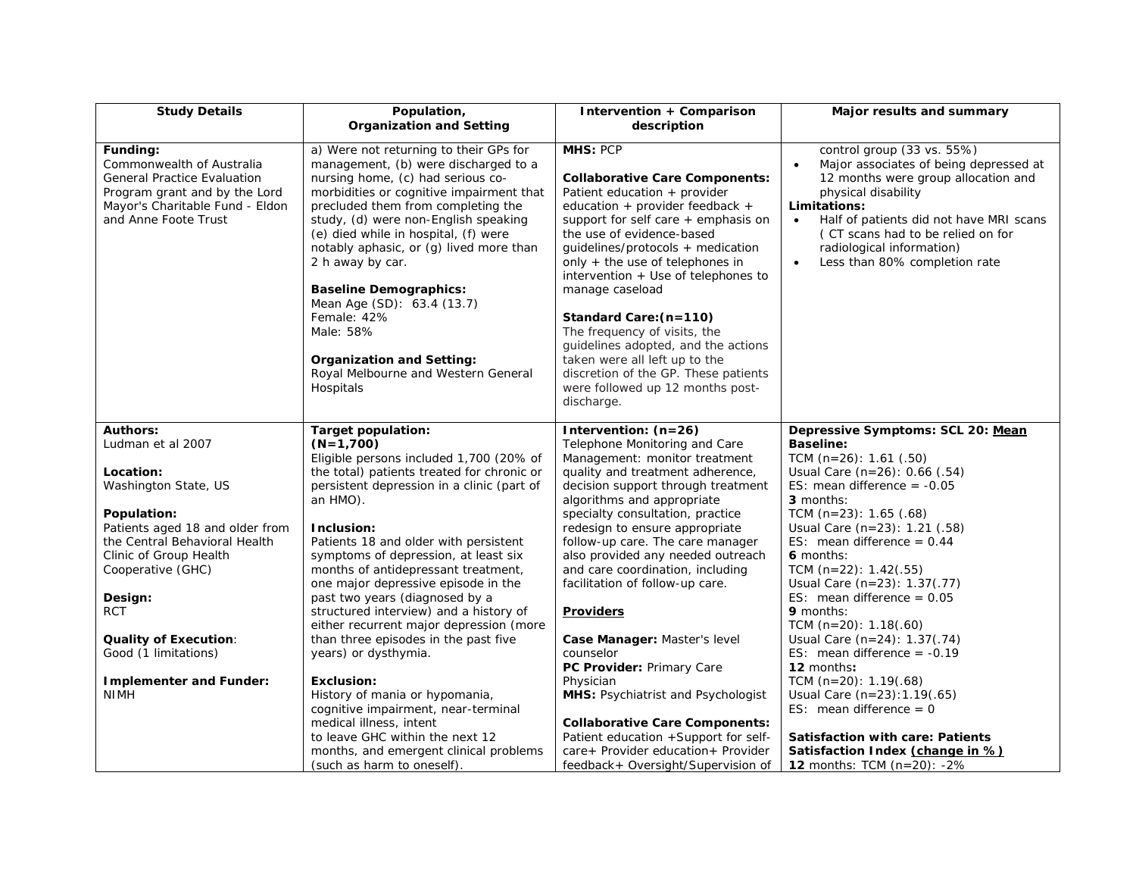| <b>Study Details</b>                                                                                                                                                    | Population,                                                                                                                                                                                                                                                                                                                                                                                                                                                                                                                      | Intervention + Comparison                                                                                                                                                                                                                                                                                                                                                                                                                                                                                                                                  | Major results and summary                                                                                                                                                                                                                                                                                                               |
|-------------------------------------------------------------------------------------------------------------------------------------------------------------------------|----------------------------------------------------------------------------------------------------------------------------------------------------------------------------------------------------------------------------------------------------------------------------------------------------------------------------------------------------------------------------------------------------------------------------------------------------------------------------------------------------------------------------------|------------------------------------------------------------------------------------------------------------------------------------------------------------------------------------------------------------------------------------------------------------------------------------------------------------------------------------------------------------------------------------------------------------------------------------------------------------------------------------------------------------------------------------------------------------|-----------------------------------------------------------------------------------------------------------------------------------------------------------------------------------------------------------------------------------------------------------------------------------------------------------------------------------------|
|                                                                                                                                                                         | <b>Organization and Setting</b>                                                                                                                                                                                                                                                                                                                                                                                                                                                                                                  | description                                                                                                                                                                                                                                                                                                                                                                                                                                                                                                                                                |                                                                                                                                                                                                                                                                                                                                         |
| Funding:<br>Commonwealth of Australia<br><b>General Practice Evaluation</b><br>Program grant and by the Lord<br>Mayor's Charitable Fund - Eldon<br>and Anne Foote Trust | a) Were not returning to their GPs for<br>management, (b) were discharged to a<br>nursing home, (c) had serious co-<br>morbidities or cognitive impairment that<br>precluded them from completing the<br>study, (d) were non-English speaking<br>(e) died while in hospital, (f) were<br>notably aphasic, or (g) lived more than<br>2 h away by car.<br><b>Baseline Demographics:</b><br>Mean Age (SD): 63.4 (13.7)<br>Female: 42%<br>Male: 58%<br>Organization and Setting:<br>Royal Melbourne and Western General<br>Hospitals | MHS: PCP<br><b>Collaborative Care Components:</b><br>Patient education + provider<br>education + provider feedback +<br>support for self care $+$ emphasis on<br>the use of evidence-based<br>quidelines/protocols + medication<br>only + the use of telephones in<br>intervention $+$ Use of telephones to<br>manage caseload<br>Standard Care: (n=110)<br>The frequency of visits, the<br>guidelines adopted, and the actions<br>taken were all left up to the<br>discretion of the GP. These patients<br>were followed up 12 months post-<br>discharge. | control group (33 vs. 55%)<br>Major associates of being depressed at<br>$\bullet$<br>12 months were group allocation and<br>physical disability<br>Limitations:<br>Half of patients did not have MRI scans<br>$\bullet$<br>(CT scans had to be relied on for<br>radiological information)<br>Less than 80% completion rate<br>$\bullet$ |
| Authors:                                                                                                                                                                | <b>Target population:</b>                                                                                                                                                                                                                                                                                                                                                                                                                                                                                                        | Intervention: (n=26)                                                                                                                                                                                                                                                                                                                                                                                                                                                                                                                                       | Depressive Symptoms: SCL 20: Mean                                                                                                                                                                                                                                                                                                       |
| Ludman et al 2007                                                                                                                                                       | $(N=1,700)$<br>Eligible persons included 1,700 (20% of                                                                                                                                                                                                                                                                                                                                                                                                                                                                           | Telephone Monitoring and Care<br>Management: monitor treatment                                                                                                                                                                                                                                                                                                                                                                                                                                                                                             | <b>Baseline:</b><br>TCM $(n=26)$ : 1.61 $(.50)$                                                                                                                                                                                                                                                                                         |
| Location:                                                                                                                                                               | the total) patients treated for chronic or                                                                                                                                                                                                                                                                                                                                                                                                                                                                                       | quality and treatment adherence,                                                                                                                                                                                                                                                                                                                                                                                                                                                                                                                           | Usual Care $(n=26)$ : 0.66 $(.54)$                                                                                                                                                                                                                                                                                                      |
| Washington State, US                                                                                                                                                    | persistent depression in a clinic (part of                                                                                                                                                                                                                                                                                                                                                                                                                                                                                       | decision support through treatment<br>algorithms and appropriate                                                                                                                                                                                                                                                                                                                                                                                                                                                                                           | ES: mean difference $= -0.05$<br>3 months:                                                                                                                                                                                                                                                                                              |
| Population:                                                                                                                                                             | an HMO).                                                                                                                                                                                                                                                                                                                                                                                                                                                                                                                         | specialty consultation, practice                                                                                                                                                                                                                                                                                                                                                                                                                                                                                                                           | TCM $(n=23)$ : 1.65 $(.68)$                                                                                                                                                                                                                                                                                                             |
| Patients aged 18 and older from                                                                                                                                         | Inclusion:                                                                                                                                                                                                                                                                                                                                                                                                                                                                                                                       | redesign to ensure appropriate                                                                                                                                                                                                                                                                                                                                                                                                                                                                                                                             | Usual Care $(n=23)$ : 1.21 $(.58)$                                                                                                                                                                                                                                                                                                      |
| the Central Behavioral Health                                                                                                                                           | Patients 18 and older with persistent                                                                                                                                                                                                                                                                                                                                                                                                                                                                                            | follow-up care. The care manager                                                                                                                                                                                                                                                                                                                                                                                                                                                                                                                           | ES: mean difference = $0.44$                                                                                                                                                                                                                                                                                                            |
| Clinic of Group Health                                                                                                                                                  | symptoms of depression, at least six                                                                                                                                                                                                                                                                                                                                                                                                                                                                                             | also provided any needed outreach                                                                                                                                                                                                                                                                                                                                                                                                                                                                                                                          | 6 months:                                                                                                                                                                                                                                                                                                                               |
| Cooperative (GHC)                                                                                                                                                       | months of antidepressant treatment,                                                                                                                                                                                                                                                                                                                                                                                                                                                                                              | and care coordination, including                                                                                                                                                                                                                                                                                                                                                                                                                                                                                                                           | TCM $(n=22)$ : 1.42(.55)                                                                                                                                                                                                                                                                                                                |
|                                                                                                                                                                         | one major depressive episode in the                                                                                                                                                                                                                                                                                                                                                                                                                                                                                              | facilitation of follow-up care.                                                                                                                                                                                                                                                                                                                                                                                                                                                                                                                            | Usual Care (n=23): 1.37(.77)                                                                                                                                                                                                                                                                                                            |
| Design:<br><b>RCT</b>                                                                                                                                                   | past two years (diagnosed by a<br>structured interview) and a history of                                                                                                                                                                                                                                                                                                                                                                                                                                                         | <b>Providers</b>                                                                                                                                                                                                                                                                                                                                                                                                                                                                                                                                           | ES: mean difference = $0.05$<br>9 months:                                                                                                                                                                                                                                                                                               |
|                                                                                                                                                                         | either recurrent major depression (more                                                                                                                                                                                                                                                                                                                                                                                                                                                                                          |                                                                                                                                                                                                                                                                                                                                                                                                                                                                                                                                                            | TCM $(n=20)$ : 1.18 $(.60)$                                                                                                                                                                                                                                                                                                             |
| <b>Quality of Execution:</b>                                                                                                                                            | than three episodes in the past five                                                                                                                                                                                                                                                                                                                                                                                                                                                                                             | Case Manager: Master's level                                                                                                                                                                                                                                                                                                                                                                                                                                                                                                                               | Usual Care (n=24): 1.37(.74)                                                                                                                                                                                                                                                                                                            |
| Good (1 limitations)                                                                                                                                                    | years) or dysthymia.                                                                                                                                                                                                                                                                                                                                                                                                                                                                                                             | counselor                                                                                                                                                                                                                                                                                                                                                                                                                                                                                                                                                  | ES: mean difference = $-0.19$                                                                                                                                                                                                                                                                                                           |
|                                                                                                                                                                         |                                                                                                                                                                                                                                                                                                                                                                                                                                                                                                                                  | PC Provider: Primary Care                                                                                                                                                                                                                                                                                                                                                                                                                                                                                                                                  | 12 months:                                                                                                                                                                                                                                                                                                                              |
| <b>Implementer and Funder:</b>                                                                                                                                          | <b>Exclusion:</b>                                                                                                                                                                                                                                                                                                                                                                                                                                                                                                                | Physician                                                                                                                                                                                                                                                                                                                                                                                                                                                                                                                                                  | TCM $(n=20)$ : 1.19 $(.68)$                                                                                                                                                                                                                                                                                                             |
| <b>NIMH</b>                                                                                                                                                             | History of mania or hypomania,<br>cognitive impairment, near-terminal                                                                                                                                                                                                                                                                                                                                                                                                                                                            | MHS: Psychiatrist and Psychologist                                                                                                                                                                                                                                                                                                                                                                                                                                                                                                                         | Usual Care (n=23):1.19(.65)<br>ES: mean difference = $0$                                                                                                                                                                                                                                                                                |
|                                                                                                                                                                         | medical illness, intent                                                                                                                                                                                                                                                                                                                                                                                                                                                                                                          | <b>Collaborative Care Components:</b>                                                                                                                                                                                                                                                                                                                                                                                                                                                                                                                      |                                                                                                                                                                                                                                                                                                                                         |
|                                                                                                                                                                         | to leave GHC within the next 12                                                                                                                                                                                                                                                                                                                                                                                                                                                                                                  | Patient education +Support for self-                                                                                                                                                                                                                                                                                                                                                                                                                                                                                                                       | <b>Satisfaction with care: Patients</b>                                                                                                                                                                                                                                                                                                 |
|                                                                                                                                                                         | months, and emergent clinical problems                                                                                                                                                                                                                                                                                                                                                                                                                                                                                           | care+ Provider education+ Provider                                                                                                                                                                                                                                                                                                                                                                                                                                                                                                                         | Satisfaction Index (change in %)                                                                                                                                                                                                                                                                                                        |
|                                                                                                                                                                         | (such as harm to oneself).                                                                                                                                                                                                                                                                                                                                                                                                                                                                                                       | feedback+ Oversight/Supervision of                                                                                                                                                                                                                                                                                                                                                                                                                                                                                                                         | 12 months: TCM (n=20): -2%                                                                                                                                                                                                                                                                                                              |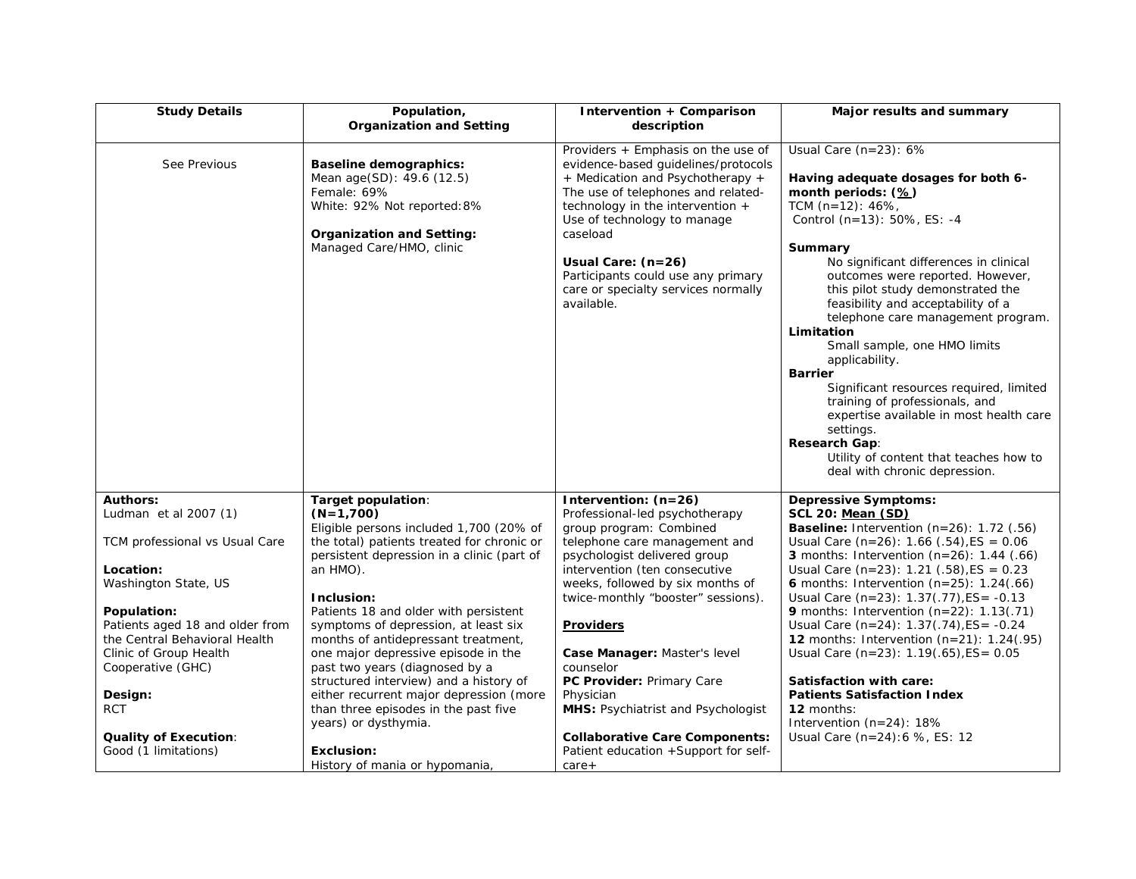| <b>Study Details</b>                                                                                                                                                                                                                                                                                                               | Population,<br><b>Organization and Setting</b>                                                                                                                                                                                                                                                                                                                                                                                                                                                                                                                                                                  | Intervention + Comparison<br>description                                                                                                                                                                                                                                                                                                                                                                                                                                                                   | Major results and summary                                                                                                                                                                                                                                                                                                                                                                                                                                                                                                                                                                                                                                                                                                    |
|------------------------------------------------------------------------------------------------------------------------------------------------------------------------------------------------------------------------------------------------------------------------------------------------------------------------------------|-----------------------------------------------------------------------------------------------------------------------------------------------------------------------------------------------------------------------------------------------------------------------------------------------------------------------------------------------------------------------------------------------------------------------------------------------------------------------------------------------------------------------------------------------------------------------------------------------------------------|------------------------------------------------------------------------------------------------------------------------------------------------------------------------------------------------------------------------------------------------------------------------------------------------------------------------------------------------------------------------------------------------------------------------------------------------------------------------------------------------------------|------------------------------------------------------------------------------------------------------------------------------------------------------------------------------------------------------------------------------------------------------------------------------------------------------------------------------------------------------------------------------------------------------------------------------------------------------------------------------------------------------------------------------------------------------------------------------------------------------------------------------------------------------------------------------------------------------------------------------|
|                                                                                                                                                                                                                                                                                                                                    |                                                                                                                                                                                                                                                                                                                                                                                                                                                                                                                                                                                                                 |                                                                                                                                                                                                                                                                                                                                                                                                                                                                                                            |                                                                                                                                                                                                                                                                                                                                                                                                                                                                                                                                                                                                                                                                                                                              |
| See Previous                                                                                                                                                                                                                                                                                                                       | <b>Baseline demographics:</b><br>Mean age(SD): 49.6 (12.5)<br>Female: 69%<br>White: 92% Not reported: 8%<br><b>Organization and Setting:</b><br>Managed Care/HMO, clinic                                                                                                                                                                                                                                                                                                                                                                                                                                        | Providers + Emphasis on the use of<br>evidence-based guidelines/protocols<br>+ Medication and Psychotherapy +<br>The use of telephones and related-<br>technology in the intervention +<br>Use of technology to manage<br>caseload<br>Usual Care: (n=26)<br>Participants could use any primary<br>care or specialty services normally<br>available.                                                                                                                                                        | Usual Care $(n=23)$ : 6%<br>Having adequate dosages for both 6-<br>month periods: (%)<br>TCM (n=12): 46%,<br>Control (n=13): 50%, ES: -4<br>Summary<br>No significant differences in clinical<br>outcomes were reported. However,<br>this pilot study demonstrated the<br>feasibility and acceptability of a<br>telephone care management program.<br>Limitation<br>Small sample, one HMO limits<br>applicability.<br><b>Barrier</b><br>Significant resources required, limited<br>training of professionals, and<br>expertise available in most health care<br>settings.<br>Research Gap:<br>Utility of content that teaches how to<br>deal with chronic depression.                                                        |
| <b>Authors:</b><br>Ludman et al 2007 (1)<br>TCM professional vs Usual Care<br>Location:<br>Washington State, US<br>Population:<br>Patients aged 18 and older from<br>the Central Behavioral Health<br>Clinic of Group Health<br>Cooperative (GHC)<br>Design:<br><b>RCT</b><br><b>Quality of Execution:</b><br>Good (1 limitations) | Target population:<br>$(N=1,700)$<br>Eligible persons included 1,700 (20% of<br>the total) patients treated for chronic or<br>persistent depression in a clinic (part of<br>an HMO).<br>Inclusion:<br>Patients 18 and older with persistent<br>symptoms of depression, at least six<br>months of antidepressant treatment,<br>one major depressive episode in the<br>past two years (diagnosed by a<br>structured interview) and a history of<br>either recurrent major depression (more<br>than three episodes in the past five<br>years) or dysthymia.<br><b>Exclusion:</b><br>History of mania or hypomania, | Intervention: (n=26)<br>Professional-led psychotherapy<br>group program: Combined<br>telephone care management and<br>psychologist delivered group<br>intervention (ten consecutive<br>weeks, followed by six months of<br>twice-monthly "booster" sessions).<br><b>Providers</b><br>Case Manager: Master's level<br>counselor<br>PC Provider: Primary Care<br>Physician<br>MHS: Psychiatrist and Psychologist<br><b>Collaborative Care Components:</b><br>Patient education +Support for self-<br>$care+$ | <b>Depressive Symptoms:</b><br><b>SCL 20: Mean (SD)</b><br>Baseline: Intervention $(n=26)$ : 1.72 (.56)<br>Usual Care (n=26): $1.66$ (.54), ES = 0.06<br><b>3</b> months: Intervention $(n=26)$ : 1.44 $(.66)$<br>Usual Care $(n=23)$ : 1.21 $(.58)$ , ES = 0.23<br><b>6</b> months: Intervention $(n=25)$ : 1.24 $(.66)$<br>Usual Care $(n=23)$ : 1.37(.77), ES= -0.13<br>9 months: Intervention $(n=22)$ : 1.13(.71)<br>Usual Care $(n=24)$ : 1.37 $(.74)$ , ES = -0.24<br><b>12</b> months: Intervention $(n=21)$ : 1.24 $(.95)$<br>Usual Care (n=23): 1.19(.65), ES= 0.05<br>Satisfaction with care:<br><b>Patients Satisfaction Index</b><br>12 months:<br>Intervention $(n=24)$ : 18%<br>Usual Care (n=24):6 %, ES: 12 |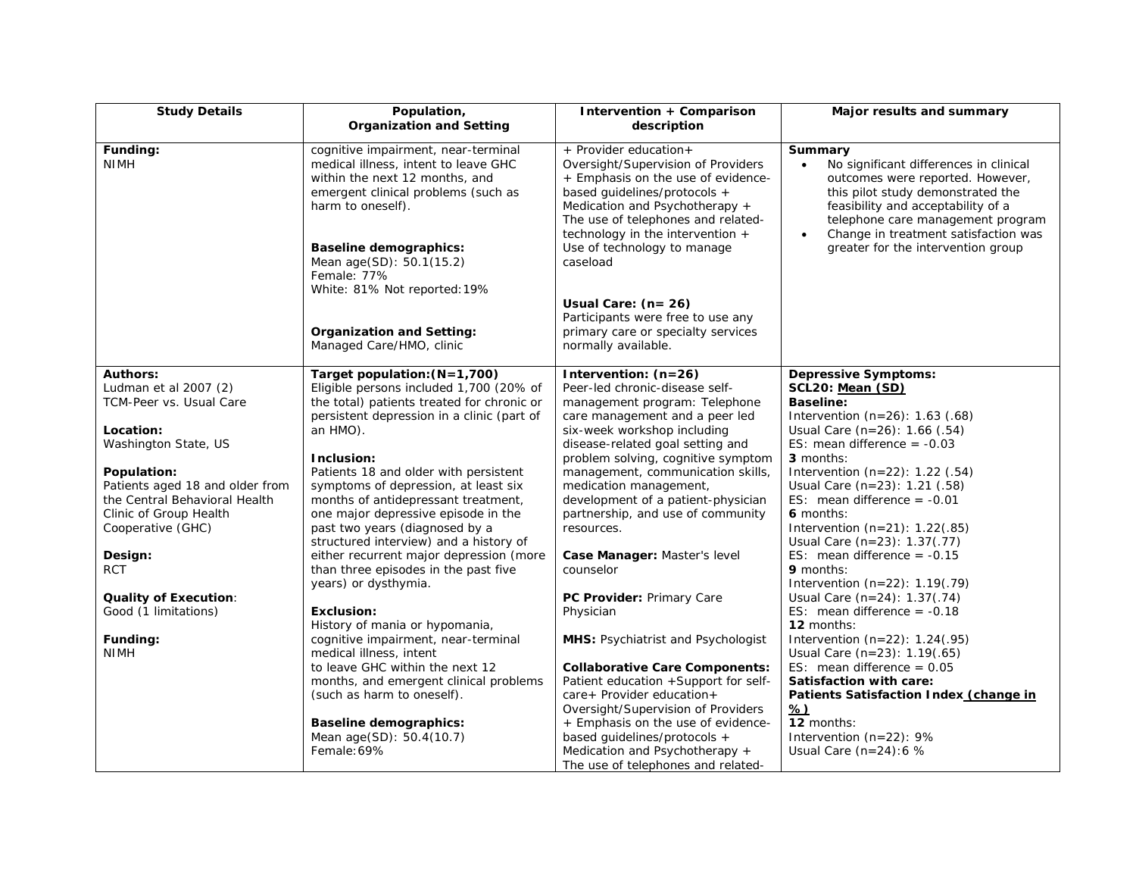| <b>Study Details</b>                             | Population,<br><b>Organization and Setting</b>                                                                                                                                                                                                        | Intervention + Comparison<br>description                                                                                                                                                                                                                                                   | Major results and summary                                                                                                                                                                                                                                                           |
|--------------------------------------------------|-------------------------------------------------------------------------------------------------------------------------------------------------------------------------------------------------------------------------------------------------------|--------------------------------------------------------------------------------------------------------------------------------------------------------------------------------------------------------------------------------------------------------------------------------------------|-------------------------------------------------------------------------------------------------------------------------------------------------------------------------------------------------------------------------------------------------------------------------------------|
| Funding:<br><b>NIMH</b>                          | cognitive impairment, near-terminal<br>medical illness, intent to leave GHC<br>within the next 12 months, and<br>emergent clinical problems (such as<br>harm to oneself).<br><b>Baseline demographics:</b><br>Mean age(SD): 50.1(15.2)<br>Female: 77% | + Provider education+<br>Oversight/Supervision of Providers<br>+ Emphasis on the use of evidence-<br>based guidelines/protocols +<br>Medication and Psychotherapy +<br>The use of telephones and related-<br>technology in the intervention $+$<br>Use of technology to manage<br>caseload | Summary<br>No significant differences in clinical<br>outcomes were reported. However,<br>this pilot study demonstrated the<br>feasibility and acceptability of a<br>telephone care management program<br>Change in treatment satisfaction was<br>greater for the intervention group |
|                                                  | White: 81% Not reported: 19%<br><b>Organization and Setting:</b><br>Managed Care/HMO, clinic                                                                                                                                                          | Usual Care: $(n=26)$<br>Participants were free to use any<br>primary care or specialty services<br>normally available.                                                                                                                                                                     |                                                                                                                                                                                                                                                                                     |
| <b>Authors:</b>                                  | Target population: (N=1,700)                                                                                                                                                                                                                          | Intervention: (n=26)                                                                                                                                                                                                                                                                       | <b>Depressive Symptoms:</b>                                                                                                                                                                                                                                                         |
| Ludman et al 2007 (2)<br>TCM-Peer vs. Usual Care | Eligible persons included 1,700 (20% of<br>the total) patients treated for chronic or                                                                                                                                                                 | Peer-led chronic-disease self-<br>management program: Telephone                                                                                                                                                                                                                            | SCL20: Mean (SD)<br><b>Baseline:</b>                                                                                                                                                                                                                                                |
|                                                  | persistent depression in a clinic (part of                                                                                                                                                                                                            | care management and a peer led                                                                                                                                                                                                                                                             | Intervention $(n=26)$ : 1.63 (.68)                                                                                                                                                                                                                                                  |
| Location:                                        | an HMO).                                                                                                                                                                                                                                              | six-week workshop including                                                                                                                                                                                                                                                                | Usual Care $(n=26)$ : 1.66 $(.54)$                                                                                                                                                                                                                                                  |
| Washington State, US                             |                                                                                                                                                                                                                                                       | disease-related goal setting and                                                                                                                                                                                                                                                           | ES: mean difference $= -0.03$                                                                                                                                                                                                                                                       |
| Population:                                      | Inclusion:<br>Patients 18 and older with persistent                                                                                                                                                                                                   | problem solving, cognitive symptom<br>management, communication skills,                                                                                                                                                                                                                    | 3 months:<br>Intervention $(n=22)$ : 1.22 $(.54)$                                                                                                                                                                                                                                   |
| Patients aged 18 and older from                  | symptoms of depression, at least six                                                                                                                                                                                                                  | medication management,                                                                                                                                                                                                                                                                     | Usual Care (n=23): 1.21 (.58)                                                                                                                                                                                                                                                       |
| the Central Behavioral Health                    | months of antidepressant treatment,                                                                                                                                                                                                                   | development of a patient-physician                                                                                                                                                                                                                                                         | ES: mean difference = $-0.01$                                                                                                                                                                                                                                                       |
| Clinic of Group Health                           | one major depressive episode in the                                                                                                                                                                                                                   | partnership, and use of community                                                                                                                                                                                                                                                          | 6 months:                                                                                                                                                                                                                                                                           |
| Cooperative (GHC)                                | past two years (diagnosed by a                                                                                                                                                                                                                        | resources.                                                                                                                                                                                                                                                                                 | Intervention $(n=21)$ : 1.22(.85)                                                                                                                                                                                                                                                   |
|                                                  | structured interview) and a history of                                                                                                                                                                                                                |                                                                                                                                                                                                                                                                                            | Usual Care (n=23): 1.37(.77)                                                                                                                                                                                                                                                        |
| Design:                                          | either recurrent major depression (more                                                                                                                                                                                                               | Case Manager: Master's level                                                                                                                                                                                                                                                               | ES: mean difference = $-0.15$                                                                                                                                                                                                                                                       |
| <b>RCT</b>                                       | than three episodes in the past five<br>years) or dysthymia.                                                                                                                                                                                          | counselor                                                                                                                                                                                                                                                                                  | 9 months:<br>Intervention $(n=22)$ : 1.19 $(.79)$                                                                                                                                                                                                                                   |
| <b>Quality of Execution:</b>                     |                                                                                                                                                                                                                                                       | PC Provider: Primary Care                                                                                                                                                                                                                                                                  | Usual Care (n=24): 1.37(.74)                                                                                                                                                                                                                                                        |
| Good (1 limitations)                             | Exclusion:                                                                                                                                                                                                                                            | Physician                                                                                                                                                                                                                                                                                  | ES: mean difference $= -0.18$                                                                                                                                                                                                                                                       |
|                                                  | History of mania or hypomania,                                                                                                                                                                                                                        |                                                                                                                                                                                                                                                                                            | 12 months:                                                                                                                                                                                                                                                                          |
| Funding:                                         | cognitive impairment, near-terminal                                                                                                                                                                                                                   | MHS: Psychiatrist and Psychologist                                                                                                                                                                                                                                                         | Intervention $(n=22)$ : 1.24 $(.95)$                                                                                                                                                                                                                                                |
| <b>NIMH</b>                                      | medical illness, intent                                                                                                                                                                                                                               |                                                                                                                                                                                                                                                                                            | Usual Care (n=23): 1.19(.65)                                                                                                                                                                                                                                                        |
|                                                  | to leave GHC within the next 12                                                                                                                                                                                                                       | <b>Collaborative Care Components:</b>                                                                                                                                                                                                                                                      | ES: mean difference = $0.05$                                                                                                                                                                                                                                                        |
|                                                  | months, and emergent clinical problems                                                                                                                                                                                                                | Patient education +Support for self-                                                                                                                                                                                                                                                       | Satisfaction with care:                                                                                                                                                                                                                                                             |
|                                                  | (such as harm to oneself).                                                                                                                                                                                                                            | care+ Provider education+<br>Oversight/Supervision of Providers                                                                                                                                                                                                                            | Patients Satisfaction Index (change in<br><u>%)</u>                                                                                                                                                                                                                                 |
|                                                  | <b>Baseline demographics:</b>                                                                                                                                                                                                                         | + Emphasis on the use of evidence-                                                                                                                                                                                                                                                         | 12 months:                                                                                                                                                                                                                                                                          |
|                                                  | Mean age(SD): 50.4(10.7)                                                                                                                                                                                                                              | based guidelines/protocols +                                                                                                                                                                                                                                                               | Intervention (n=22): 9%                                                                                                                                                                                                                                                             |
|                                                  | Female: 69%                                                                                                                                                                                                                                           | Medication and Psychotherapy +                                                                                                                                                                                                                                                             | Usual Care $(n=24):6$ %                                                                                                                                                                                                                                                             |
|                                                  |                                                                                                                                                                                                                                                       | The use of telephones and related-                                                                                                                                                                                                                                                         |                                                                                                                                                                                                                                                                                     |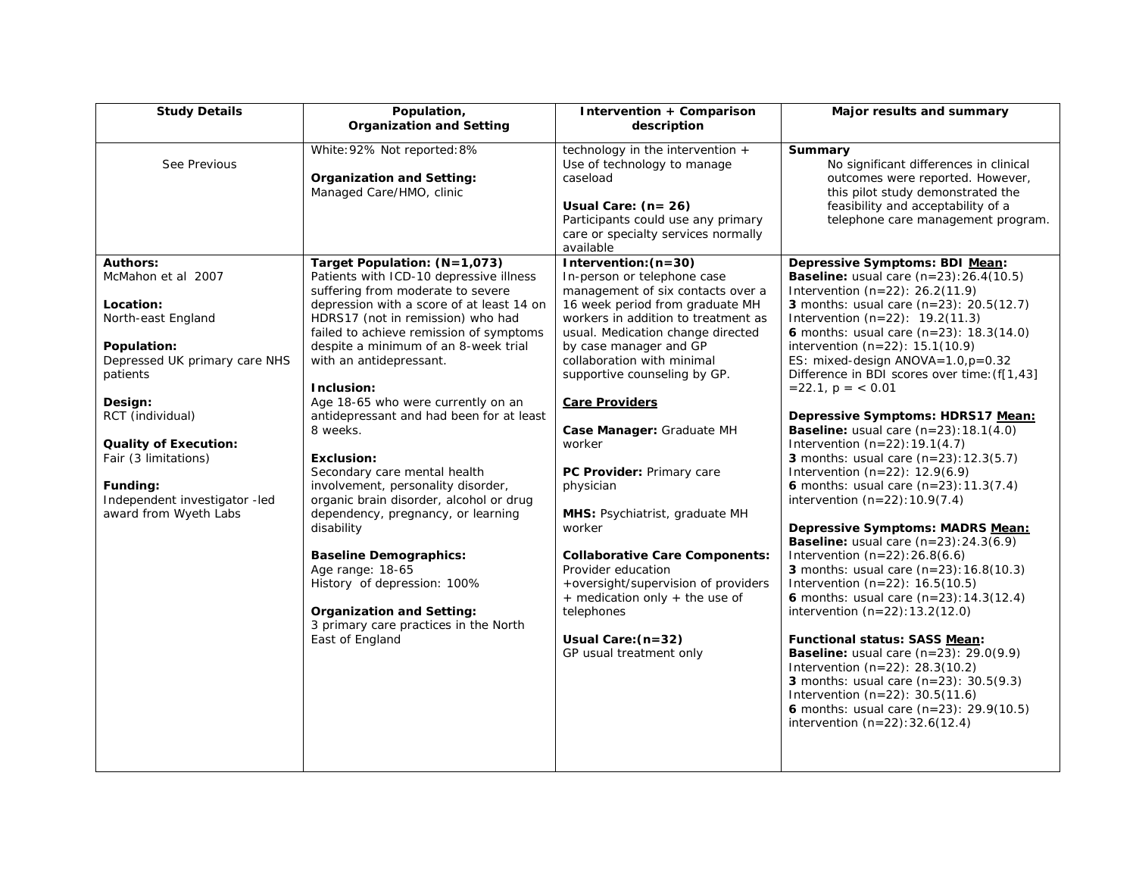| <b>Study Details</b>                                                                                                                                                                                                                                                                              | Population,<br><b>Organization and Setting</b>                                                                                                                                                                                                                                                                                                                                                                                                                                                                                                                                                                                                                                                                                                                                                         | Intervention + Comparison<br>description                                                                                                                                                                                                                                                                                                                                                                                                                                                                                                                                                                                                                     | Major results and summary                                                                                                                                                                                                                                                                                                                                                                                                                                                                                                                                                                                                                                                                                                                                                                                                                                                                                                                                                                                                                                                                                                                                                                                                                                                                                             |
|---------------------------------------------------------------------------------------------------------------------------------------------------------------------------------------------------------------------------------------------------------------------------------------------------|--------------------------------------------------------------------------------------------------------------------------------------------------------------------------------------------------------------------------------------------------------------------------------------------------------------------------------------------------------------------------------------------------------------------------------------------------------------------------------------------------------------------------------------------------------------------------------------------------------------------------------------------------------------------------------------------------------------------------------------------------------------------------------------------------------|--------------------------------------------------------------------------------------------------------------------------------------------------------------------------------------------------------------------------------------------------------------------------------------------------------------------------------------------------------------------------------------------------------------------------------------------------------------------------------------------------------------------------------------------------------------------------------------------------------------------------------------------------------------|-----------------------------------------------------------------------------------------------------------------------------------------------------------------------------------------------------------------------------------------------------------------------------------------------------------------------------------------------------------------------------------------------------------------------------------------------------------------------------------------------------------------------------------------------------------------------------------------------------------------------------------------------------------------------------------------------------------------------------------------------------------------------------------------------------------------------------------------------------------------------------------------------------------------------------------------------------------------------------------------------------------------------------------------------------------------------------------------------------------------------------------------------------------------------------------------------------------------------------------------------------------------------------------------------------------------------|
| See Previous                                                                                                                                                                                                                                                                                      | White: 92% Not reported: 8%<br><b>Organization and Setting:</b><br>Managed Care/HMO, clinic                                                                                                                                                                                                                                                                                                                                                                                                                                                                                                                                                                                                                                                                                                            | technology in the intervention +<br>Use of technology to manage<br>caseload<br>Usual Care: (n= 26)<br>Participants could use any primary<br>care or specialty services normally<br>available                                                                                                                                                                                                                                                                                                                                                                                                                                                                 | Summary<br>No significant differences in clinical<br>outcomes were reported. However,<br>this pilot study demonstrated the<br>feasibility and acceptability of a<br>telephone care management program.                                                                                                                                                                                                                                                                                                                                                                                                                                                                                                                                                                                                                                                                                                                                                                                                                                                                                                                                                                                                                                                                                                                |
| <b>Authors:</b><br>McMahon et al 2007<br>Location:<br>North-east England<br>Population:<br>Depressed UK primary care NHS<br>patients<br>Design:<br>RCT (individual)<br><b>Quality of Execution:</b><br>Fair (3 limitations)<br>Funding:<br>Independent investigator -led<br>award from Wyeth Labs | Target Population: (N=1,073)<br>Patients with ICD-10 depressive illness<br>suffering from moderate to severe<br>depression with a score of at least 14 on<br>HDRS17 (not in remission) who had<br>failed to achieve remission of symptoms<br>despite a minimum of an 8-week trial<br>with an antidepressant.<br>Inclusion:<br>Age 18-65 who were currently on an<br>antidepressant and had been for at least<br>8 weeks.<br><b>Exclusion:</b><br>Secondary care mental health<br>involvement, personality disorder,<br>organic brain disorder, alcohol or drug<br>dependency, pregnancy, or learning<br>disability<br><b>Baseline Demographics:</b><br>Age range: 18-65<br>History of depression: 100%<br><b>Organization and Setting:</b><br>3 primary care practices in the North<br>East of England | Intervention: (n=30)<br>In-person or telephone case<br>management of six contacts over a<br>16 week period from graduate MH<br>workers in addition to treatment as<br>usual. Medication change directed<br>by case manager and GP<br>collaboration with minimal<br>supportive counseling by GP.<br><b>Care Providers</b><br>Case Manager: Graduate MH<br>worker<br>PC Provider: Primary care<br>physician<br>MHS: Psychiatrist, graduate MH<br>worker<br><b>Collaborative Care Components:</b><br>Provider education<br>+oversight/supervision of providers<br>+ medication only + the use of<br>telephones<br>Usual Care: (n=32)<br>GP usual treatment only | Depressive Symptoms: BDI Mean:<br><b>Baseline:</b> usual care $(n=23):26.4(10.5)$<br>Intervention $(n=22)$ : 26.2(11.9)<br><b>3</b> months: usual care $(n=23)$ : 20.5(12.7)<br>Intervention $(n=22)$ : 19.2(11.3)<br>6 months: usual care $(n=23)$ : 18.3(14.0)<br>intervention $(n=22)$ : 15.1(10.9)<br>ES: mixed-design ANOVA=1.0,p=0.32<br>Difference in BDI scores over time: (f[1,43]<br>$= 22.1$ , $p = < 0.01$<br>Depressive Symptoms: HDRS17 Mean:<br><b>Baseline:</b> usual care $(n=23):18.1(4.0)$<br>Intervention $(n=22): 19.1(4.7)$<br>3 months: usual care (n=23): 12.3(5.7)<br>Intervention $(n=22)$ : 12.9(6.9)<br>6 months: usual care $(n=23): 11.3(7.4)$<br>intervention $(n=22): 10.9(7.4)$<br>Depressive Symptoms: MADRS Mean:<br><b>Baseline:</b> usual care $(n=23):24.3(6.9)$<br>Intervention $(n=22):26.8(6.6)$<br>3 months: usual care $(n=23): 16.8(10.3)$<br>Intervention $(n=22)$ : 16.5(10.5)<br>6 months: usual care $(n=23): 14.3(12.4)$<br>intervention $(n=22): 13.2(12.0)$<br>Functional status: SASS Mean:<br><b>Baseline:</b> usual care $(n=23)$ : 29.0(9.9)<br>Intervention $(n=22)$ : 28.3(10.2)<br><b>3</b> months: usual care $(n=23)$ : 30.5(9.3)<br>Intervention $(n=22)$ : 30.5(11.6)<br>6 months: usual care $(n=23)$ : 29.9(10.5)<br>intervention $(n=22):32.6(12.4)$ |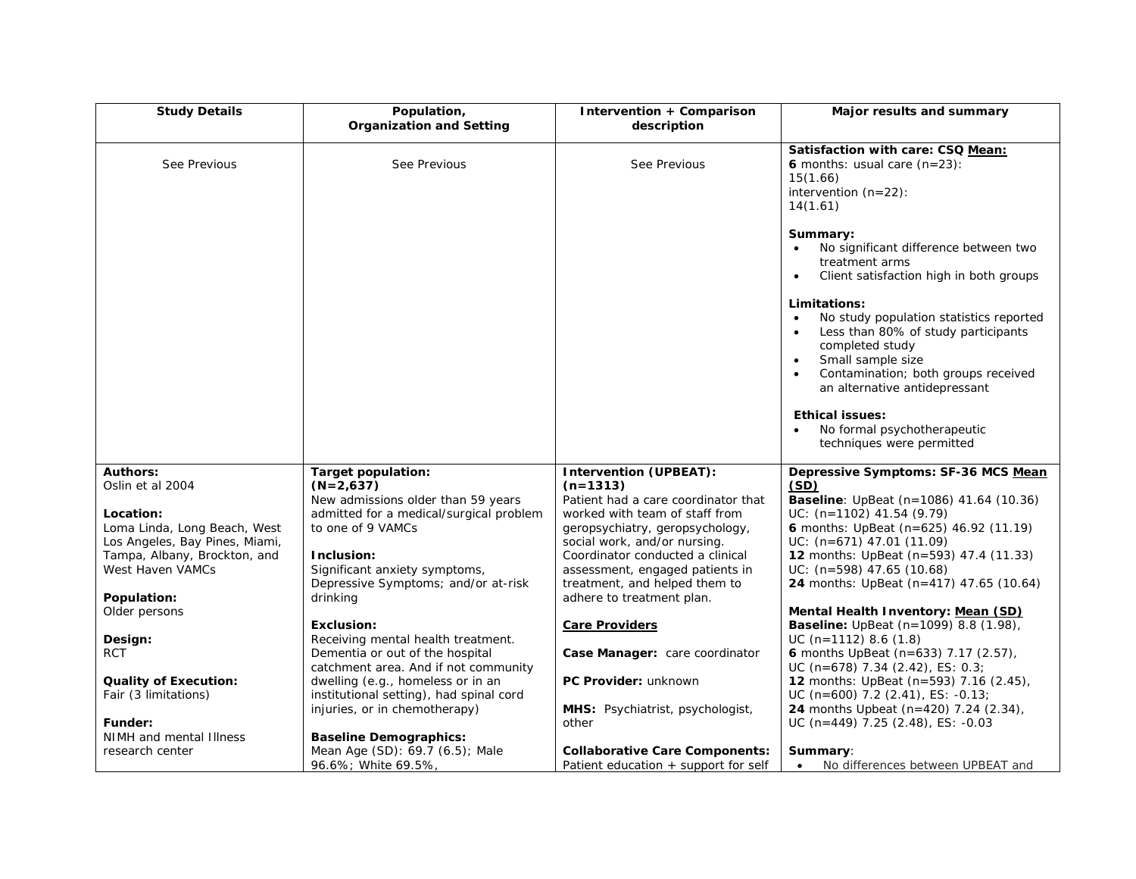| <b>Study Details</b>           | Population,<br><b>Organization and Setting</b>                                | Intervention + Comparison<br>description                                        | Major results and summary                                                                                                                                                                                                                             |
|--------------------------------|-------------------------------------------------------------------------------|---------------------------------------------------------------------------------|-------------------------------------------------------------------------------------------------------------------------------------------------------------------------------------------------------------------------------------------------------|
| See Previous                   | See Previous                                                                  | See Previous                                                                    | Satisfaction with care: CSQ Mean:<br>6 months: usual care $(n=23)$ :<br>15(1.66)<br>intervention $(n=22)$ :<br>14(1.61)                                                                                                                               |
|                                |                                                                               |                                                                                 | Summary:<br>No significant difference between two<br>treatment arms<br>Client satisfaction high in both groups<br>$\bullet$                                                                                                                           |
|                                |                                                                               |                                                                                 | Limitations:<br>No study population statistics reported<br>$\bullet$<br>Less than 80% of study participants<br>completed study<br>Small sample size<br>$\bullet$<br>Contamination; both groups received<br>$\bullet$<br>an alternative antidepressant |
|                                |                                                                               |                                                                                 | <b>Ethical issues:</b><br>No formal psychotherapeutic<br>techniques were permitted                                                                                                                                                                    |
| <b>Authors:</b>                | Target population:                                                            | <b>Intervention (UPBEAT):</b>                                                   | Depressive Symptoms: SF-36 MCS Mean                                                                                                                                                                                                                   |
| Oslin et al 2004               | $(N=2,637)$                                                                   | $(n=1313)$                                                                      | (SD)                                                                                                                                                                                                                                                  |
| Location:                      | New admissions older than 59 years<br>admitted for a medical/surgical problem | Patient had a care coordinator that<br>worked with team of staff from           | Baseline: UpBeat (n=1086) 41.64 (10.36)<br>$UC: (n=1102)$ 41.54 (9.79)                                                                                                                                                                                |
| Loma Linda, Long Beach, West   | to one of 9 VAMCs                                                             | geropsychiatry, geropsychology,                                                 | 6 months: UpBeat (n=625) 46.92 (11.19)                                                                                                                                                                                                                |
| Los Angeles, Bay Pines, Miami, |                                                                               | social work, and/or nursing.                                                    | $UC: (n=671)$ 47.01 (11.09)                                                                                                                                                                                                                           |
| Tampa, Albany, Brockton, and   | Inclusion:                                                                    | Coordinator conducted a clinical                                                | <b>12</b> months: UpBeat (n=593) 47.4 (11.33)                                                                                                                                                                                                         |
| West Haven VAMCs               | Significant anxiety symptoms,<br>Depressive Symptoms; and/or at-risk          | assessment, engaged patients in                                                 | $UC: (n=598)$ 47.65 (10.68)                                                                                                                                                                                                                           |
| Population:                    | drinking                                                                      | treatment, and helped them to<br>adhere to treatment plan.                      | 24 months: UpBeat (n=417) 47.65 (10.64)                                                                                                                                                                                                               |
| Older persons                  |                                                                               |                                                                                 | Mental Health Inventory: Mean (SD)                                                                                                                                                                                                                    |
|                                | <b>Exclusion:</b>                                                             | <b>Care Providers</b>                                                           | <b>Baseline:</b> UpBeat (n=1099) 8.8 (1.98),                                                                                                                                                                                                          |
| Design:                        | Receiving mental health treatment.                                            |                                                                                 | $UC (n=1112) 8.6 (1.8)$                                                                                                                                                                                                                               |
| <b>RCT</b>                     | Dementia or out of the hospital                                               | Case Manager: care coordinator                                                  | 6 months UpBeat (n=633) 7.17 (2.57),                                                                                                                                                                                                                  |
| <b>Quality of Execution:</b>   | catchment area. And if not community<br>dwelling (e.g., homeless or in an     | PC Provider: unknown                                                            | UC (n=678) 7.34 (2.42), ES: 0.3;<br>12 months: UpBeat (n=593) 7.16 (2.45),                                                                                                                                                                            |
| Fair (3 limitations)           | institutional setting), had spinal cord                                       |                                                                                 | UC (n=600) 7.2 (2.41), ES: -0.13;                                                                                                                                                                                                                     |
|                                | injuries, or in chemotherapy)                                                 | MHS: Psychiatrist, psychologist,                                                | 24 months Upbeat (n=420) 7.24 (2.34),                                                                                                                                                                                                                 |
| Funder:                        |                                                                               | other                                                                           | UC (n=449) 7.25 (2.48), ES: -0.03                                                                                                                                                                                                                     |
| NIMH and mental Illness        | <b>Baseline Demographics:</b>                                                 |                                                                                 |                                                                                                                                                                                                                                                       |
| research center                | Mean Age (SD): 69.7 (6.5); Male<br>96.6%; White 69.5%,                        | <b>Collaborative Care Components:</b><br>Patient education $+$ support for self | <b>Summary:</b><br>No differences between UPBEAT and<br>$\bullet$                                                                                                                                                                                     |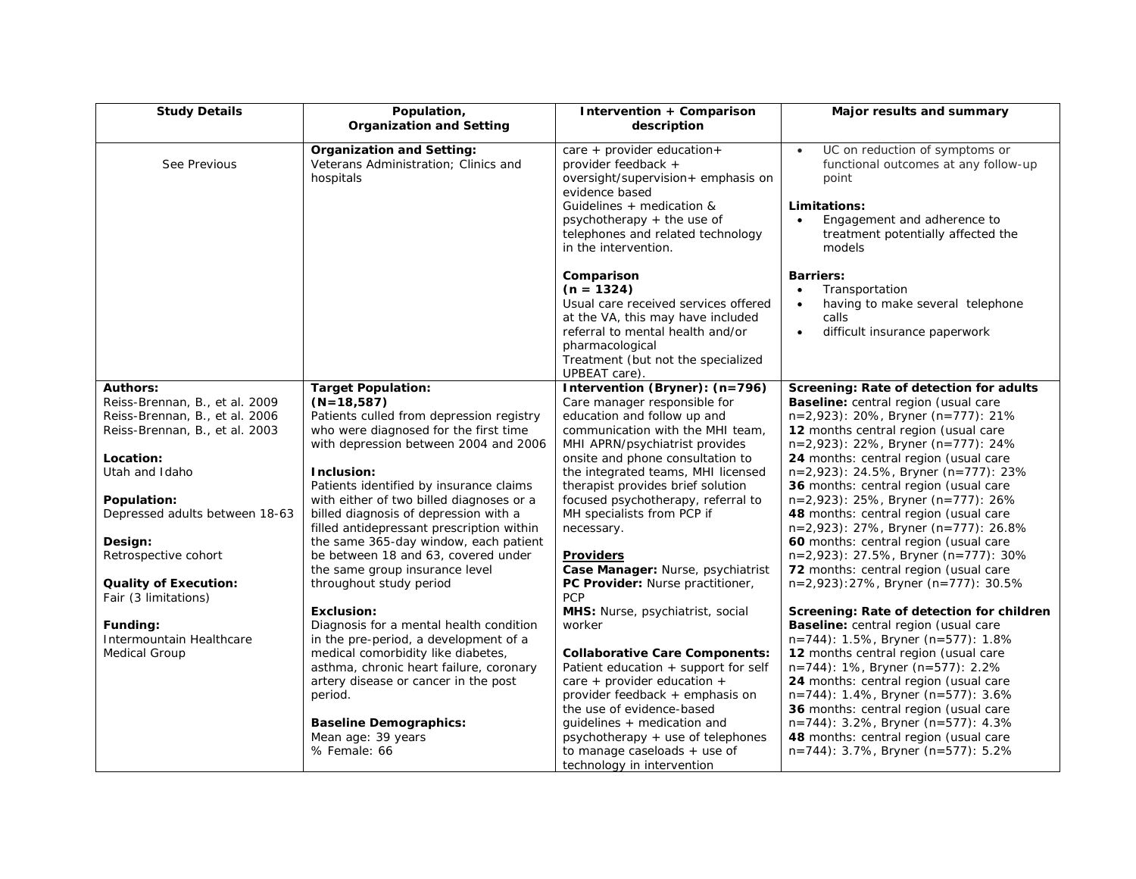| <b>Study Details</b>                                 | Population,<br><b>Organization and Setting</b>                                        | Intervention + Comparison<br>description                                                                                                                                                                                                      | Major results and summary                                                                                                                                                                      |
|------------------------------------------------------|---------------------------------------------------------------------------------------|-----------------------------------------------------------------------------------------------------------------------------------------------------------------------------------------------------------------------------------------------|------------------------------------------------------------------------------------------------------------------------------------------------------------------------------------------------|
| See Previous                                         | <b>Organization and Setting:</b><br>Veterans Administration; Clinics and<br>hospitals | care + provider education+<br>provider feedback +<br>oversight/supervision+ emphasis on<br>evidence based<br>Guidelines + medication &<br>psychotherapy $+$ the use of<br>telephones and related technology                                   | UC on reduction of symptoms or<br>$\bullet$<br>functional outcomes at any follow-up<br>point<br>Limitations:<br>Engagement and adherence to<br>$\bullet$<br>treatment potentially affected the |
|                                                      |                                                                                       | in the intervention.<br>Comparison<br>$(n = 1324)$<br>Usual care received services offered<br>at the VA, this may have included<br>referral to mental health and/or<br>pharmacological<br>Treatment (but not the specialized<br>UPBEAT care). | models<br><b>Barriers:</b><br>Transportation<br>having to make several telephone<br>$\bullet$<br>calls<br>difficult insurance paperwork<br>$\bullet$                                           |
| <b>Authors:</b><br>Reiss-Brennan, B., et al. 2009    | <b>Target Population:</b><br>$(N=18,587)$                                             | Intervention (Bryner): (n=796)<br>Care manager responsible for                                                                                                                                                                                | Screening: Rate of detection for adults<br><b>Baseline:</b> central region (usual care                                                                                                         |
| Reiss-Brennan, B., et al. 2006                       | Patients culled from depression registry                                              | education and follow up and                                                                                                                                                                                                                   | $n=2,923$ : 20%, Bryner (n=777): 21%                                                                                                                                                           |
| Reiss-Brennan, B., et al. 2003                       | who were diagnosed for the first time                                                 | communication with the MHI team,                                                                                                                                                                                                              | 12 months central region (usual care                                                                                                                                                           |
|                                                      | with depression between 2004 and 2006                                                 | MHI APRN/psychiatrist provides                                                                                                                                                                                                                | n=2,923): 22%, Bryner (n=777): 24%                                                                                                                                                             |
| Location:                                            |                                                                                       | onsite and phone consultation to                                                                                                                                                                                                              | 24 months: central region (usual care                                                                                                                                                          |
| Utah and Idaho                                       | Inclusion:                                                                            | the integrated teams, MHI licensed                                                                                                                                                                                                            | $n=2,923$ : 24.5%, Bryner (n=777): 23%                                                                                                                                                         |
|                                                      | Patients identified by insurance claims                                               | therapist provides brief solution                                                                                                                                                                                                             | 36 months: central region (usual care                                                                                                                                                          |
| Population:                                          | with either of two billed diagnoses or a                                              | focused psychotherapy, referral to                                                                                                                                                                                                            | n=2,923): 25%, Bryner (n=777): 26%                                                                                                                                                             |
| Depressed adults between 18-63                       | billed diagnosis of depression with a                                                 | MH specialists from PCP if                                                                                                                                                                                                                    | 48 months: central region (usual care                                                                                                                                                          |
|                                                      | filled antidepressant prescription within                                             | necessary.                                                                                                                                                                                                                                    | n=2,923): 27%, Bryner (n=777): 26.8%                                                                                                                                                           |
| Design:                                              | the same 365-day window, each patient                                                 |                                                                                                                                                                                                                                               | 60 months: central region (usual care                                                                                                                                                          |
| Retrospective cohort                                 | be between 18 and 63, covered under                                                   | Providers                                                                                                                                                                                                                                     | n=2,923): 27.5%, Bryner (n=777): 30%                                                                                                                                                           |
|                                                      | the same group insurance level                                                        | Case Manager: Nurse, psychiatrist                                                                                                                                                                                                             | 72 months: central region (usual care                                                                                                                                                          |
| <b>Quality of Execution:</b><br>Fair (3 limitations) | throughout study period                                                               | PC Provider: Nurse practitioner,<br><b>PCP</b>                                                                                                                                                                                                | $n=2,923$ : 27%, Bryner (n=777): 30.5%                                                                                                                                                         |
|                                                      | Exclusion:                                                                            | MHS: Nurse, psychiatrist, social                                                                                                                                                                                                              | Screening: Rate of detection for children                                                                                                                                                      |
| Funding:                                             | Diagnosis for a mental health condition                                               | worker                                                                                                                                                                                                                                        | Baseline: central region (usual care                                                                                                                                                           |
| Intermountain Healthcare                             | in the pre-period, a development of a                                                 |                                                                                                                                                                                                                                               | n=744): 1.5%, Bryner (n=577): 1.8%                                                                                                                                                             |
| <b>Medical Group</b>                                 | medical comorbidity like diabetes,                                                    | <b>Collaborative Care Components:</b>                                                                                                                                                                                                         | 12 months central region (usual care                                                                                                                                                           |
|                                                      | asthma, chronic heart failure, coronary                                               | Patient education + support for self                                                                                                                                                                                                          | $n=744$ : 1%, Bryner (n=577): 2.2%                                                                                                                                                             |
|                                                      | artery disease or cancer in the post                                                  | care + provider education +                                                                                                                                                                                                                   | 24 months: central region (usual care                                                                                                                                                          |
|                                                      | period.                                                                               | provider feedback + emphasis on                                                                                                                                                                                                               | n=744): 1.4%, Bryner (n=577): 3.6%                                                                                                                                                             |
|                                                      |                                                                                       | the use of evidence-based                                                                                                                                                                                                                     | 36 months: central region (usual care                                                                                                                                                          |
|                                                      | <b>Baseline Demographics:</b><br>Mean age: 39 years                                   | guidelines + medication and<br>psychotherapy + use of telephones                                                                                                                                                                              | n=744): 3.2%, Bryner (n=577): 4.3%<br>48 months: central region (usual care                                                                                                                    |
|                                                      | % Female: 66                                                                          | to manage caseloads $+$ use of                                                                                                                                                                                                                | n=744): 3.7%, Bryner (n=577): 5.2%                                                                                                                                                             |
|                                                      |                                                                                       | technology in intervention                                                                                                                                                                                                                    |                                                                                                                                                                                                |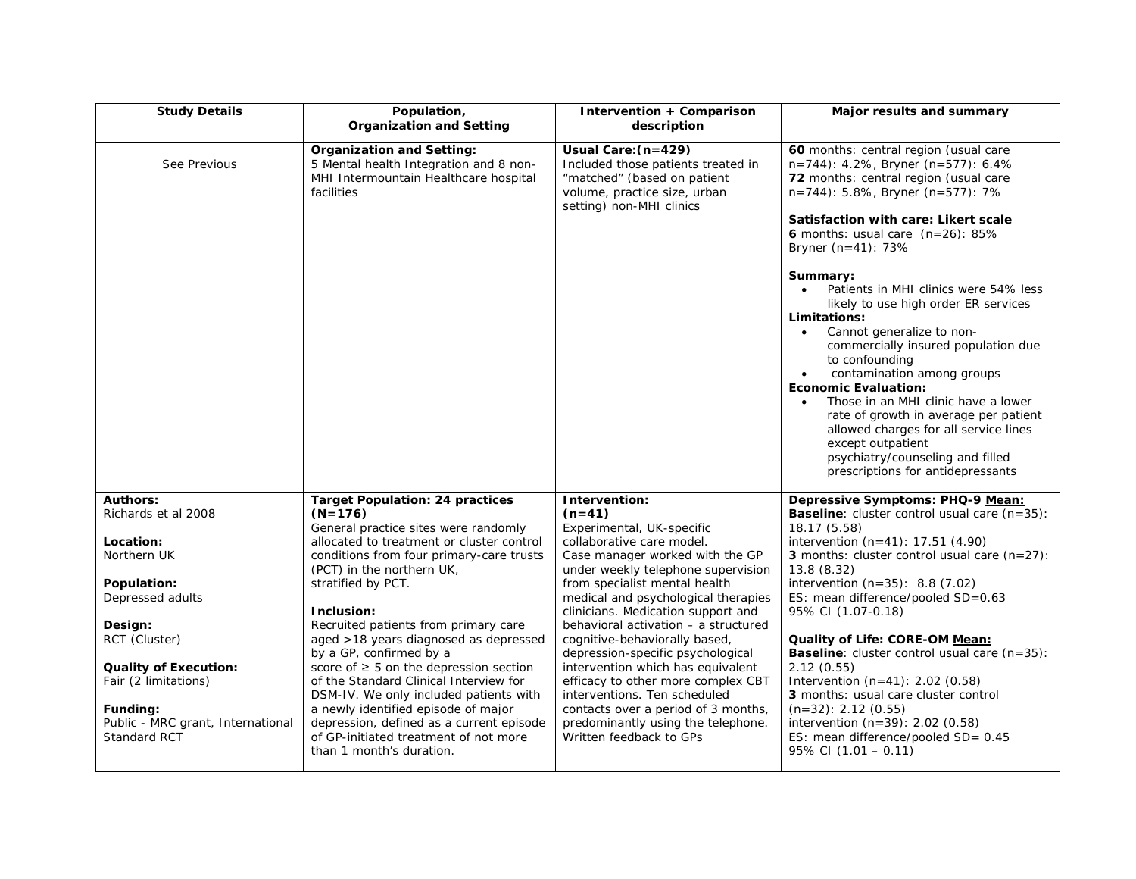| <b>Study Details</b>                                                                                                                                                                                                                                              | Population,<br><b>Organization and Setting</b>                                                                                                                                                                                                                                                                                                                                                                                                                                                                                                                                                                                                               | Intervention + Comparison<br>description                                                                                                                                                                                                                                                                                                                                                                                                                                                                                                                                                                    | Major results and summary                                                                                                                                                                                                                                                                                                                                                                                                                                                                                                                                                                                                                                                                                                                                                                             |
|-------------------------------------------------------------------------------------------------------------------------------------------------------------------------------------------------------------------------------------------------------------------|--------------------------------------------------------------------------------------------------------------------------------------------------------------------------------------------------------------------------------------------------------------------------------------------------------------------------------------------------------------------------------------------------------------------------------------------------------------------------------------------------------------------------------------------------------------------------------------------------------------------------------------------------------------|-------------------------------------------------------------------------------------------------------------------------------------------------------------------------------------------------------------------------------------------------------------------------------------------------------------------------------------------------------------------------------------------------------------------------------------------------------------------------------------------------------------------------------------------------------------------------------------------------------------|-------------------------------------------------------------------------------------------------------------------------------------------------------------------------------------------------------------------------------------------------------------------------------------------------------------------------------------------------------------------------------------------------------------------------------------------------------------------------------------------------------------------------------------------------------------------------------------------------------------------------------------------------------------------------------------------------------------------------------------------------------------------------------------------------------|
| See Previous                                                                                                                                                                                                                                                      | <b>Organization and Setting:</b><br>5 Mental health Integration and 8 non-<br>MHI Intermountain Healthcare hospital<br>facilities                                                                                                                                                                                                                                                                                                                                                                                                                                                                                                                            | Usual Care: (n=429)<br>Included those patients treated in<br>"matched" (based on patient<br>volume, practice size, urban<br>setting) non-MHI clinics                                                                                                                                                                                                                                                                                                                                                                                                                                                        | 60 months: central region (usual care<br>n=744): 4.2%, Bryner (n=577): 6.4%<br>72 months: central region (usual care<br>n=744): 5.8%, Bryner (n=577): 7%<br>Satisfaction with care: Likert scale<br><b>6</b> months: usual care $(n=26)$ : 85%<br>Bryner $(n=41)$ : 73%<br>Summary:<br>Patients in MHI clinics were 54% less<br>$\bullet$<br>likely to use high order ER services<br>Limitations:<br>Cannot generalize to non-<br>$\bullet$<br>commercially insured population due<br>to confounding<br>contamination among groups<br>$\bullet$<br><b>Economic Evaluation:</b><br>Those in an MHI clinic have a lower<br>rate of growth in average per patient<br>allowed charges for all service lines<br>except outpatient<br>psychiatry/counseling and filled<br>prescriptions for antidepressants |
| <b>Authors:</b><br>Richards et al 2008<br>Location:<br>Northern UK<br>Population:<br>Depressed adults<br>Design:<br>RCT (Cluster)<br><b>Quality of Execution:</b><br>Fair (2 limitations)<br>Funding:<br>Public - MRC grant, International<br><b>Standard RCT</b> | <b>Target Population: 24 practices</b><br>$(N=176)$<br>General practice sites were randomly<br>allocated to treatment or cluster control<br>conditions from four primary-care trusts<br>(PCT) in the northern UK,<br>stratified by PCT.<br>Inclusion:<br>Recruited patients from primary care<br>aged >18 years diagnosed as depressed<br>by a GP, confirmed by a<br>score of $\geq$ 5 on the depression section<br>of the Standard Clinical Interview for<br>DSM-IV. We only included patients with<br>a newly identified episode of major<br>depression, defined as a current episode<br>of GP-initiated treatment of not more<br>than 1 month's duration. | Intervention:<br>$(n=41)$<br>Experimental, UK-specific<br>collaborative care model.<br>Case manager worked with the GP<br>under weekly telephone supervision<br>from specialist mental health<br>medical and psychological therapies<br>clinicians. Medication support and<br>behavioral activation - a structured<br>cognitive-behaviorally based,<br>depression-specific psychological<br>intervention which has equivalent<br>efficacy to other more complex CBT<br>interventions. Ten scheduled<br>contacts over a period of 3 months,<br>predominantly using the telephone.<br>Written feedback to GPs | Depressive Symptoms: PHQ-9 Mean:<br><b>Baseline:</b> cluster control usual care $(n=35)$ :<br>18.17 (5.58)<br>intervention $(n=41)$ : 17.51 $(4.90)$<br>3 months: cluster control usual care $(n=27)$ :<br>13.8 (8.32)<br>intervention $(n=35)$ : 8.8 $(7.02)$<br>ES: mean difference/pooled SD=0.63<br>95% CI (1.07-0.18)<br>Quality of Life: CORE-OM Mean:<br><b>Baseline:</b> cluster control usual care $(n=35)$ :<br>2.12(0.55)<br>Intervention $(n=41)$ : 2.02 $(0.58)$<br>3 months: usual care cluster control<br>$(n=32): 2.12 (0.55)$<br>intervention $(n=39)$ : 2.02 $(0.58)$<br>ES: mean difference/pooled SD= 0.45<br>$95\%$ CI (1.01 – 0.11)                                                                                                                                             |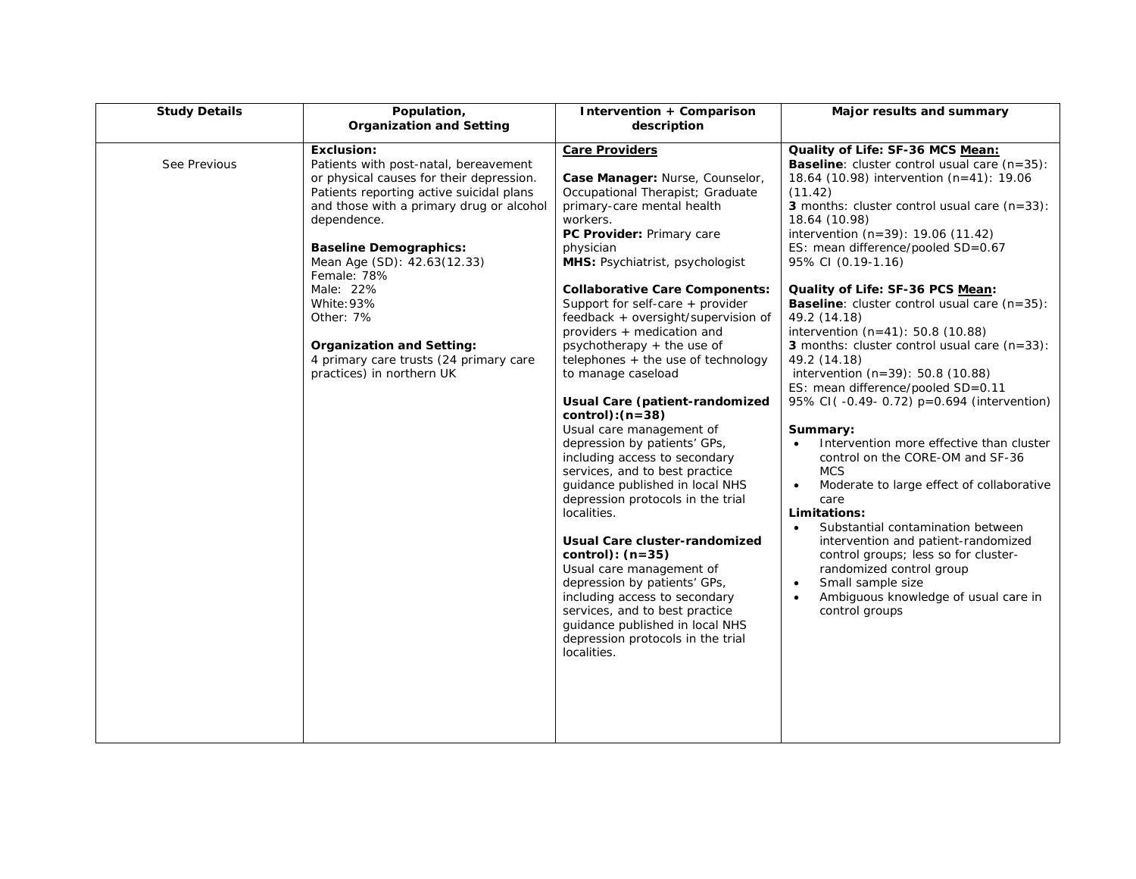| <b>Study Details</b> | Population,<br><b>Organization and Setting</b>                                                                                                                                                                                                                                                                                                                                                                                                  | Intervention + Comparison<br>description                                                                                                                                                                                                                                                                                                                                                                                                                                                                                                                                                                                                                                                                                                                                                                                                                                                                                                                                                                                  | Major results and summary                                                                                                                                                                                                                                                                                                                                                                                                                                                                                                                                                                                                                                                                                                                                                                                                                                                                                                                                                                                                                                                                                                                            |
|----------------------|-------------------------------------------------------------------------------------------------------------------------------------------------------------------------------------------------------------------------------------------------------------------------------------------------------------------------------------------------------------------------------------------------------------------------------------------------|---------------------------------------------------------------------------------------------------------------------------------------------------------------------------------------------------------------------------------------------------------------------------------------------------------------------------------------------------------------------------------------------------------------------------------------------------------------------------------------------------------------------------------------------------------------------------------------------------------------------------------------------------------------------------------------------------------------------------------------------------------------------------------------------------------------------------------------------------------------------------------------------------------------------------------------------------------------------------------------------------------------------------|------------------------------------------------------------------------------------------------------------------------------------------------------------------------------------------------------------------------------------------------------------------------------------------------------------------------------------------------------------------------------------------------------------------------------------------------------------------------------------------------------------------------------------------------------------------------------------------------------------------------------------------------------------------------------------------------------------------------------------------------------------------------------------------------------------------------------------------------------------------------------------------------------------------------------------------------------------------------------------------------------------------------------------------------------------------------------------------------------------------------------------------------------|
| See Previous         | <b>Exclusion:</b><br>Patients with post-natal, bereavement<br>or physical causes for their depression.<br>Patients reporting active suicidal plans<br>and those with a primary drug or alcohol<br>dependence.<br><b>Baseline Demographics:</b><br>Mean Age (SD): 42.63(12.33)<br>Female: 78%<br>Male: 22%<br>White: 93%<br>Other: 7%<br><b>Organization and Setting:</b><br>4 primary care trusts (24 primary care<br>practices) in northern UK | <b>Care Providers</b><br>Case Manager: Nurse, Counselor,<br>Occupational Therapist; Graduate<br>primary-care mental health<br>workers.<br>PC Provider: Primary care<br>physician<br>MHS: Psychiatrist, psychologist<br><b>Collaborative Care Components:</b><br>Support for self-care + provider<br>feedback + oversight/supervision of<br>providers + medication and<br>psychotherapy + the use of<br>telephones + the use of technology<br>to manage caseload<br>Usual Care (patient-randomized<br>$control):(n=38)$<br>Usual care management of<br>depression by patients' GPs,<br>including access to secondary<br>services, and to best practice<br>guidance published in local NHS<br>depression protocols in the trial<br>localities.<br>Usual Care cluster-randomized<br>control): $(n=35)$<br>Usual care management of<br>depression by patients' GPs,<br>including access to secondary<br>services, and to best practice<br>guidance published in local NHS<br>depression protocols in the trial<br>localities. | Quality of Life: SF-36 MCS Mean:<br><b>Baseline:</b> cluster control usual care $(n=35)$ :<br>18.64 (10.98) intervention $(n=41)$ : 19.06<br>(11.42)<br>3 months: cluster control usual care $(n=33)$ :<br>18.64 (10.98)<br>intervention (n=39): 19.06 (11.42)<br>ES: mean difference/pooled SD=0.67<br>95% CI (0.19-1.16)<br>Quality of Life: SF-36 PCS Mean:<br><b>Baseline:</b> cluster control usual care $(n=35)$ :<br>49.2 (14.18)<br>intervention (n=41): 50.8 (10.88)<br><b>3</b> months: cluster control usual care $(n=33)$ :<br>49.2 (14.18)<br>intervention $(n=39)$ : 50.8 (10.88)<br>ES: mean difference/pooled SD=0.11<br>95% CI(-0.49-0.72) p=0.694 (intervention)<br>Summary:<br>Intervention more effective than cluster<br>control on the CORE-OM and SF-36<br><b>MCS</b><br>Moderate to large effect of collaborative<br>$\bullet$<br>care<br>Limitations:<br>Substantial contamination between<br>$\bullet$<br>intervention and patient-randomized<br>control groups; less so for cluster-<br>randomized control group<br>Small sample size<br>$\bullet$<br>Ambiguous knowledge of usual care in<br>$\bullet$<br>control groups |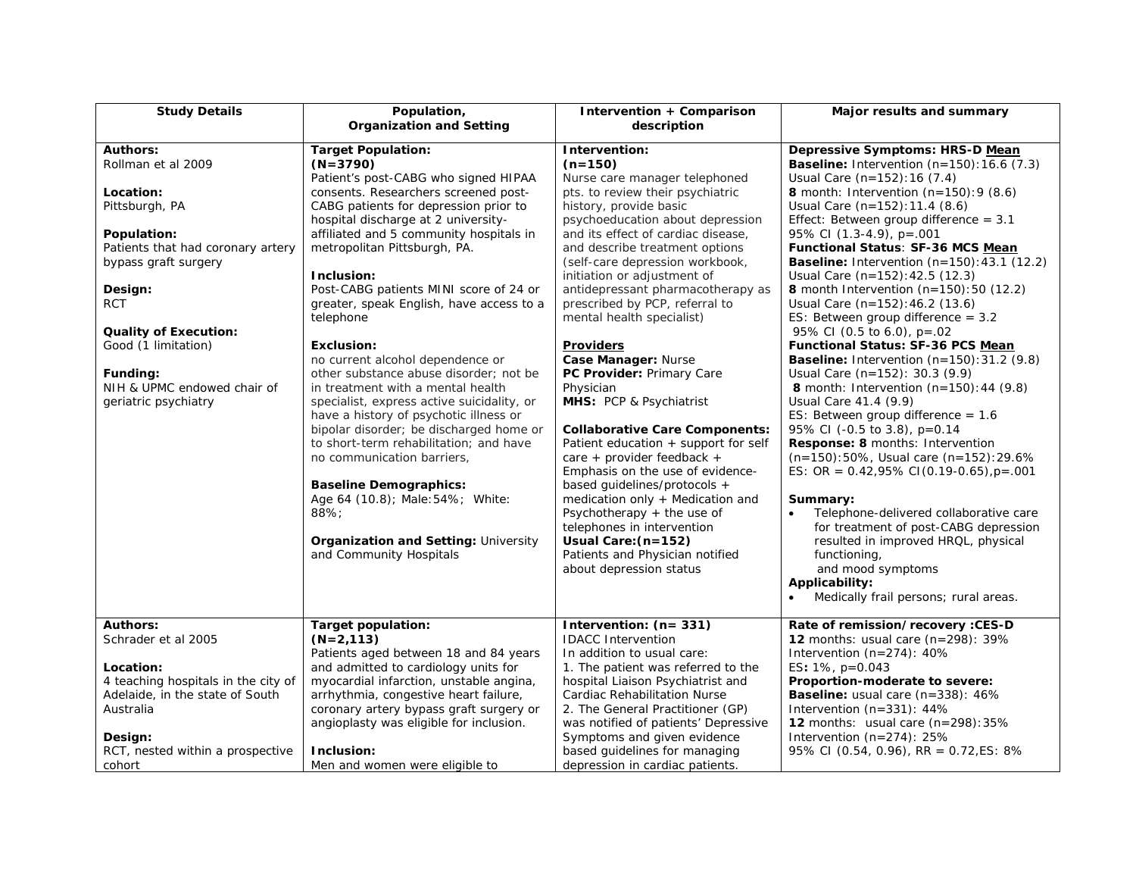| <b>Study Details</b>                | Population,<br><b>Organization and Setting</b> | Intervention + Comparison<br>description | Major results and summary                            |
|-------------------------------------|------------------------------------------------|------------------------------------------|------------------------------------------------------|
|                                     |                                                |                                          |                                                      |
| <b>Authors:</b>                     | <b>Target Population:</b>                      | Intervention:                            | Depressive Symptoms: HRS-D Mean                      |
| Rollman et al 2009                  | (N=3790)                                       | $(n=150)$                                | <b>Baseline:</b> Intervention $(n=150): 16.6 (7.3)$  |
|                                     | Patient's post-CABG who signed HIPAA           | Nurse care manager telephoned            | Usual Care (n=152): 16 (7.4)                         |
| Location:                           | consents. Researchers screened post-           | pts. to review their psychiatric         | <b>8</b> month: Intervention $(n=150):9(8.6)$        |
| Pittsburgh, PA                      | CABG patients for depression prior to          | history, provide basic                   | Usual Care (n=152): 11.4 (8.6)                       |
|                                     | hospital discharge at 2 university-            | psychoeducation about depression         | Effect: Between group difference = $3.1$             |
| Population:                         | affiliated and 5 community hospitals in        | and its effect of cardiac disease,       | 95% CI $(1.3-4.9)$ , $p = 001$                       |
| Patients that had coronary artery   | metropolitan Pittsburgh, PA.                   | and describe treatment options           | Functional Status: SF-36 MCS Mean                    |
| bypass graft surgery                |                                                | (self-care depression workbook,          | <b>Baseline:</b> Intervention $(n=150): 43.1 (12.2)$ |
|                                     | Inclusion:                                     | initiation or adjustment of              | Usual Care (n=152): 42.5 (12.3)                      |
| Design:                             | Post-CABG patients MINI score of 24 or         | antidepressant pharmacotherapy as        | <b>8</b> month Intervention $(n=150):50(12.2)$       |
| <b>RCT</b>                          | greater, speak English, have access to a       | prescribed by PCP, referral to           | Usual Care $(n=152)$ : 46.2 (13.6)                   |
|                                     | telephone                                      | mental health specialist)                | ES: Between group difference $= 3.2$                 |
| <b>Quality of Execution:</b>        |                                                |                                          | 95% CI (0.5 to 6.0), $p=.02$                         |
| Good (1 limitation)                 | <b>Exclusion:</b>                              | <b>Providers</b>                         | Functional Status: SF-36 PCS Mean                    |
|                                     | no current alcohol dependence or               | Case Manager: Nurse                      | <b>Baseline:</b> Intervention $(n=150):31.2$ (9.8)   |
| Funding:                            | other substance abuse disorder; not be         | PC Provider: Primary Care                | Usual Care (n=152): 30.3 (9.9)                       |
| NIH & UPMC endowed chair of         | in treatment with a mental health              | Physician                                | <b>8</b> month: Intervention $(n=150): 44 (9.8)$     |
| geriatric psychiatry                | specialist, express active suicidality, or     | MHS: PCP & Psychiatrist                  | Usual Care 41.4 (9.9)                                |
|                                     | have a history of psychotic illness or         |                                          | ES: Between group difference = $1.6$                 |
|                                     | bipolar disorder; be discharged home or        | <b>Collaborative Care Components:</b>    | 95% CI (-0.5 to 3.8), p=0.14                         |
|                                     | to short-term rehabilitation; and have         | Patient education + support for self     | <b>Response: 8 months: Intervention</b>              |
|                                     | no communication barriers,                     | care + provider feedback +               | (n=150):50%, Usual care (n=152):29.6%                |
|                                     |                                                | Emphasis on the use of evidence-         | ES: OR = $0.42,95\%$ CI(0.19-0.65), $p = .001$       |
|                                     | <b>Baseline Demographics:</b>                  | based quidelines/protocols +             |                                                      |
|                                     | Age 64 (10.8); Male: 54%; White:               | medication only $+$ Medication and       | Summary:                                             |
|                                     | 88%                                            | Psychotherapy $+$ the use of             | Telephone-delivered collaborative care               |
|                                     |                                                | telephones in intervention               | for treatment of post-CABG depression                |
|                                     | <b>Organization and Setting: University</b>    | Usual Care: (n=152)                      | resulted in improved HRQL, physical                  |
|                                     | and Community Hospitals                        | Patients and Physician notified          | functioning,                                         |
|                                     |                                                | about depression status                  | and mood symptoms                                    |
|                                     |                                                |                                          | Applicability:                                       |
|                                     |                                                |                                          | Medically frail persons; rural areas.                |
|                                     |                                                |                                          |                                                      |
| <b>Authors:</b>                     | Target population:                             | Intervention: (n= 331)                   | Rate of remission/recovery : CES-D                   |
| Schrader et al 2005                 | (N=2,113)                                      | <b>IDACC</b> Intervention                | <b>12</b> months: usual care $(n=298)$ : 39%         |
|                                     | Patients aged between 18 and 84 years          | In addition to usual care:               | Intervention $(n=274)$ : 40%                         |
| Location:                           | and admitted to cardiology units for           | 1. The patient was referred to the       | ES: $1\%$ , $p=0.043$                                |
| 4 teaching hospitals in the city of | myocardial infarction, unstable angina,        | hospital Liaison Psychiatrist and        | Proportion-moderate to severe:                       |
| Adelaide, in the state of South     | arrhythmia, congestive heart failure,          | <b>Cardiac Rehabilitation Nurse</b>      | <b>Baseline:</b> usual care (n=338): 46%             |
| Australia                           | coronary artery bypass graft surgery or        | 2. The General Practitioner (GP)         | Intervention $(n=331)$ : 44%                         |
|                                     | angioplasty was eligible for inclusion.        | was notified of patients' Depressive     | 12 months: usual care $(n=298):35\%$                 |
| Design:                             |                                                | Symptoms and given evidence              | Intervention $(n=274)$ : 25%                         |
| RCT, nested within a prospective    | Inclusion:                                     | based guidelines for managing            | 95% CI (0.54, 0.96), RR = 0.72, ES: 8%               |
| cohort                              | Men and women were eligible to                 | depression in cardiac patients.          |                                                      |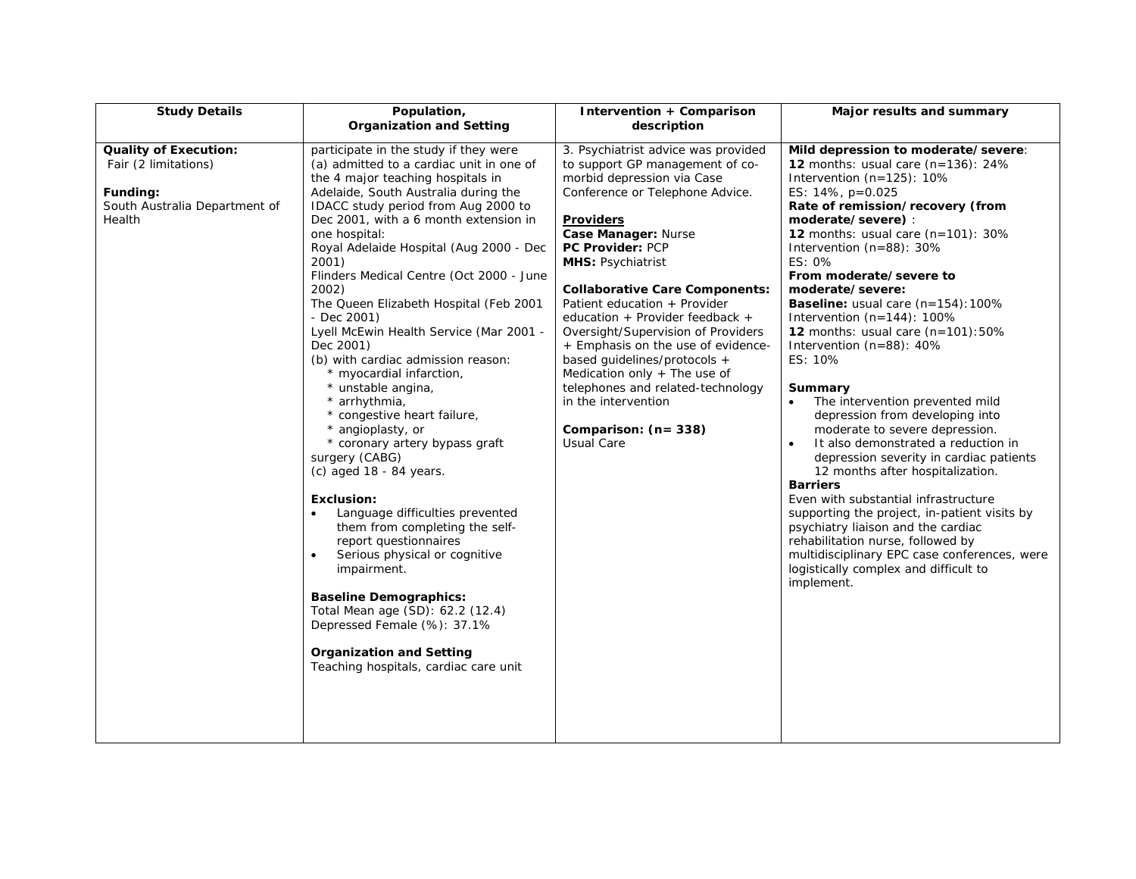| <b>Study Details</b>                                                                                        | Population,                                                                                                                                                                                                                                                                                                                                                                                                                                                                                                                                                                                                                                                                                                                                                                                                                                                                                                                                                                                                                                                                                | Intervention + Comparison                                                                                                                                                                                                                                                                                                                                                                                                                                                                                                                                                                    | Major results and summary                                                                                                                                                                                                                                                                                                                                                                                                                                                                                                                                                                                                                                                                                                                                                                                                                                                                                                                                                                                                           |
|-------------------------------------------------------------------------------------------------------------|--------------------------------------------------------------------------------------------------------------------------------------------------------------------------------------------------------------------------------------------------------------------------------------------------------------------------------------------------------------------------------------------------------------------------------------------------------------------------------------------------------------------------------------------------------------------------------------------------------------------------------------------------------------------------------------------------------------------------------------------------------------------------------------------------------------------------------------------------------------------------------------------------------------------------------------------------------------------------------------------------------------------------------------------------------------------------------------------|----------------------------------------------------------------------------------------------------------------------------------------------------------------------------------------------------------------------------------------------------------------------------------------------------------------------------------------------------------------------------------------------------------------------------------------------------------------------------------------------------------------------------------------------------------------------------------------------|-------------------------------------------------------------------------------------------------------------------------------------------------------------------------------------------------------------------------------------------------------------------------------------------------------------------------------------------------------------------------------------------------------------------------------------------------------------------------------------------------------------------------------------------------------------------------------------------------------------------------------------------------------------------------------------------------------------------------------------------------------------------------------------------------------------------------------------------------------------------------------------------------------------------------------------------------------------------------------------------------------------------------------------|
|                                                                                                             | <b>Organization and Setting</b>                                                                                                                                                                                                                                                                                                                                                                                                                                                                                                                                                                                                                                                                                                                                                                                                                                                                                                                                                                                                                                                            | description                                                                                                                                                                                                                                                                                                                                                                                                                                                                                                                                                                                  |                                                                                                                                                                                                                                                                                                                                                                                                                                                                                                                                                                                                                                                                                                                                                                                                                                                                                                                                                                                                                                     |
| <b>Quality of Execution:</b><br>Fair (2 limitations)<br>Funding:<br>South Australia Department of<br>Health | participate in the study if they were<br>(a) admitted to a cardiac unit in one of<br>the 4 major teaching hospitals in<br>Adelaide, South Australia during the<br>IDACC study period from Aug 2000 to<br>Dec 2001, with a 6 month extension in<br>one hospital:<br>Royal Adelaide Hospital (Aug 2000 - Dec<br>2001)<br>Flinders Medical Centre (Oct 2000 - June<br>2002)<br>The Queen Elizabeth Hospital (Feb 2001<br>- Dec 2001)<br>Lyell McEwin Health Service (Mar 2001 -<br>Dec 2001)<br>(b) with cardiac admission reason:<br>* myocardial infarction,<br>* unstable angina,<br>* arrhythmia,<br>* congestive heart failure,<br>* angioplasty, or<br>* coronary artery bypass graft<br>surgery (CABG)<br>$(c)$ aged 18 - 84 years.<br><b>Exclusion:</b><br>Language difficulties prevented<br>them from completing the self-<br>report questionnaires<br>Serious physical or cognitive<br>impairment.<br><b>Baseline Demographics:</b><br>Total Mean age (SD): 62.2 (12.4)<br>Depressed Female (%): 37.1%<br><b>Organization and Setting</b><br>Teaching hospitals, cardiac care unit | 3. Psychiatrist advice was provided<br>to support GP management of co-<br>morbid depression via Case<br>Conference or Telephone Advice.<br><b>Providers</b><br>Case Manager: Nurse<br>PC Provider: PCP<br><b>MHS: Psychiatrist</b><br><b>Collaborative Care Components:</b><br>Patient education + Provider<br>education + Provider feedback +<br>Oversight/Supervision of Providers<br>+ Emphasis on the use of evidence-<br>based guidelines/protocols +<br>Medication only + The use of<br>telephones and related-technology<br>in the intervention<br>Comparison: (n= 338)<br>Usual Care | Mild depression to moderate/severe:<br>12 months: usual care $(n=136)$ : 24%<br>Intervention $(n=125)$ : 10%<br>ES: 14%, p=0.025<br>Rate of remission/recovery (from<br>moderate/severe):<br>12 months: usual care $(n=101)$ : 30%<br>Intervention $(n=88)$ : 30%<br>ES: 0%<br>From moderate/severe to<br>moderate/severe:<br><b>Baseline:</b> usual care $(n=154)$ : 100%<br>Intervention $(n=144)$ : 100%<br>12 months: usual care $(n=101):50\%$<br>Intervention $(n=88)$ : 40%<br>ES: 10%<br>Summary<br>The intervention prevented mild<br>depression from developing into<br>moderate to severe depression.<br>It also demonstrated a reduction in<br>depression severity in cardiac patients<br>12 months after hospitalization.<br><b>Barriers</b><br>Even with substantial infrastructure<br>supporting the project, in-patient visits by<br>psychiatry liaison and the cardiac<br>rehabilitation nurse, followed by<br>multidisciplinary EPC case conferences, were<br>logistically complex and difficult to<br>implement. |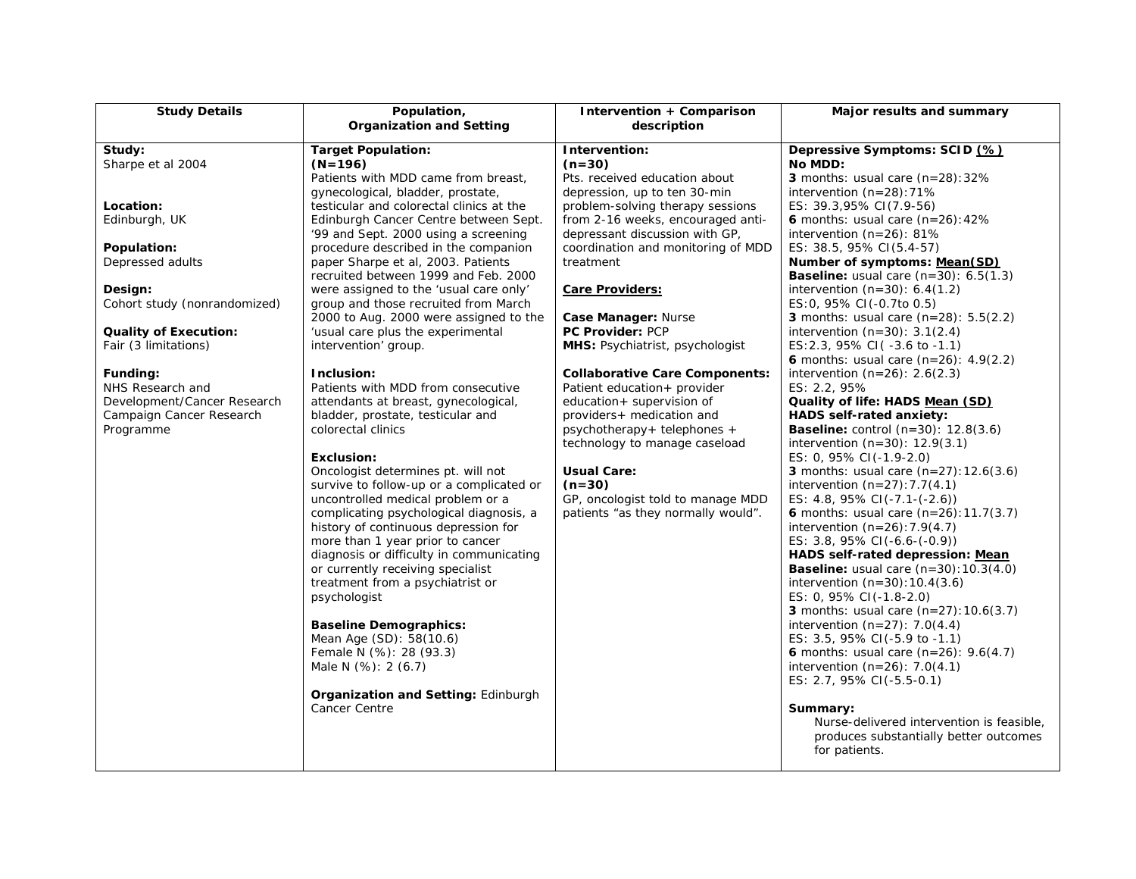| <b>Study Details</b>                                                                                                                                                                                                                                                                                    | Population,<br><b>Organization and Setting</b>                                                                                                                                                                                                                                                                                                                                                                                                                                                                                                                                                                                                                                                                                                                                                                                                                                                                                                                                                                                                                                                                                                                                                                                                                                               | Intervention + Comparison<br>description                                                                                                                                                                                                                                                                                                                                                                                                                                                                                                                                                                                                                                               | Major results and summary                                                                                                                                                                                                                                                                                                                                                                                                                                                                                                                                                                                                                                                                                                                                                                                                                                                                                                                                                                                                                                                                                                                                                                                                                                                                                                                                                                                                                                                                                                                                                       |
|---------------------------------------------------------------------------------------------------------------------------------------------------------------------------------------------------------------------------------------------------------------------------------------------------------|----------------------------------------------------------------------------------------------------------------------------------------------------------------------------------------------------------------------------------------------------------------------------------------------------------------------------------------------------------------------------------------------------------------------------------------------------------------------------------------------------------------------------------------------------------------------------------------------------------------------------------------------------------------------------------------------------------------------------------------------------------------------------------------------------------------------------------------------------------------------------------------------------------------------------------------------------------------------------------------------------------------------------------------------------------------------------------------------------------------------------------------------------------------------------------------------------------------------------------------------------------------------------------------------|----------------------------------------------------------------------------------------------------------------------------------------------------------------------------------------------------------------------------------------------------------------------------------------------------------------------------------------------------------------------------------------------------------------------------------------------------------------------------------------------------------------------------------------------------------------------------------------------------------------------------------------------------------------------------------------|---------------------------------------------------------------------------------------------------------------------------------------------------------------------------------------------------------------------------------------------------------------------------------------------------------------------------------------------------------------------------------------------------------------------------------------------------------------------------------------------------------------------------------------------------------------------------------------------------------------------------------------------------------------------------------------------------------------------------------------------------------------------------------------------------------------------------------------------------------------------------------------------------------------------------------------------------------------------------------------------------------------------------------------------------------------------------------------------------------------------------------------------------------------------------------------------------------------------------------------------------------------------------------------------------------------------------------------------------------------------------------------------------------------------------------------------------------------------------------------------------------------------------------------------------------------------------------|
| Study:<br>Sharpe et al 2004<br>Location:<br>Edinburgh, UK<br>Population:<br>Depressed adults<br>Design:<br>Cohort study (nonrandomized)<br><b>Quality of Execution:</b><br>Fair (3 limitations)<br>Funding:<br>NHS Research and<br>Development/Cancer Research<br>Campaign Cancer Research<br>Programme | <b>Target Population:</b><br>$(N=196)$<br>Patients with MDD came from breast,<br>gynecological, bladder, prostate,<br>testicular and colorectal clinics at the<br>Edinburgh Cancer Centre between Sept.<br>'99 and Sept. 2000 using a screening<br>procedure described in the companion<br>paper Sharpe et al, 2003. Patients<br>recruited between 1999 and Feb. 2000<br>were assigned to the 'usual care only'<br>group and those recruited from March<br>2000 to Aug. 2000 were assigned to the<br>'usual care plus the experimental<br>intervention' group.<br>Inclusion:<br>Patients with MDD from consecutive<br>attendants at breast, gynecological,<br>bladder, prostate, testicular and<br>colorectal clinics<br>Exclusion:<br>Oncologist determines pt. will not<br>survive to follow-up or a complicated or<br>uncontrolled medical problem or a<br>complicating psychological diagnosis, a<br>history of continuous depression for<br>more than 1 year prior to cancer<br>diagnosis or difficulty in communicating<br>or currently receiving specialist<br>treatment from a psychiatrist or<br>psychologist<br><b>Baseline Demographics:</b><br>Mean Age (SD): 58(10.6)<br>Female N (%): 28 (93.3)<br>Male N (%): 2 (6.7)<br>Organization and Setting: Edinburgh<br>Cancer Centre | Intervention:<br>$(n=30)$<br>Pts. received education about<br>depression, up to ten 30-min<br>problem-solving therapy sessions<br>from 2-16 weeks, encouraged anti-<br>depressant discussion with GP,<br>coordination and monitoring of MDD<br>treatment<br><b>Care Providers:</b><br>Case Manager: Nurse<br>PC Provider: PCP<br><b>MHS:</b> Psychiatrist, psychologist<br><b>Collaborative Care Components:</b><br>Patient education+ provider<br>education+ supervision of<br>providers+ medication and<br>psychotherapy+ telephones +<br>technology to manage caseload<br><b>Usual Care:</b><br>$(n=30)$<br>GP, oncologist told to manage MDD<br>patients "as they normally would". | Depressive Symptoms: SCID (%)<br>No MDD:<br>3 months: usual care $(n=28):32\%$<br>intervention $(n=28): 71\%$<br>ES: 39.3,95% CI(7.9-56)<br>6 months: usual care $(n=26):42\%$<br>intervention (n=26): 81%<br>ES: 38.5, 95% CI(5.4-57)<br>Number of symptoms: Mean(SD)<br><b>Baseline:</b> usual care $(n=30)$ : 6.5(1.3)<br>intervention $(n=30)$ : 6.4(1.2)<br>ES: 0, 95% CI (-0.7to 0.5)<br><b>3</b> months: usual care $(n=28)$ : 5.5(2.2)<br>intervention $(n=30)$ : 3.1 $(2.4)$<br>ES: 2.3, 95% CI (-3.6 to -1.1)<br><b>6</b> months: usual care $(n=26)$ : 4.9(2.2)<br>intervention $(n=26)$ : 2.6(2.3)<br>ES: 2.2, 95%<br>Quality of life: HADS Mean (SD)<br><b>HADS self-rated anxiety:</b><br><b>Baseline:</b> control $(n=30)$ : 12.8 $(3.6)$<br>intervention $(n=30)$ : 12.9(3.1)<br>ES: 0, 95% CI(-1.9-2.0)<br>3 months: usual care $(n=27)$ : 12.6(3.6)<br>intervention $(n=27): 7.7(4.1)$<br>ES: $4.8, 95\%$ CI(-7.1-(-2.6))<br><b>6</b> months: usual care $(n=26):11.7(3.7)$<br>intervention $(n=26): 7.9(4.7)$<br>ES: 3.8, 95% CI(-6.6-(-0.9))<br>HADS self-rated depression: Mean<br><b>Baseline:</b> usual care $(n=30):10.3(4.0)$<br>intervention $(n=30): 10.4(3.6)$<br>ES: 0, 95% CI(-1.8-2.0)<br>3 months: usual care $(n=27)$ : 10.6(3.7)<br>intervention $(n=27)$ : 7.0(4.4)<br>ES: 3.5, 95% CI(-5.9 to -1.1)<br><b>6</b> months: usual care $(n=26)$ : 9.6(4.7)<br>intervention $(n=26)$ : 7.0(4.1)<br>ES: 2.7, 95% CI(-5.5-0.1)<br>Summary:<br>Nurse-delivered intervention is feasible,<br>produces substantially better outcomes<br>for patients. |
|                                                                                                                                                                                                                                                                                                         |                                                                                                                                                                                                                                                                                                                                                                                                                                                                                                                                                                                                                                                                                                                                                                                                                                                                                                                                                                                                                                                                                                                                                                                                                                                                                              |                                                                                                                                                                                                                                                                                                                                                                                                                                                                                                                                                                                                                                                                                        |                                                                                                                                                                                                                                                                                                                                                                                                                                                                                                                                                                                                                                                                                                                                                                                                                                                                                                                                                                                                                                                                                                                                                                                                                                                                                                                                                                                                                                                                                                                                                                                 |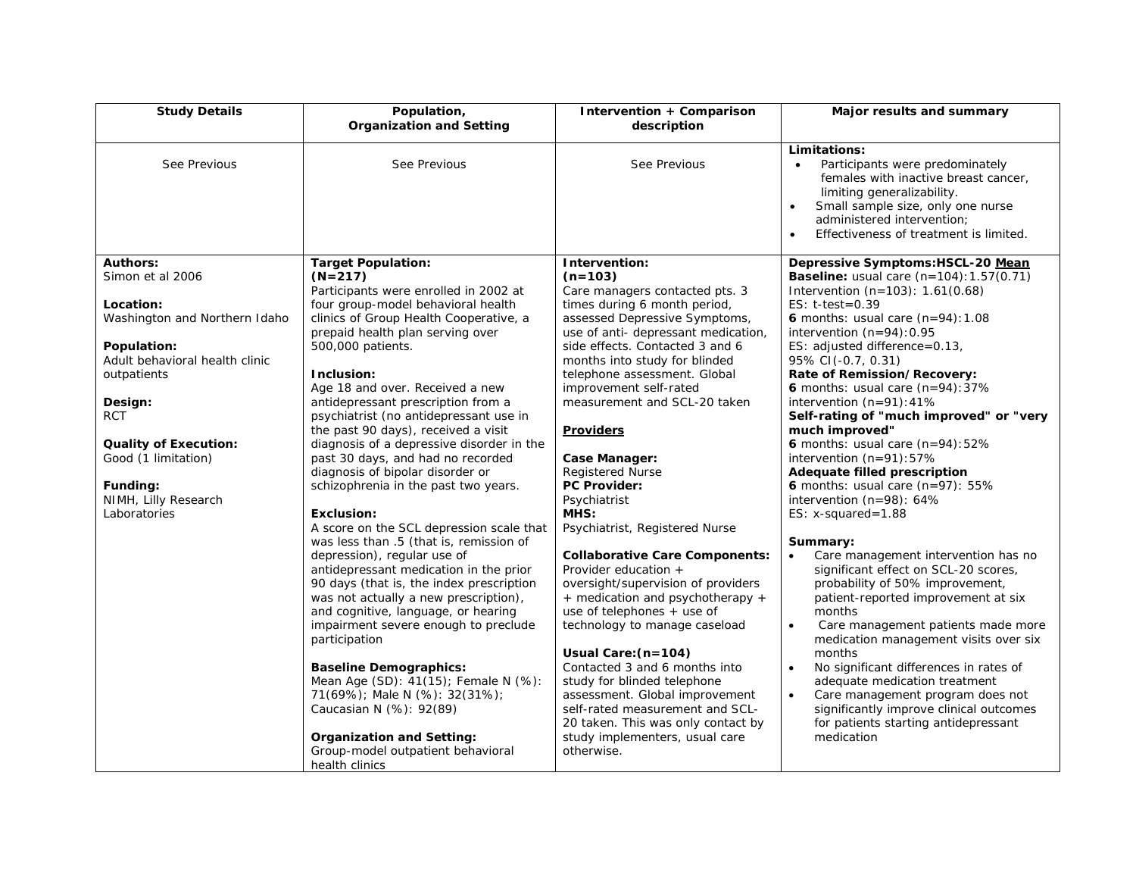| <b>Study Details</b>             | Population,<br><b>Organization and Setting</b> | Intervention + Comparison<br>description | Major results and summary                                                                                                                                                                                                                                    |
|----------------------------------|------------------------------------------------|------------------------------------------|--------------------------------------------------------------------------------------------------------------------------------------------------------------------------------------------------------------------------------------------------------------|
| See Previous                     | See Previous                                   | See Previous                             | Limitations:<br>Participants were predominately<br>females with inactive breast cancer,<br>limiting generalizability.<br>Small sample size, only one nurse<br>$\bullet$<br>administered intervention:<br>Effectiveness of treatment is limited.<br>$\bullet$ |
| <b>Authors:</b>                  | <b>Target Population:</b>                      | Intervention:                            | Depressive Symptoms:HSCL-20 Mean                                                                                                                                                                                                                             |
| Simon et al 2006                 | $(N=217)$                                      | $(n=103)$                                | <b>Baseline:</b> usual care $(n=104):1.57(0.71)$                                                                                                                                                                                                             |
|                                  | Participants were enrolled in 2002 at          | Care managers contacted pts. 3           | Intervention $(n=103)$ : 1.61 $(0.68)$                                                                                                                                                                                                                       |
| Location:                        | four group-model behavioral health             | times during 6 month period,             | ES: $t-test = 0.39$                                                                                                                                                                                                                                          |
| Washington and Northern Idaho    | clinics of Group Health Cooperative, a         | assessed Depressive Symptoms,            | 6 months: usual care $(n=94):1.08$                                                                                                                                                                                                                           |
|                                  | prepaid health plan serving over               | use of anti- depressant medication,      | intervention $(n=94):0.95$                                                                                                                                                                                                                                   |
| Population:                      | 500,000 patients.                              | side effects. Contacted 3 and 6          | ES: adjusted difference=0.13,                                                                                                                                                                                                                                |
| Adult behavioral health clinic   |                                                | months into study for blinded            | 95% CI(-0.7, 0.31)                                                                                                                                                                                                                                           |
| outpatients                      | Inclusion:                                     | telephone assessment. Global             | Rate of Remission/Recovery:                                                                                                                                                                                                                                  |
|                                  | Age 18 and over. Received a new                | improvement self-rated                   | 6 months: usual care $(n=94):37\%$                                                                                                                                                                                                                           |
| Design:                          | antidepressant prescription from a             | measurement and SCL-20 taken             | intervention $(n=91):41\%$                                                                                                                                                                                                                                   |
| <b>RCT</b>                       | psychiatrist (no antidepressant use in         |                                          | Self-rating of "much improved" or "very                                                                                                                                                                                                                      |
|                                  | the past 90 days), received a visit            | <b>Providers</b>                         | much improved"                                                                                                                                                                                                                                               |
| <b>Quality of Execution:</b>     | diagnosis of a depressive disorder in the      |                                          | 6 months: usual care $(n=94):52\%$                                                                                                                                                                                                                           |
| Good (1 limitation)              | past 30 days, and had no recorded              | Case Manager:                            | intervention $(n=91):57\%$                                                                                                                                                                                                                                   |
|                                  | diagnosis of bipolar disorder or               | <b>Registered Nurse</b>                  | Adequate filled prescription                                                                                                                                                                                                                                 |
| Funding:<br>NIMH, Lilly Research | schizophrenia in the past two years.           | PC Provider:                             | 6 months: usual care $(n=97)$ : 55%                                                                                                                                                                                                                          |
| Laboratories                     | Exclusion:                                     | Psychiatrist<br>MHS:                     | intervention (n=98): 64%<br>ES: $x$ -squared=1.88                                                                                                                                                                                                            |
|                                  | A score on the SCL depression scale that       | Psychiatrist, Registered Nurse           |                                                                                                                                                                                                                                                              |
|                                  | was less than .5 (that is, remission of        |                                          | Summary:                                                                                                                                                                                                                                                     |
|                                  | depression), regular use of                    | <b>Collaborative Care Components:</b>    | Care management intervention has no<br>$\bullet$                                                                                                                                                                                                             |
|                                  | antidepressant medication in the prior         | Provider education +                     | significant effect on SCL-20 scores,                                                                                                                                                                                                                         |
|                                  | 90 days (that is, the index prescription       | oversight/supervision of providers       | probability of 50% improvement,                                                                                                                                                                                                                              |
|                                  | was not actually a new prescription),          | + medication and psychotherapy +         | patient-reported improvement at six                                                                                                                                                                                                                          |
|                                  | and cognitive, language, or hearing            | use of telephones $+$ use of             | months                                                                                                                                                                                                                                                       |
|                                  | impairment severe enough to preclude           | technology to manage caseload            | Care management patients made more<br>$\bullet$                                                                                                                                                                                                              |
|                                  | participation                                  |                                          | medication management visits over six                                                                                                                                                                                                                        |
|                                  |                                                | Usual Care: (n=104)                      | months                                                                                                                                                                                                                                                       |
|                                  | <b>Baseline Demographics:</b>                  | Contacted 3 and 6 months into            | No significant differences in rates of<br>$\bullet$                                                                                                                                                                                                          |
|                                  | Mean Age (SD): 41(15); Female N (%):           | study for blinded telephone              | adequate medication treatment                                                                                                                                                                                                                                |
|                                  | 71(69%); Male N (%): 32(31%);                  | assessment. Global improvement           | Care management program does not<br>$\bullet$                                                                                                                                                                                                                |
|                                  | Caucasian N (%): 92(89)                        | self-rated measurement and SCL-          | significantly improve clinical outcomes                                                                                                                                                                                                                      |
|                                  |                                                | 20 taken. This was only contact by       | for patients starting antidepressant                                                                                                                                                                                                                         |
|                                  | <b>Organization and Setting:</b>               | study implementers, usual care           | medication                                                                                                                                                                                                                                                   |
|                                  | Group-model outpatient behavioral              | otherwise.                               |                                                                                                                                                                                                                                                              |
|                                  | health clinics                                 |                                          |                                                                                                                                                                                                                                                              |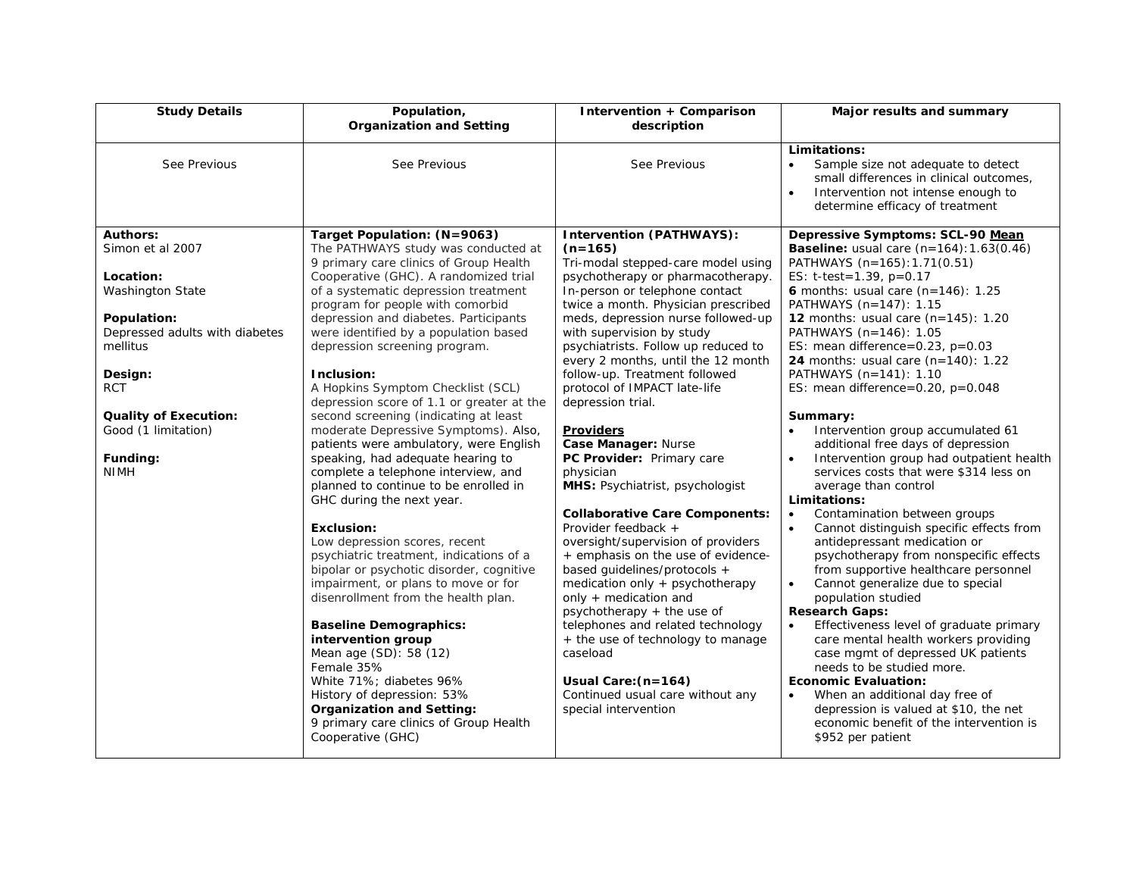| <b>Study Details</b>                                                        | Population,<br><b>Organization and Setting</b>                                                                                                                                                                                                                                                                                                                                                                                                                              | Intervention + Comparison<br>description                                                                                                                                                                                                                                                                                                                                                                                                        | Major results and summary                                                                                                                                                                                                                                                                                                                                                                                                                                                                                                                                                                                                                                         |
|-----------------------------------------------------------------------------|-----------------------------------------------------------------------------------------------------------------------------------------------------------------------------------------------------------------------------------------------------------------------------------------------------------------------------------------------------------------------------------------------------------------------------------------------------------------------------|-------------------------------------------------------------------------------------------------------------------------------------------------------------------------------------------------------------------------------------------------------------------------------------------------------------------------------------------------------------------------------------------------------------------------------------------------|-------------------------------------------------------------------------------------------------------------------------------------------------------------------------------------------------------------------------------------------------------------------------------------------------------------------------------------------------------------------------------------------------------------------------------------------------------------------------------------------------------------------------------------------------------------------------------------------------------------------------------------------------------------------|
| See Previous                                                                | See Previous                                                                                                                                                                                                                                                                                                                                                                                                                                                                | See Previous                                                                                                                                                                                                                                                                                                                                                                                                                                    | Limitations:<br>Sample size not adequate to detect<br>$\bullet$<br>small differences in clinical outcomes,<br>Intervention not intense enough to<br>$\bullet$<br>determine efficacy of treatment                                                                                                                                                                                                                                                                                                                                                                                                                                                                  |
| <b>Authors:</b><br>Simon et al 2007<br>Location:<br><b>Washington State</b> | Target Population: (N=9063)<br>The PATHWAYS study was conducted at<br>9 primary care clinics of Group Health<br>Cooperative (GHC). A randomized trial<br>of a systematic depression treatment<br>program for people with comorbid                                                                                                                                                                                                                                           | <b>Intervention (PATHWAYS):</b><br>$(n=165)$<br>Tri-modal stepped-care model using<br>psychotherapy or pharmacotherapy.<br>In-person or telephone contact<br>twice a month. Physician prescribed                                                                                                                                                                                                                                                | Depressive Symptoms: SCL-90 Mean<br><b>Baseline:</b> usual care $(n=164): 1.63(0.46)$<br>PATHWAYS (n=165): 1.71(0.51)<br>ES: $t-test = 1.39$ , $p=0.17$<br>6 months: usual care $(n=146)$ : 1.25<br>PATHWAYS (n=147): 1.15                                                                                                                                                                                                                                                                                                                                                                                                                                        |
| Population:<br>Depressed adults with diabetes<br>mellitus                   | depression and diabetes. Participants<br>were identified by a population based<br>depression screening program.                                                                                                                                                                                                                                                                                                                                                             | meds, depression nurse followed-up<br>with supervision by study<br>psychiatrists. Follow up reduced to<br>every 2 months, until the 12 month                                                                                                                                                                                                                                                                                                    | 12 months: usual care (n=145): 1.20<br>PATHWAYS (n=146): 1.05<br>ES: mean difference= $0.23$ , p= $0.03$<br>24 months: usual care (n=140): 1.22                                                                                                                                                                                                                                                                                                                                                                                                                                                                                                                   |
| Design:<br><b>RCT</b>                                                       | Inclusion:<br>A Hopkins Symptom Checklist (SCL)<br>depression score of 1.1 or greater at the                                                                                                                                                                                                                                                                                                                                                                                | follow-up. Treatment followed<br>protocol of IMPACT late-life<br>depression trial.                                                                                                                                                                                                                                                                                                                                                              | PATHWAYS (n=141): 1.10<br>ES: mean difference=0.20, $p=0.048$                                                                                                                                                                                                                                                                                                                                                                                                                                                                                                                                                                                                     |
| <b>Quality of Execution:</b><br>Good (1 limitation)<br>Funding:             | second screening (indicating at least<br>moderate Depressive Symptoms). Also,<br>patients were ambulatory, were English<br>speaking, had adequate hearing to                                                                                                                                                                                                                                                                                                                | <b>Providers</b><br>Case Manager: Nurse<br>PC Provider: Primary care                                                                                                                                                                                                                                                                                                                                                                            | Summary:<br>Intervention group accumulated 61<br>$\bullet$<br>additional free days of depression<br>Intervention group had outpatient health<br>$\bullet$                                                                                                                                                                                                                                                                                                                                                                                                                                                                                                         |
| <b>NIMH</b>                                                                 | complete a telephone interview, and<br>planned to continue to be enrolled in<br>GHC during the next year.                                                                                                                                                                                                                                                                                                                                                                   | physician<br>MHS: Psychiatrist, psychologist                                                                                                                                                                                                                                                                                                                                                                                                    | services costs that were \$314 less on<br>average than control<br>Limitations:                                                                                                                                                                                                                                                                                                                                                                                                                                                                                                                                                                                    |
|                                                                             | Exclusion:<br>Low depression scores, recent<br>psychiatric treatment, indications of a<br>bipolar or psychotic disorder, cognitive<br>impairment, or plans to move or for<br>disenrollment from the health plan.<br><b>Baseline Demographics:</b><br>intervention group<br>Mean age (SD): 58 (12)<br>Female 35%<br>White 71%; diabetes 96%<br>History of depression: 53%<br><b>Organization and Setting:</b><br>9 primary care clinics of Group Health<br>Cooperative (GHC) | <b>Collaborative Care Components:</b><br>Provider feedback +<br>oversight/supervision of providers<br>+ emphasis on the use of evidence-<br>based guidelines/protocols +<br>medication only + psychotherapy<br>only + medication and<br>psychotherapy $+$ the use of<br>telephones and related technology<br>+ the use of technology to manage<br>caseload<br>Usual Care: $(n=164)$<br>Continued usual care without any<br>special intervention | Contamination between groups<br>$\bullet$<br>$\bullet$<br>Cannot distinguish specific effects from<br>antidepressant medication or<br>psychotherapy from nonspecific effects<br>from supportive healthcare personnel<br>Cannot generalize due to special<br>$\bullet$<br>population studied<br><b>Research Gaps:</b><br>Effectiveness level of graduate primary<br>care mental health workers providing<br>case mgmt of depressed UK patients<br>needs to be studied more.<br><b>Economic Evaluation:</b><br>When an additional day free of<br>$\bullet$<br>depression is valued at \$10, the net<br>economic benefit of the intervention is<br>\$952 per patient |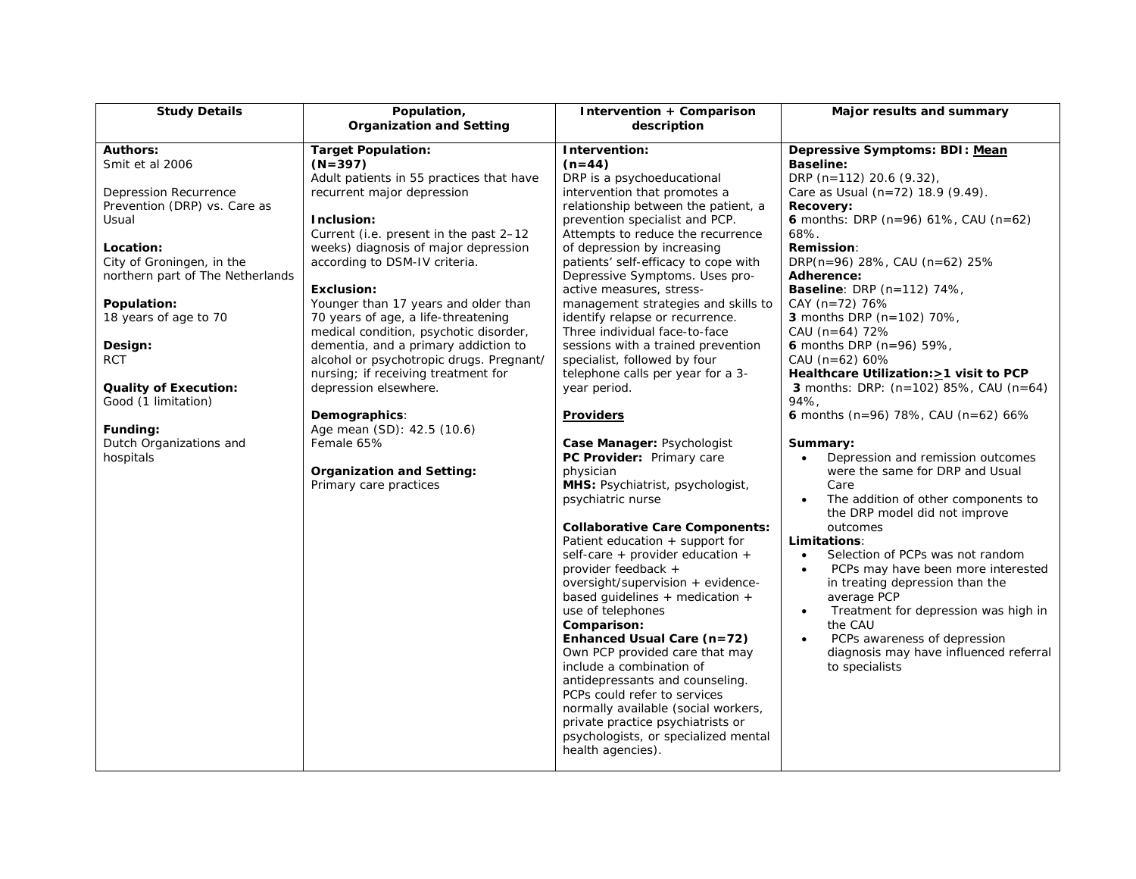| <b>Study Details</b>             | Population,                              | Intervention + Comparison             | Major results and summary                         |
|----------------------------------|------------------------------------------|---------------------------------------|---------------------------------------------------|
|                                  | <b>Organization and Setting</b>          | description                           |                                                   |
| <b>Authors:</b>                  | <b>Target Population:</b>                | Intervention:                         | Depressive Symptoms: BDI: Mean                    |
| Smit et al 2006                  | $(N=397)$                                | $(n=44)$                              | <b>Baseline:</b>                                  |
|                                  | Adult patients in 55 practices that have | DRP is a psychoeducational            | DRP (n=112) 20.6 (9.32),                          |
| Depression Recurrence            | recurrent major depression               | intervention that promotes a          | Care as Usual (n=72) 18.9 (9.49).                 |
| Prevention (DRP) vs. Care as     |                                          | relationship between the patient, a   | Recovery:                                         |
| Usual                            | Inclusion:                               | prevention specialist and PCP.        | 6 months: DRP ( $n=96$ ) 61%, CAU ( $n=62$ )      |
|                                  | Current (i.e. present in the past 2-12   | Attempts to reduce the recurrence     | 68%.                                              |
| Location:                        | weeks) diagnosis of major depression     | of depression by increasing           | <b>Remission:</b>                                 |
| City of Groningen, in the        | according to DSM-IV criteria.            | patients' self-efficacy to cope with  | DRP(n=96) 28%, CAU (n=62) 25%                     |
| northern part of The Netherlands |                                          | Depressive Symptoms. Uses pro-        | <b>Adherence:</b>                                 |
|                                  | Exclusion:                               | active measures, stress-              | <b>Baseline</b> : DRP (n=112) 74%,                |
| Population:                      | Younger than 17 years and older than     | management strategies and skills to   | CAY (n=72) 76%                                    |
| 18 years of age to 70            | 70 years of age, a life-threatening      | identify relapse or recurrence.       | 3 months DRP (n=102) 70%,                         |
|                                  | medical condition, psychotic disorder,   | Three individual face-to-face         | CAU (n=64) 72%                                    |
| Design:                          | dementia, and a primary addiction to     | sessions with a trained prevention    | 6 months DRP ( $n=96$ ) 59%,                      |
| <b>RCT</b>                       | alcohol or psychotropic drugs. Pregnant/ | specialist, followed by four          | CAU ( $n=62$ ) 60%                                |
|                                  | nursing; if receiving treatment for      | telephone calls per year for a 3-     | Healthcare Utilization: > 1 visit to PCP          |
| <b>Quality of Execution:</b>     | depression elsewhere.                    | year period.                          | <b>3</b> months: DRP: $(n=102)$ 85%, CAU $(n=64)$ |
| Good (1 limitation)              |                                          |                                       | 94%.                                              |
|                                  | Demographics:                            | <b>Providers</b>                      | 6 months (n=96) 78%, CAU (n=62) 66%               |
| Funding:                         | Age mean (SD): 42.5 (10.6)               |                                       |                                                   |
| Dutch Organizations and          | Female 65%                               | Case Manager: Psychologist            | Summary:                                          |
| hospitals                        |                                          | PC Provider: Primary care             | Depression and remission outcomes<br>$\bullet$    |
|                                  | <b>Organization and Setting:</b>         | physician                             | were the same for DRP and Usual                   |
|                                  | Primary care practices                   | MHS: Psychiatrist, psychologist,      | Care                                              |
|                                  |                                          | psychiatric nurse                     | The addition of other components to               |
|                                  |                                          |                                       | the DRP model did not improve                     |
|                                  |                                          | <b>Collaborative Care Components:</b> | outcomes                                          |
|                                  |                                          | Patient education + support for       | Limitations:                                      |
|                                  |                                          | self-care + provider education +      | Selection of PCPs was not random<br>$\bullet$     |
|                                  |                                          | provider feedback +                   | PCPs may have been more interested<br>$\bullet$   |
|                                  |                                          | oversight/supervision + evidence-     | in treating depression than the                   |
|                                  |                                          | based quidelines $+$ medication $+$   | average PCP                                       |
|                                  |                                          | use of telephones                     | Treatment for depression was high in<br>$\bullet$ |
|                                  |                                          | Comparison:                           | the CAU                                           |
|                                  |                                          | Enhanced Usual Care (n=72)            | PCPs awareness of depression                      |
|                                  |                                          | Own PCP provided care that may        | diagnosis may have influenced referral            |
|                                  |                                          | include a combination of              | to specialists                                    |
|                                  |                                          | antidepressants and counseling.       |                                                   |
|                                  |                                          | PCPs could refer to services          |                                                   |
|                                  |                                          | normally available (social workers,   |                                                   |
|                                  |                                          | private practice psychiatrists or     |                                                   |
|                                  |                                          | psychologists, or specialized mental  |                                                   |
|                                  |                                          | health agencies).                     |                                                   |
|                                  |                                          |                                       |                                                   |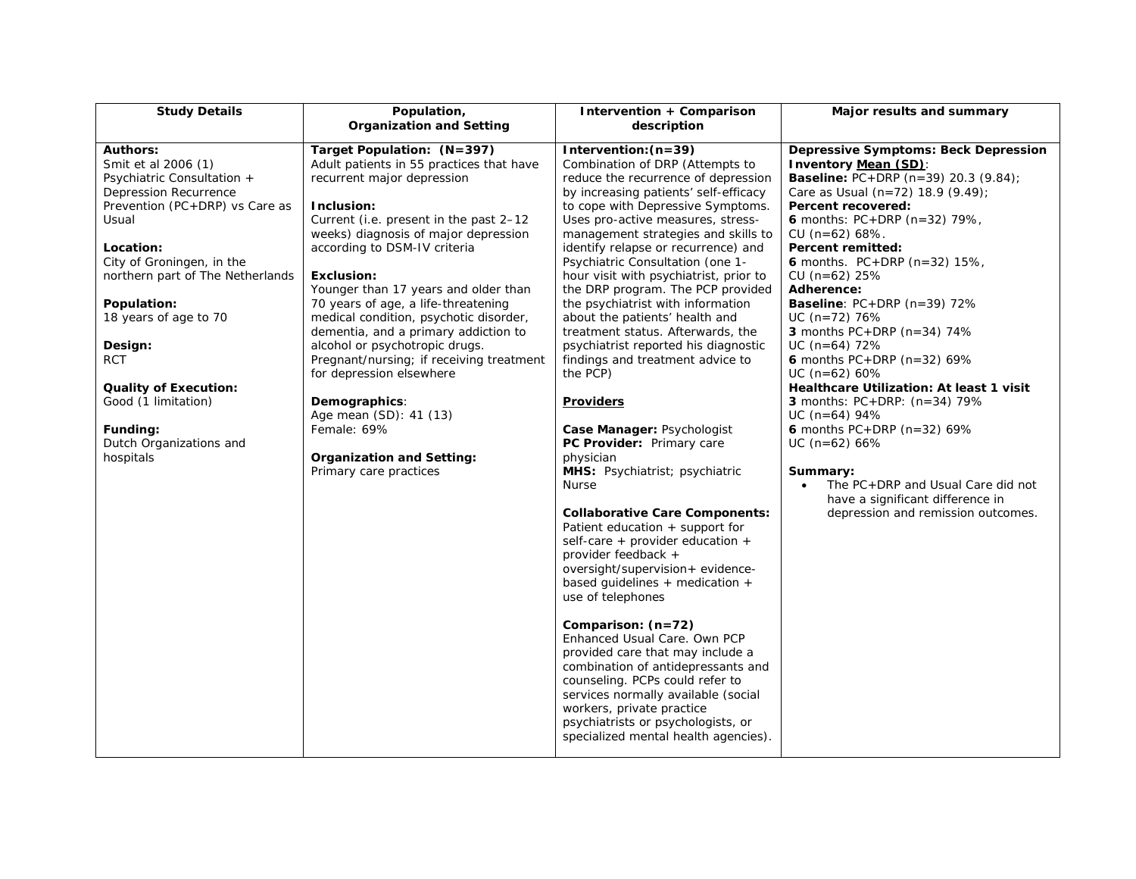| <b>Study Details</b>                                                                                                                                                                                                                                                                                                                                                                               | Population,<br><b>Organization and Setting</b>                                                                                                                                                                                                                                                                                                                                                                                                                                                                                                                                                                                                        | Intervention + Comparison<br>description                                                                                                                                                                                                                                                                                                                                                                                                                                                                                                                                                                                                                                                                                                                                                                                                                                                                                                                                                                                                                                                                                                                                                                                                                                                                                           | Major results and summary                                                                                                                                                                                                                                                                                                                                                                                                                                                                                                                                                                                                                                                                                                                                                                                        |
|----------------------------------------------------------------------------------------------------------------------------------------------------------------------------------------------------------------------------------------------------------------------------------------------------------------------------------------------------------------------------------------------------|-------------------------------------------------------------------------------------------------------------------------------------------------------------------------------------------------------------------------------------------------------------------------------------------------------------------------------------------------------------------------------------------------------------------------------------------------------------------------------------------------------------------------------------------------------------------------------------------------------------------------------------------------------|------------------------------------------------------------------------------------------------------------------------------------------------------------------------------------------------------------------------------------------------------------------------------------------------------------------------------------------------------------------------------------------------------------------------------------------------------------------------------------------------------------------------------------------------------------------------------------------------------------------------------------------------------------------------------------------------------------------------------------------------------------------------------------------------------------------------------------------------------------------------------------------------------------------------------------------------------------------------------------------------------------------------------------------------------------------------------------------------------------------------------------------------------------------------------------------------------------------------------------------------------------------------------------------------------------------------------------|------------------------------------------------------------------------------------------------------------------------------------------------------------------------------------------------------------------------------------------------------------------------------------------------------------------------------------------------------------------------------------------------------------------------------------------------------------------------------------------------------------------------------------------------------------------------------------------------------------------------------------------------------------------------------------------------------------------------------------------------------------------------------------------------------------------|
| <b>Authors:</b><br>Smit et al 2006 (1)<br>Psychiatric Consultation +<br>Depression Recurrence<br>Prevention (PC+DRP) vs Care as<br>Usual<br>Location:<br>City of Groningen, in the<br>northern part of The Netherlands<br>Population:<br>18 years of age to 70<br>Design:<br><b>RCT</b><br><b>Quality of Execution:</b><br>Good (1 limitation)<br>Funding:<br>Dutch Organizations and<br>hospitals | Target Population: (N=397)<br>Adult patients in 55 practices that have<br>recurrent major depression<br>Inclusion:<br>Current (i.e. present in the past 2-12<br>weeks) diagnosis of major depression<br>according to DSM-IV criteria<br><b>Exclusion:</b><br>Younger than 17 years and older than<br>70 years of age, a life-threatening<br>medical condition, psychotic disorder,<br>dementia, and a primary addiction to<br>alcohol or psychotropic drugs.<br>Pregnant/nursing; if receiving treatment<br>for depression elsewhere<br>Demographics:<br>Age mean (SD): 41 (13)<br>Female: 69%<br>Organization and Setting:<br>Primary care practices | Intervention: $(n=39)$<br>Combination of DRP (Attempts to<br>reduce the recurrence of depression<br>by increasing patients' self-efficacy<br>to cope with Depressive Symptoms.<br>Uses pro-active measures, stress-<br>management strategies and skills to<br>identify relapse or recurrence) and<br>Psychiatric Consultation (one 1-<br>hour visit with psychiatrist, prior to<br>the DRP program. The PCP provided<br>the psychiatrist with information<br>about the patients' health and<br>treatment status. Afterwards, the<br>psychiatrist reported his diagnostic<br>findings and treatment advice to<br>the PCP)<br><b>Providers</b><br>Case Manager: Psychologist<br>PC Provider: Primary care<br>physician<br>MHS: Psychiatrist; psychiatric<br><b>Nurse</b><br><b>Collaborative Care Components:</b><br>Patient education + support for<br>self-care + provider education +<br>provider feedback +<br>oversight/supervision+ evidence-<br>based guidelines $+$ medication $+$<br>use of telephones<br>Comparison: (n=72)<br>Enhanced Usual Care. Own PCP<br>provided care that may include a<br>combination of antidepressants and<br>counseling. PCPs could refer to<br>services normally available (social<br>workers, private practice<br>psychiatrists or psychologists, or<br>specialized mental health agencies). | <b>Depressive Symptoms: Beck Depression</b><br>Inventory Mean (SD):<br><b>Baseline:</b> PC+DRP (n=39) 20.3 (9.84);<br>Care as Usual (n=72) 18.9 (9.49);<br>Percent recovered:<br>6 months: $PC+DRP$ (n=32) 79%,<br>$CU (n=62) 68%$ .<br>Percent remitted:<br>6 months. $PC + DRP$ (n=32) 15%,<br>$CU (n=62) 25%$<br>Adherence:<br><b>Baseline</b> : $PC+DRP$ ( $n=39$ ) 72%<br>$UC (n=72) 76%$<br>3 months $PC+DRP$ (n=34) 74%<br>$UC$ (n=64) 72%<br>6 months $PC + DRP$ (n=32) 69%<br>$UC (n=62) 60%$<br>Healthcare Utilization: At least 1 visit<br><b>3</b> months: $PC + DRP$ : $(n=34)$ 79%<br>$UC$ (n=64) 94%<br>6 months $PC + DRP$ (n=32) 69%<br>$UC$ (n=62) 66%<br>Summary:<br>The PC+DRP and Usual Care did not<br>$\bullet$<br>have a significant difference in<br>depression and remission outcomes. |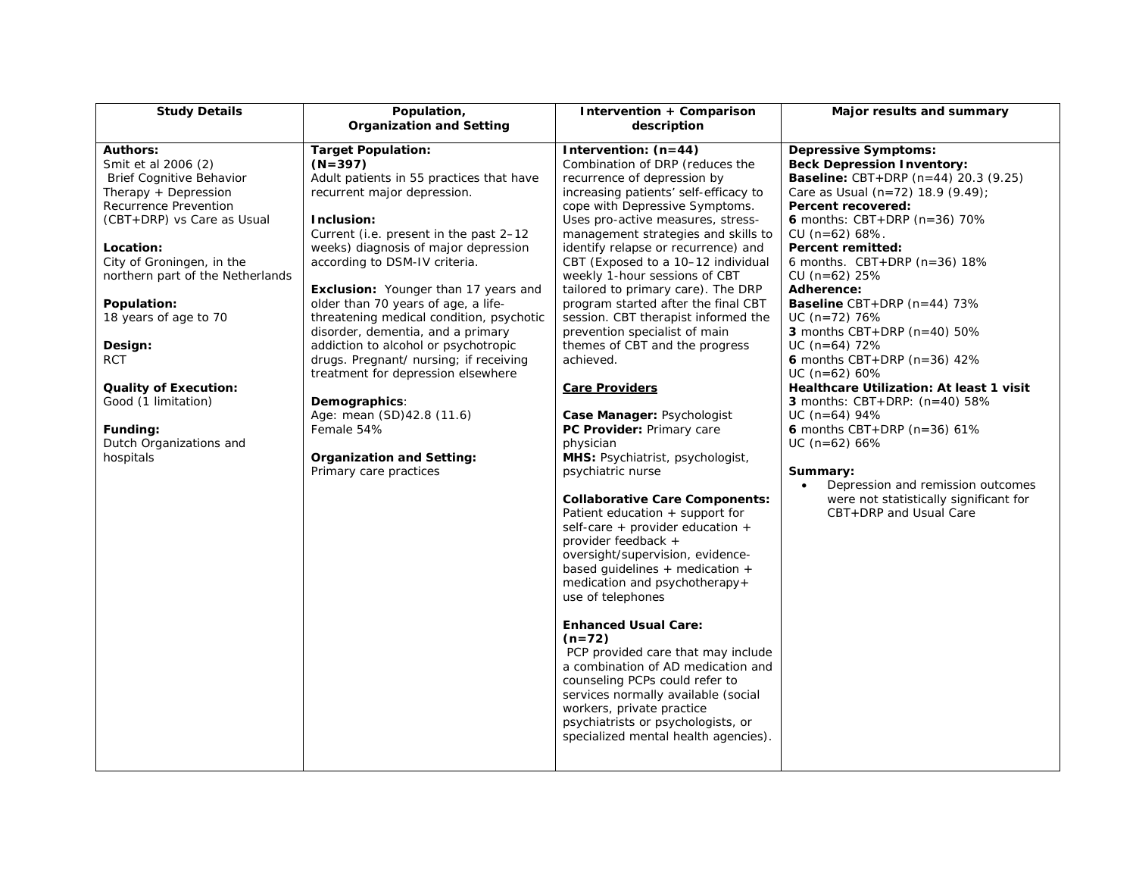| <b>Study Details</b>                                                                                                                                                                                                                                                                                                                                                                                        | Population,                                                                                                                                                                                                                                                                                                                                                                                                                                                                                                                                                                                                                                                                                                    | Intervention + Comparison                                                                                                                                                                                                                                                                                                                                                                                                                                                                                                                                                                                                                                                                                                                                                                                                                                                                                                                                                                                                                                                                                                                                                                                                                                                             | Major results and summary                                                                                                                                                                                                                                                                                                                                                                                                                                                                                                                                                                                                                                                                                                                                                                                         |
|-------------------------------------------------------------------------------------------------------------------------------------------------------------------------------------------------------------------------------------------------------------------------------------------------------------------------------------------------------------------------------------------------------------|----------------------------------------------------------------------------------------------------------------------------------------------------------------------------------------------------------------------------------------------------------------------------------------------------------------------------------------------------------------------------------------------------------------------------------------------------------------------------------------------------------------------------------------------------------------------------------------------------------------------------------------------------------------------------------------------------------------|---------------------------------------------------------------------------------------------------------------------------------------------------------------------------------------------------------------------------------------------------------------------------------------------------------------------------------------------------------------------------------------------------------------------------------------------------------------------------------------------------------------------------------------------------------------------------------------------------------------------------------------------------------------------------------------------------------------------------------------------------------------------------------------------------------------------------------------------------------------------------------------------------------------------------------------------------------------------------------------------------------------------------------------------------------------------------------------------------------------------------------------------------------------------------------------------------------------------------------------------------------------------------------------|-------------------------------------------------------------------------------------------------------------------------------------------------------------------------------------------------------------------------------------------------------------------------------------------------------------------------------------------------------------------------------------------------------------------------------------------------------------------------------------------------------------------------------------------------------------------------------------------------------------------------------------------------------------------------------------------------------------------------------------------------------------------------------------------------------------------|
|                                                                                                                                                                                                                                                                                                                                                                                                             |                                                                                                                                                                                                                                                                                                                                                                                                                                                                                                                                                                                                                                                                                                                |                                                                                                                                                                                                                                                                                                                                                                                                                                                                                                                                                                                                                                                                                                                                                                                                                                                                                                                                                                                                                                                                                                                                                                                                                                                                                       |                                                                                                                                                                                                                                                                                                                                                                                                                                                                                                                                                                                                                                                                                                                                                                                                                   |
| <b>Authors:</b><br>Smit et al 2006 (2)<br>Brief Cognitive Behavior<br>Therapy + Depression<br>Recurrence Prevention<br>(CBT+DRP) vs Care as Usual<br>Location:<br>City of Groningen, in the<br>northern part of the Netherlands<br>Population:<br>18 years of age to 70<br>Design:<br><b>RCT</b><br><b>Quality of Execution:</b><br>Good (1 limitation)<br>Funding:<br>Dutch Organizations and<br>hospitals | <b>Organization and Setting</b><br><b>Target Population:</b><br>$(N=397)$<br>Adult patients in 55 practices that have<br>recurrent major depression.<br>Inclusion:<br>Current (i.e. present in the past 2-12<br>weeks) diagnosis of major depression<br>according to DSM-IV criteria.<br><b>Exclusion:</b> Younger than 17 years and<br>older than 70 years of age, a life-<br>threatening medical condition, psychotic<br>disorder, dementia, and a primary<br>addiction to alcohol or psychotropic<br>drugs. Pregnant/ nursing; if receiving<br>treatment for depression elsewhere<br>Demographics:<br>Age: mean (SD)42.8 (11.6)<br>Female 54%<br><b>Organization and Setting:</b><br>Primary care practices | description<br>Intervention: $(n=44)$<br>Combination of DRP (reduces the<br>recurrence of depression by<br>increasing patients' self-efficacy to<br>cope with Depressive Symptoms.<br>Uses pro-active measures, stress-<br>management strategies and skills to<br>identify relapse or recurrence) and<br>CBT (Exposed to a 10-12 individual<br>weekly 1-hour sessions of CBT<br>tailored to primary care). The DRP<br>program started after the final CBT<br>session. CBT therapist informed the<br>prevention specialist of main<br>themes of CBT and the progress<br>achieved.<br><b>Care Providers</b><br>Case Manager: Psychologist<br>PC Provider: Primary care<br>physician<br>MHS: Psychiatrist, psychologist,<br>psychiatric nurse<br><b>Collaborative Care Components:</b><br>Patient education + support for<br>self-care + provider education +<br>provider feedback +<br>oversight/supervision, evidence-<br>based guidelines $+$ medication $+$<br>medication and psychotherapy+<br>use of telephones<br><b>Enhanced Usual Care:</b><br>$(n=72)$<br>PCP provided care that may include<br>a combination of AD medication and<br>counseling PCPs could refer to<br>services normally available (social<br>workers, private practice<br>psychiatrists or psychologists, or | <b>Depressive Symptoms:</b><br><b>Beck Depression Inventory:</b><br><b>Baseline:</b> CBT+DRP $(n=44)$ 20.3 $(9.25)$<br>Care as Usual (n=72) 18.9 (9.49);<br>Percent recovered:<br><b>6</b> months: $CBT + DRP$ (n=36) 70%<br>$CU (n=62) 68%$ .<br>Percent remitted:<br>6 months. $CBT+DRP$ (n=36) 18%<br>$CU (n=62) 25%$<br>Adherence:<br><b>Baseline</b> CBT+DRP $(n=44)$ 73%<br>$UC (n=72) 76%$<br>3 months CBT+DRP ( $n=40$ ) 50%<br>$UC$ (n=64) 72%<br>6 months CBT+DRP ( $n=36$ ) 42%<br>$UC (n=62) 60%$<br>Healthcare Utilization: At least 1 visit<br><b>3</b> months: $CBT+DRP$ : $(n=40)$ 58%<br>$UC$ (n=64) 94%<br>6 months CBT+DRP ( $n=36$ ) 61%<br>$UC$ (n=62) 66%<br>Summary:<br>Depression and remission outcomes<br>$\bullet$<br>were not statistically significant for<br>CBT+DRP and Usual Care |
|                                                                                                                                                                                                                                                                                                                                                                                                             |                                                                                                                                                                                                                                                                                                                                                                                                                                                                                                                                                                                                                                                                                                                | specialized mental health agencies).                                                                                                                                                                                                                                                                                                                                                                                                                                                                                                                                                                                                                                                                                                                                                                                                                                                                                                                                                                                                                                                                                                                                                                                                                                                  |                                                                                                                                                                                                                                                                                                                                                                                                                                                                                                                                                                                                                                                                                                                                                                                                                   |
|                                                                                                                                                                                                                                                                                                                                                                                                             |                                                                                                                                                                                                                                                                                                                                                                                                                                                                                                                                                                                                                                                                                                                |                                                                                                                                                                                                                                                                                                                                                                                                                                                                                                                                                                                                                                                                                                                                                                                                                                                                                                                                                                                                                                                                                                                                                                                                                                                                                       |                                                                                                                                                                                                                                                                                                                                                                                                                                                                                                                                                                                                                                                                                                                                                                                                                   |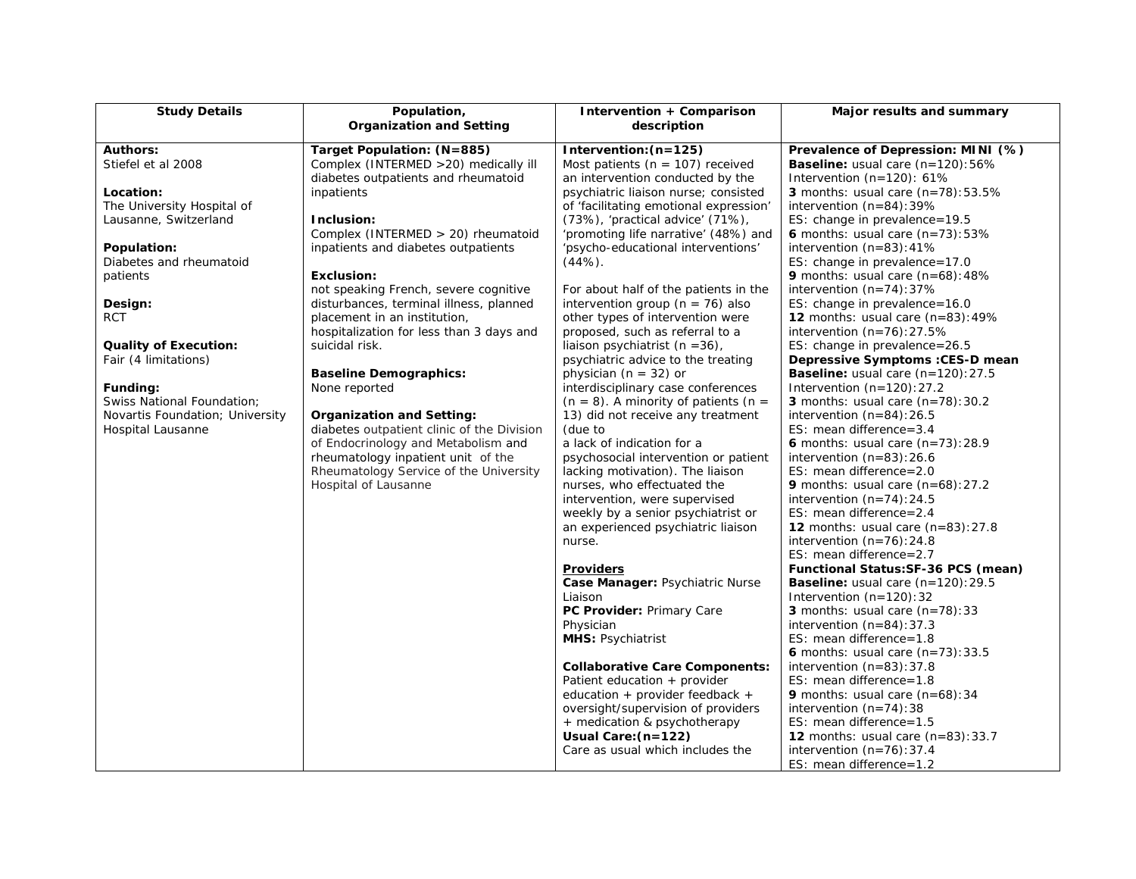| <b>Study Details</b>            | Population,                                                             | <b>Intervention + Comparison</b>                                         | Major results and summary                                                   |
|---------------------------------|-------------------------------------------------------------------------|--------------------------------------------------------------------------|-----------------------------------------------------------------------------|
|                                 | <b>Organization and Setting</b>                                         | description                                                              |                                                                             |
| <b>Authors:</b>                 | Target Population: (N=885)                                              | Intervention: $(n=125)$                                                  | Prevalence of Depression: MINI (%)                                          |
| Stiefel et al 2008              | Complex (INTERMED > 20) medically ill                                   | Most patients ( $n = 107$ ) received                                     | <b>Baseline:</b> usual care $(n=120):56\%$                                  |
|                                 | diabetes outpatients and rheumatoid                                     | an intervention conducted by the                                         | Intervention (n=120): 61%                                                   |
| Location:                       | inpatients                                                              | psychiatric liaison nurse; consisted                                     | <b>3</b> months: usual care $(n=78):53.5\%$                                 |
| The University Hospital of      |                                                                         | of 'facilitating emotional expression'                                   | intervention $(n=84):39\%$                                                  |
| Lausanne, Switzerland           | Inclusion:                                                              | (73%), 'practical advice' (71%),                                         | ES: change in prevalence=19.5                                               |
|                                 | Complex (INTERMED > 20) rheumatoid                                      | 'promoting life narrative' (48%) and                                     | 6 months: usual care $(n=73):53\%$                                          |
| Population:                     | inpatients and diabetes outpatients                                     | 'psycho-educational interventions'                                       | intervention $(n=83):41\%$                                                  |
| Diabetes and rheumatoid         |                                                                         | $(44%)$ .                                                                | ES: change in prevalence=17.0                                               |
| patients                        | <b>Exclusion:</b>                                                       |                                                                          | <b>9</b> months: usual care $(n=68):48\%$                                   |
|                                 | not speaking French, severe cognitive                                   | For about half of the patients in the                                    | intervention $(n=74):37\%$                                                  |
| Design:<br><b>RCT</b>           | disturbances, terminal illness, planned<br>placement in an institution, | intervention group ( $n = 76$ ) also<br>other types of intervention were | ES: change in prevalence=16.0<br><b>12</b> months: usual care $(n=83):49\%$ |
|                                 | hospitalization for less than 3 days and                                | proposed, such as referral to a                                          | intervention $(n=76):27.5%$                                                 |
| <b>Quality of Execution:</b>    | suicidal risk.                                                          | liaison psychiatrist $(n = 36)$ ,                                        | ES: change in prevalence=26.5                                               |
| Fair (4 limitations)            |                                                                         | psychiatric advice to the treating                                       | Depressive Symptoms : CES-D mean                                            |
|                                 | <b>Baseline Demographics:</b>                                           | physician ( $n = 32$ ) or                                                | <b>Baseline:</b> usual care $(n=120):27.5$                                  |
| Funding:                        | None reported                                                           | interdisciplinary case conferences                                       | Intervention $(n=120):27.2$                                                 |
| Swiss National Foundation;      |                                                                         | $(n = 8)$ . A minority of patients $(n = 1)$                             | <b>3</b> months: usual care $(n=78):30.2$                                   |
| Novartis Foundation; University | Organization and Setting:                                               | 13) did not receive any treatment                                        | intervention $(n=84):26.5$                                                  |
| Hospital Lausanne               | diabetes outpatient clinic of the Division                              | (due to                                                                  | ES: mean difference= $3.4$                                                  |
|                                 | of Endocrinology and Metabolism and                                     | a lack of indication for a                                               | 6 months: usual care $(n=73):28.9$                                          |
|                                 | rheumatology inpatient unit of the                                      | psychosocial intervention or patient                                     | intervention $(n=83):26.6$                                                  |
|                                 | Rheumatology Service of the University                                  | lacking motivation). The liaison                                         | ES: mean difference=2.0                                                     |
|                                 | Hospital of Lausanne                                                    | nurses, who effectuated the                                              | 9 months: usual care $(n=68):27.2$                                          |
|                                 |                                                                         | intervention, were supervised                                            | intervention $(n=74)$ : 24.5                                                |
|                                 |                                                                         | weekly by a senior psychiatrist or                                       | ES: mean difference= $2.4$                                                  |
|                                 |                                                                         | an experienced psychiatric liaison                                       | <b>12</b> months: usual care $(n=83):27.8$                                  |
|                                 |                                                                         | nurse.                                                                   | intervention $(n=76)$ : 24.8                                                |
|                                 |                                                                         |                                                                          | ES: mean difference= $2.7$                                                  |
|                                 |                                                                         | <b>Providers</b>                                                         | Functional Status: SF-36 PCS (mean)                                         |
|                                 |                                                                         | Case Manager: Psychiatric Nurse                                          | <b>Baseline:</b> usual care $(n=120):29.5$                                  |
|                                 |                                                                         | Liaison                                                                  | Intervention $(n=120)$ : 32                                                 |
|                                 |                                                                         | PC Provider: Primary Care                                                | <b>3</b> months: usual care $(n=78):33$                                     |
|                                 |                                                                         | Physician                                                                | intervention $(n=84):37.3$<br>ES: mean difference=1.8                       |
|                                 |                                                                         | <b>MHS: Psychiatrist</b>                                                 | 6 months: usual care $(n=73):33.5$                                          |
|                                 |                                                                         | <b>Collaborative Care Components:</b>                                    | intervention $(n=83):37.8$                                                  |
|                                 |                                                                         | Patient education + provider                                             | ES: mean difference=1.8                                                     |
|                                 |                                                                         | education + provider feedback +                                          | 9 months: usual care $(n=68):34$                                            |
|                                 |                                                                         | oversight/supervision of providers                                       | intervention $(n=74)$ : 38                                                  |
|                                 |                                                                         | + medication & psychotherapy                                             | ES: mean difference=1.5                                                     |
|                                 |                                                                         | Usual Care: (n=122)                                                      | 12 months: usual care $(n=83):33.7$                                         |
|                                 |                                                                         | Care as usual which includes the                                         | intervention $(n=76):37.4$                                                  |
|                                 |                                                                         |                                                                          | ES: mean difference= $1.2$                                                  |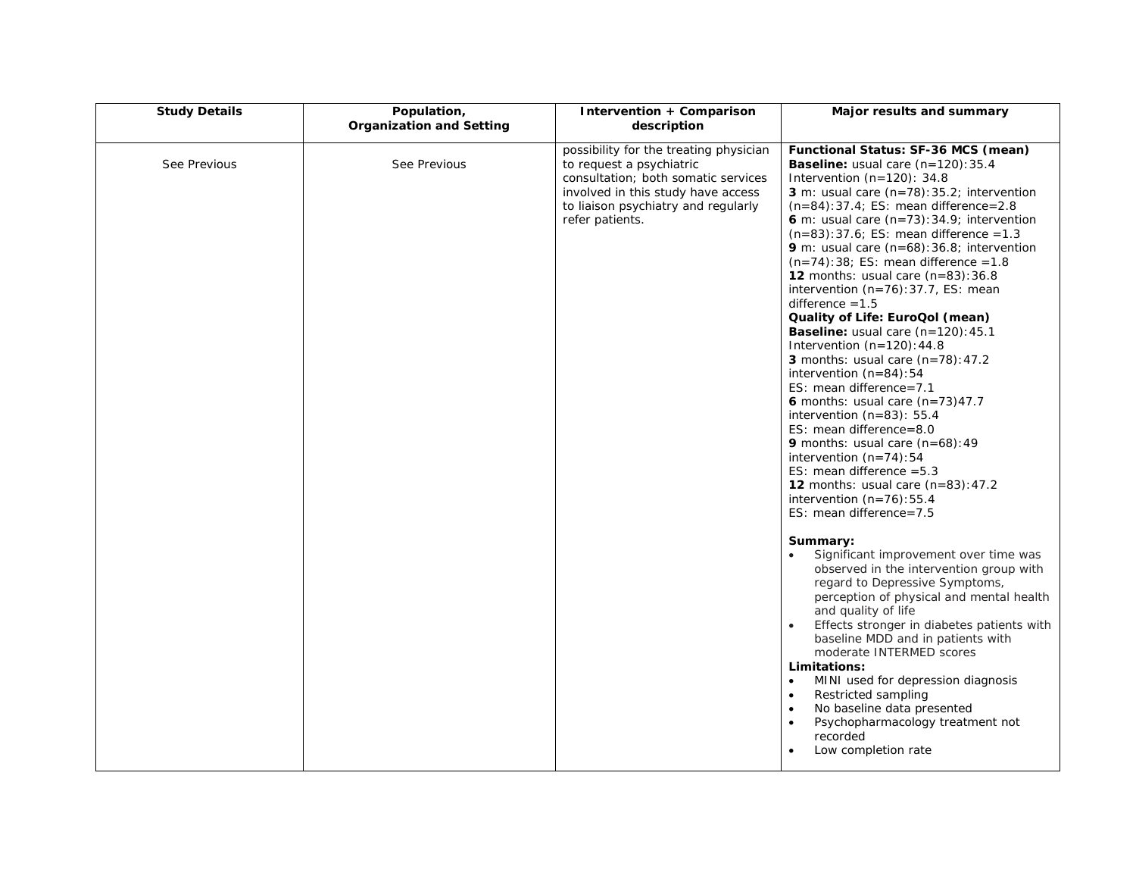| <b>Study Details</b> | Population,<br><b>Organization and Setting</b> | Intervention + Comparison<br>description                                                                                                                                                                  | Major results and summary                                                                                                                                                                                                                                                                                                                                                                                                                                                                                                                                                                                                                                                                                                                                                                                                                                                                                                                                                                                                       |
|----------------------|------------------------------------------------|-----------------------------------------------------------------------------------------------------------------------------------------------------------------------------------------------------------|---------------------------------------------------------------------------------------------------------------------------------------------------------------------------------------------------------------------------------------------------------------------------------------------------------------------------------------------------------------------------------------------------------------------------------------------------------------------------------------------------------------------------------------------------------------------------------------------------------------------------------------------------------------------------------------------------------------------------------------------------------------------------------------------------------------------------------------------------------------------------------------------------------------------------------------------------------------------------------------------------------------------------------|
| See Previous         | See Previous                                   | possibility for the treating physician<br>to request a psychiatric<br>consultation; both somatic services<br>involved in this study have access<br>to liaison psychiatry and regularly<br>refer patients. | Functional Status: SF-36 MCS (mean)<br>Baseline: usual care (n=120):35.4<br>Intervention $(n=120)$ : 34.8<br>3 m: usual care $(n=78):35.2$ ; intervention<br>$(n=84):37.4; ES: mean difference = 2.8$<br>6 m: usual care $(n=73):34.9$ ; intervention<br>$(n=83):37.6;$ ES: mean difference = 1.3<br>9 m: usual care $(n=68):36.8$ ; intervention<br>$(n=74):38;$ ES: mean difference = 1.8<br>12 months: usual care $(n=83):36.8$<br>intervention (n=76): 37.7, ES: mean<br>difference $=1.5$<br>Quality of Life: EuroQol (mean)<br><b>Baseline:</b> usual care $(n=120): 45.1$<br>Intervention $(n=120): 44.8$<br>3 months: usual care $(n=78): 47.2$<br>intervention $(n=84):54$<br>ES: mean difference= $7.1$<br>6 months: usual care $(n=73)47.7$<br>intervention $(n=83)$ : 55.4<br>ES: mean difference=8.0<br><b>9</b> months: usual care $(n=68): 49$<br>intervention $(n=74):54$<br>ES: mean difference $=5.3$<br><b>12</b> months: usual care $(n=83): 47.2$<br>intervention $(n=76):55.4$<br>ES: mean difference=7.5 |
|                      |                                                |                                                                                                                                                                                                           | Summary:<br>Significant improvement over time was<br>observed in the intervention group with<br>regard to Depressive Symptoms,<br>perception of physical and mental health<br>and quality of life<br>Effects stronger in diabetes patients with<br>$\bullet$<br>baseline MDD and in patients with<br>moderate INTERMED scores<br>Limitations:<br>MINI used for depression diagnosis<br>$\bullet$<br>Restricted sampling<br>$\bullet$<br>No baseline data presented<br>Psychopharmacology treatment not<br>$\bullet$<br>recorded<br>Low completion rate<br>$\bullet$                                                                                                                                                                                                                                                                                                                                                                                                                                                             |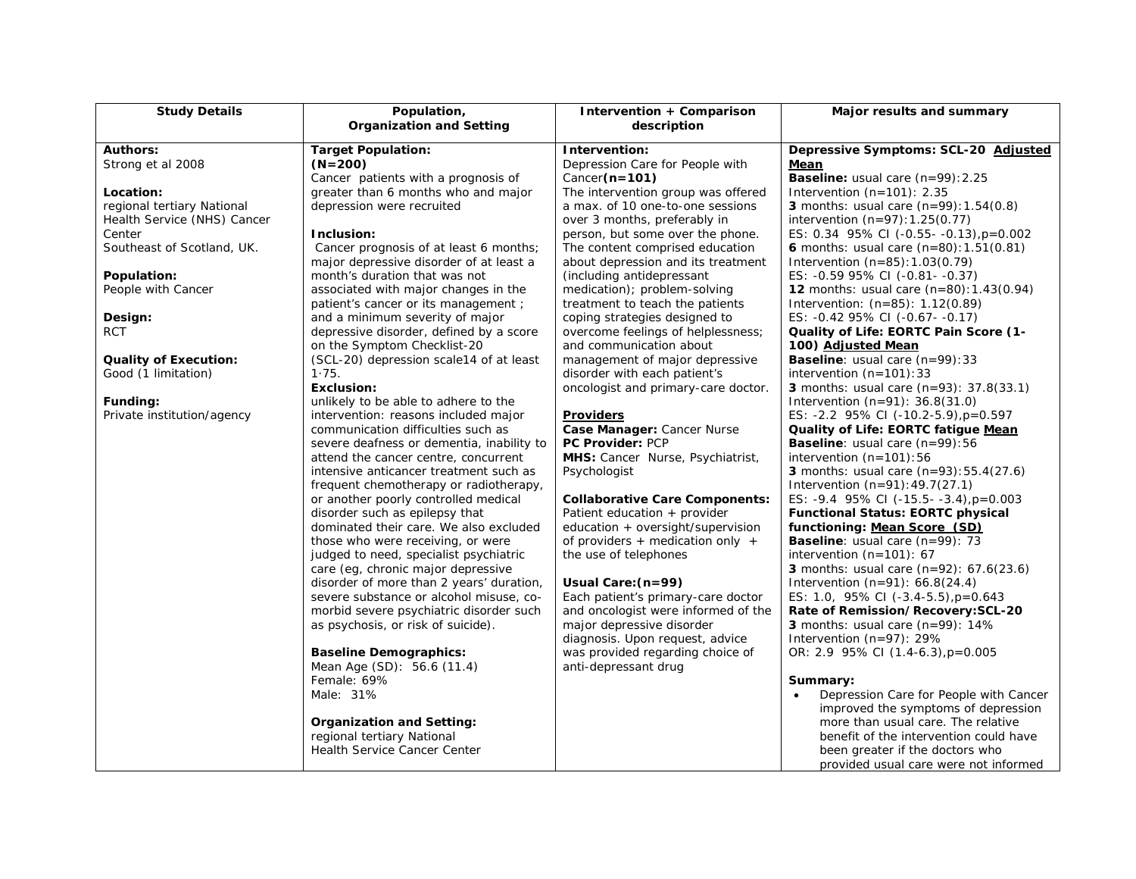| <b>Study Details</b>                 | Population,<br><b>Organization and Setting</b> | Intervention + Comparison<br>description                            | Major results and summary                                                                |
|--------------------------------------|------------------------------------------------|---------------------------------------------------------------------|------------------------------------------------------------------------------------------|
|                                      |                                                |                                                                     |                                                                                          |
| <b>Authors:</b>                      | <b>Target Population:</b>                      | Intervention:                                                       | Depressive Symptoms: SCL-20 Adjusted                                                     |
| Strong et al 2008                    | $(N=200)$                                      | Depression Care for People with                                     | <u>Mean</u>                                                                              |
|                                      | Cancer patients with a prognosis of            | Cancer $(n=101)$                                                    | Baseline: usual care (n=99): 2.25                                                        |
| Location:                            | greater than 6 months who and major            | The intervention group was offered                                  | Intervention $(n=101)$ : 2.35                                                            |
| regional tertiary National           | depression were recruited                      | a max. of 10 one-to-one sessions                                    | <b>3</b> months: usual care $(n=99): 1.54(0.8)$                                          |
| Health Service (NHS) Cancer          | Inclusion:                                     | over 3 months, preferably in                                        | intervention $(n=97):1.25(0.77)$                                                         |
| Center<br>Southeast of Scotland, UK. | Cancer prognosis of at least 6 months;         | person, but some over the phone.<br>The content comprised education | ES: 0.34 95% CI (-0.55- -0.13), p=0.002<br>6 months: usual care $(n=80)$ : 1.51 $(0.81)$ |
|                                      | major depressive disorder of at least a        | about depression and its treatment                                  | Intervention $(n=85): 1.03(0.79)$                                                        |
| Population:                          | month's duration that was not                  | (including antidepressant                                           | ES: -0.59 95% CI (-0.81- -0.37)                                                          |
| People with Cancer                   | associated with major changes in the           | medication); problem-solving                                        | <b>12</b> months: usual care $(n=80):1.43(0.94)$                                         |
|                                      | patient's cancer or its management;            | treatment to teach the patients                                     | Intervention: $(n=85)$ : 1.12 $(0.89)$                                                   |
| Design:                              | and a minimum severity of major                | coping strategies designed to                                       | ES: -0.42 95% CI (-0.67- -0.17)                                                          |
| <b>RCT</b>                           | depressive disorder, defined by a score        | overcome feelings of helplessness;                                  | Quality of Life: EORTC Pain Score (1-                                                    |
|                                      | on the Symptom Checklist-20                    | and communication about                                             | 100) Adjusted Mean                                                                       |
| <b>Quality of Execution:</b>         | (SCL-20) depression scale14 of at least        | management of major depressive                                      | <b>Baseline:</b> usual care $(n=99):33$                                                  |
| Good (1 limitation)                  | 1.75.                                          | disorder with each patient's                                        | intervention $(n=101):33$                                                                |
|                                      | Exclusion:                                     | oncologist and primary-care doctor.                                 | <b>3</b> months: usual care $(n=93)$ : 37.8(33.1)                                        |
| Funding:                             | unlikely to be able to adhere to the           |                                                                     | Intervention $(n=91)$ : 36.8(31.0)                                                       |
| Private institution/agency           | intervention: reasons included major           | <b>Providers</b>                                                    | ES: $-2.2$ 95% CI ( $-10.2-5.9$ ), p=0.597                                               |
|                                      | communication difficulties such as             | Case Manager: Cancer Nurse                                          | Quality of Life: EORTC fatigue Mean                                                      |
|                                      | severe deafness or dementia, inability to      | <b>PC Provider: PCP</b>                                             | <b>Baseline:</b> usual care $(n=99):56$                                                  |
|                                      | attend the cancer centre, concurrent           | MHS: Cancer Nurse, Psychiatrist,                                    | intervention $(n=101):56$                                                                |
|                                      | intensive anticancer treatment such as         | Psychologist                                                        | <b>3</b> months: usual care $(n=93): 55.4(27.6)$                                         |
|                                      | frequent chemotherapy or radiotherapy,         |                                                                     | Intervention $(n=91): 49.7(27.1)$                                                        |
|                                      | or another poorly controlled medical           | <b>Collaborative Care Components:</b>                               | ES: $-9.4$ 95% CI ( $-15.5 - -3.4$ ), $p = 0.003$                                        |
|                                      | disorder such as epilepsy that                 | Patient education $+$ provider                                      | <b>Functional Status: EORTC physical</b>                                                 |
|                                      | dominated their care. We also excluded         | education + oversight/supervision                                   | functioning: Mean Score (SD)                                                             |
|                                      | those who were receiving, or were              | of providers $+$ medication only $+$                                | <b>Baseline:</b> usual care $(n=99)$ : 73                                                |
|                                      | judged to need, specialist psychiatric         | the use of telephones                                               | intervention $(n=101)$ : 67                                                              |
|                                      | care (eg, chronic major depressive             |                                                                     | <b>3</b> months: usual care $(n=92)$ : 67.6(23.6)                                        |
|                                      | disorder of more than 2 years' duration,       | Usual Care: (n=99)                                                  | Intervention $(n=91)$ : 66.8(24.4)                                                       |
|                                      | severe substance or alcohol misuse, co-        | Each patient's primary-care doctor                                  | ES: 1.0, 95% CI $(-3.4-5.5)$ , p=0.643                                                   |
|                                      | morbid severe psychiatric disorder such        | and oncologist were informed of the<br>major depressive disorder    | Rate of Remission/Recovery: SCL-20                                                       |
|                                      | as psychosis, or risk of suicide).             | diagnosis. Upon request, advice                                     | <b>3</b> months: usual care $(n=99)$ : 14%<br>Intervention $(n=97)$ : 29%                |
|                                      | <b>Baseline Demographics:</b>                  | was provided regarding choice of                                    | OR: 2.9 95% CI (1.4-6.3), p=0.005                                                        |
|                                      | Mean Age (SD): 56.6 (11.4)                     | anti-depressant drug                                                |                                                                                          |
|                                      | Female: 69%                                    |                                                                     | Summary:                                                                                 |
|                                      | Male: 31%                                      |                                                                     | Depression Care for People with Cancer                                                   |
|                                      |                                                |                                                                     | improved the symptoms of depression                                                      |
|                                      | Organization and Setting:                      |                                                                     | more than usual care. The relative                                                       |
|                                      | regional tertiary National                     |                                                                     | benefit of the intervention could have                                                   |
|                                      | <b>Health Service Cancer Center</b>            |                                                                     | been greater if the doctors who                                                          |
|                                      |                                                |                                                                     | provided usual care were not informed                                                    |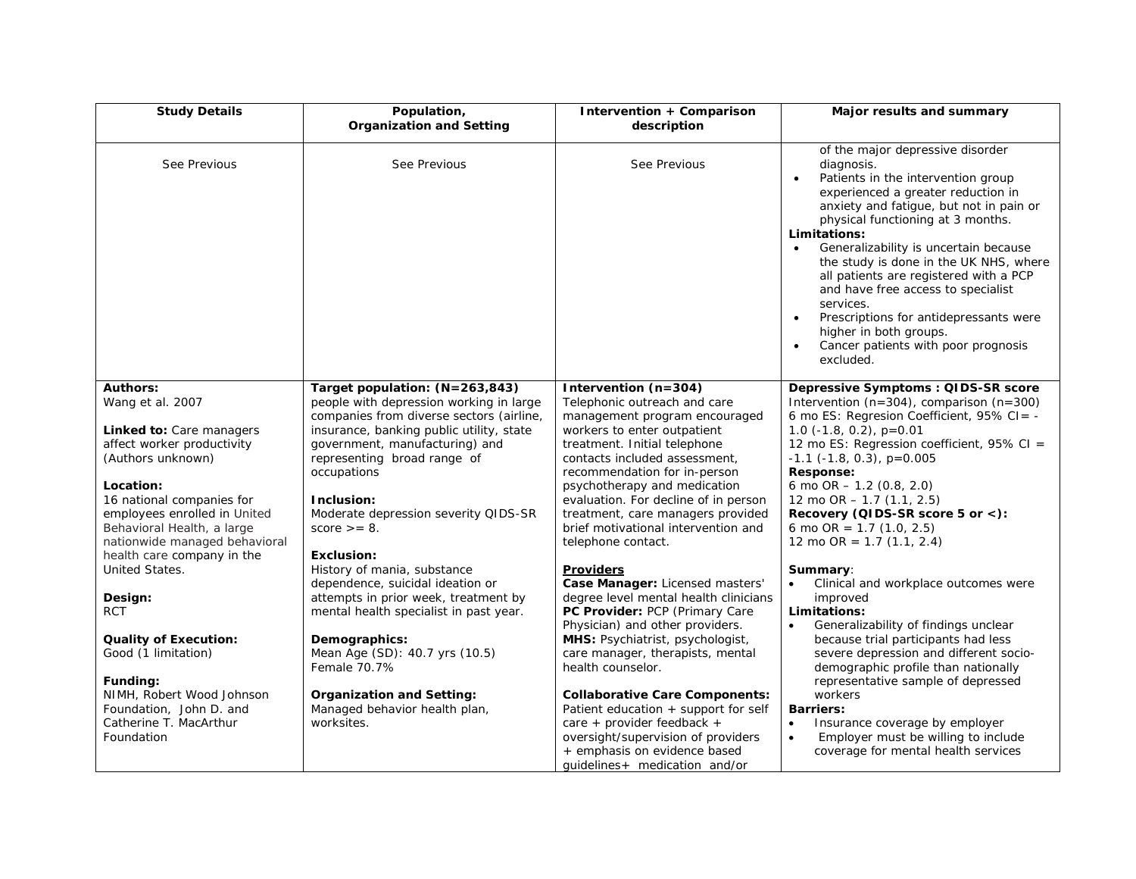| <b>Study Details</b>                                                                                                     | Population,<br><b>Organization and Setting</b>                                                                           | <b>Intervention + Comparison</b><br>description                                                                                                                                                                    | Major results and summary                                                                                                                                                                                                                                                                                                                                                                                                                                                                                                                                                              |
|--------------------------------------------------------------------------------------------------------------------------|--------------------------------------------------------------------------------------------------------------------------|--------------------------------------------------------------------------------------------------------------------------------------------------------------------------------------------------------------------|----------------------------------------------------------------------------------------------------------------------------------------------------------------------------------------------------------------------------------------------------------------------------------------------------------------------------------------------------------------------------------------------------------------------------------------------------------------------------------------------------------------------------------------------------------------------------------------|
| See Previous                                                                                                             | See Previous                                                                                                             | See Previous                                                                                                                                                                                                       | of the major depressive disorder<br>diagnosis.<br>Patients in the intervention group<br>$\bullet$<br>experienced a greater reduction in<br>anxiety and fatique, but not in pain or<br>physical functioning at 3 months.<br>Limitations:<br>Generalizability is uncertain because<br>$\bullet$<br>the study is done in the UK NHS, where<br>all patients are registered with a PCP<br>and have free access to specialist<br>services.<br>Prescriptions for antidepressants were<br>$\bullet$<br>higher in both groups.<br>Cancer patients with poor prognosis<br>$\bullet$<br>excluded. |
| <b>Authors:</b><br>Wang et al. 2007                                                                                      | Target population: (N=263,843)<br>people with depression working in large<br>companies from diverse sectors (airline,    | Intervention (n=304)<br>Telephonic outreach and care<br>management program encouraged                                                                                                                              | Depressive Symptoms : QIDS-SR score<br>Intervention ( $n=304$ ), comparison ( $n=300$ )<br>6 mo ES: Regresion Coefficient, $95\%$ CI = -                                                                                                                                                                                                                                                                                                                                                                                                                                               |
| <b>Linked to: Care managers</b><br>affect worker productivity<br>(Authors unknown)                                       | insurance, banking public utility, state<br>government, manufacturing) and<br>representing broad range of<br>occupations | workers to enter outpatient<br>treatment. Initial telephone<br>contacts included assessment,<br>recommendation for in-person                                                                                       | 1.0 $(-1.8, 0.2)$ , p=0.01<br>12 mo ES: Regression coefficient, 95% CI =<br>$-1.1$ ( $-1.8$ , 0.3), p=0.005<br>Response:                                                                                                                                                                                                                                                                                                                                                                                                                                                               |
| Location:                                                                                                                |                                                                                                                          | psychotherapy and medication                                                                                                                                                                                       | 6 mo OR $- 1.2$ (0.8, 2.0)                                                                                                                                                                                                                                                                                                                                                                                                                                                                                                                                                             |
| 16 national companies for<br>employees enrolled in United<br>Behavioral Health, a large<br>nationwide managed behavioral | Inclusion:<br>Moderate depression severity QIDS-SR<br>score $\geq$ = 8.                                                  | evaluation. For decline of in person<br>treatment, care managers provided<br>brief motivational intervention and<br>telephone contact.                                                                             | 12 mo OR $- 1.7$ (1.1, 2.5)<br>Recovery (QIDS-SR score 5 or <):<br>6 mo OR = $1.7$ (1.0, 2.5)<br>12 mo OR = $1.7$ (1.1, 2.4)                                                                                                                                                                                                                                                                                                                                                                                                                                                           |
| health care company in the<br>United States.                                                                             | Exclusion:<br>History of mania, substance                                                                                | <b>Providers</b>                                                                                                                                                                                                   | Summary:                                                                                                                                                                                                                                                                                                                                                                                                                                                                                                                                                                               |
| Design:<br>RCT                                                                                                           | dependence, suicidal ideation or<br>attempts in prior week, treatment by<br>mental health specialist in past year.       | Case Manager: Licensed masters'<br>degree level mental health clinicians<br>PC Provider: PCP (Primary Care<br>Physician) and other providers.                                                                      | Clinical and workplace outcomes were<br>improved<br>Limitations:<br>Generalizability of findings unclear<br>$\bullet$                                                                                                                                                                                                                                                                                                                                                                                                                                                                  |
| <b>Quality of Execution:</b><br>Good (1 limitation)                                                                      | Demographics:<br>Mean Age (SD): 40.7 yrs (10.5)<br>Female 70.7%                                                          | MHS: Psychiatrist, psychologist,<br>care manager, therapists, mental<br>health counselor.                                                                                                                          | because trial participants had less<br>severe depression and different socio-<br>demographic profile than nationally                                                                                                                                                                                                                                                                                                                                                                                                                                                                   |
| Funding:<br>NIMH, Robert Wood Johnson<br>Foundation, John D. and<br>Catherine T. MacArthur<br>Foundation                 | <b>Organization and Setting:</b><br>Managed behavior health plan,<br>worksites.                                          | <b>Collaborative Care Components:</b><br>Patient education + support for self<br>care + provider feedback +<br>oversight/supervision of providers<br>+ emphasis on evidence based<br>quidelines+ medication and/or | representative sample of depressed<br>workers<br><b>Barriers:</b><br>Insurance coverage by employer<br>$\bullet$<br>Employer must be willing to include<br>$\bullet$<br>coverage for mental health services                                                                                                                                                                                                                                                                                                                                                                            |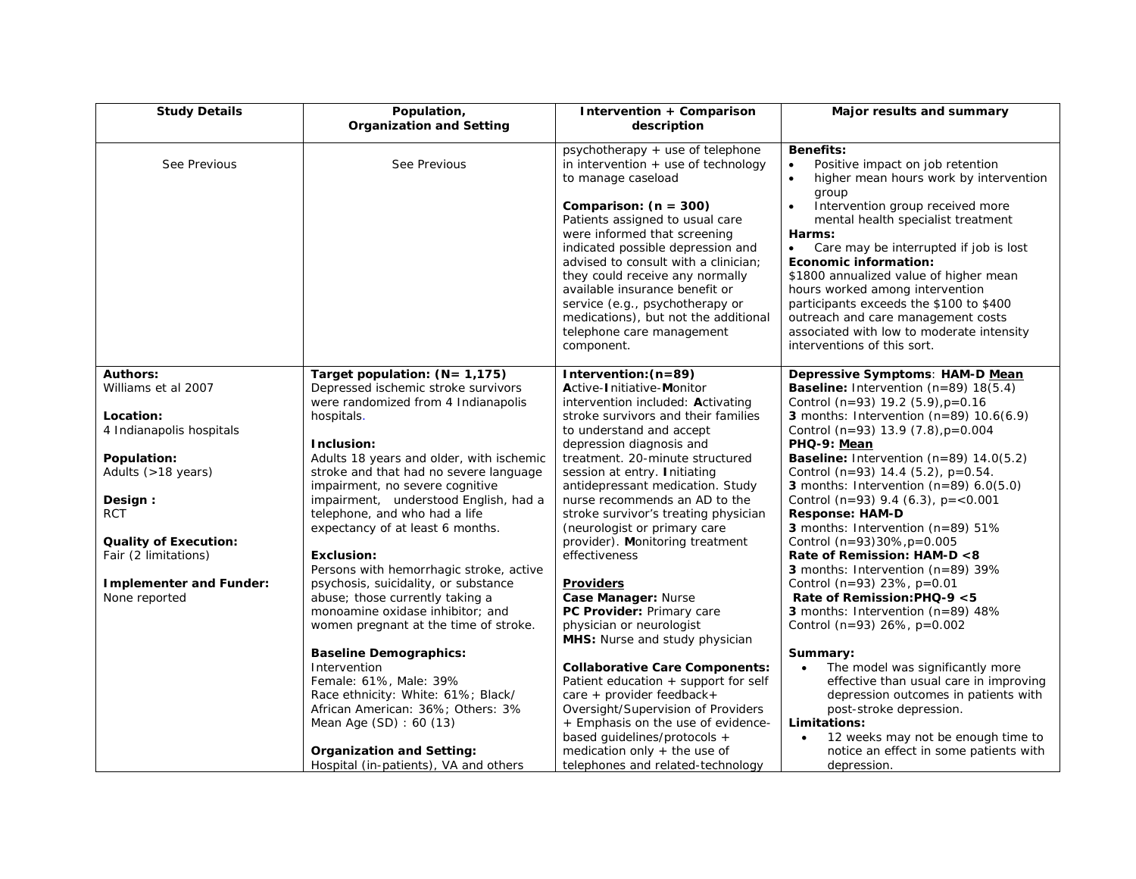| <b>Study Details</b>                   | Population,<br><b>Organization and Setting</b>                           | Intervention + Comparison<br>description                                                                                                                                                                                                                                                                                                                           | Major results and summary                                                                                                                                                                                                                                                                                                                                                                                               |
|----------------------------------------|--------------------------------------------------------------------------|--------------------------------------------------------------------------------------------------------------------------------------------------------------------------------------------------------------------------------------------------------------------------------------------------------------------------------------------------------------------|-------------------------------------------------------------------------------------------------------------------------------------------------------------------------------------------------------------------------------------------------------------------------------------------------------------------------------------------------------------------------------------------------------------------------|
| See Previous                           | See Previous                                                             | psychotherapy + use of telephone<br>in intervention $+$ use of technology<br>to manage caseload                                                                                                                                                                                                                                                                    | <b>Benefits:</b><br>Positive impact on job retention<br>$\bullet$<br>higher mean hours work by intervention<br>$\bullet$<br>group                                                                                                                                                                                                                                                                                       |
|                                        |                                                                          | Comparison: $(n = 300)$<br>Patients assigned to usual care<br>were informed that screening<br>indicated possible depression and<br>advised to consult with a clinician;<br>they could receive any normally<br>available insurance benefit or<br>service (e.g., psychotherapy or<br>medications), but not the additional<br>telephone care management<br>component. | Intervention group received more<br>$\bullet$<br>mental health specialist treatment<br>Harms:<br>Care may be interrupted if job is lost<br>$\bullet$<br>Economic information:<br>\$1800 annualized value of higher mean<br>hours worked among intervention<br>participants exceeds the \$100 to \$400<br>outreach and care management costs<br>associated with low to moderate intensity<br>interventions of this sort. |
|                                        |                                                                          |                                                                                                                                                                                                                                                                                                                                                                    |                                                                                                                                                                                                                                                                                                                                                                                                                         |
| <b>Authors:</b><br>Williams et al 2007 | Target population: $(N = 1, 175)$<br>Depressed ischemic stroke survivors | Intervention: (n=89)<br>Active-Initiative-Monitor                                                                                                                                                                                                                                                                                                                  | Depressive Symptoms: HAM-D Mean<br><b>Baseline:</b> Intervention $(n=89)$ 18 $(5.4)$                                                                                                                                                                                                                                                                                                                                    |
|                                        | were randomized from 4 Indianapolis                                      | intervention included: Activating                                                                                                                                                                                                                                                                                                                                  | Control (n=93) 19.2 $(5.9)$ , $p=0.16$                                                                                                                                                                                                                                                                                                                                                                                  |
| Location:                              | hospitals.                                                               | stroke survivors and their families                                                                                                                                                                                                                                                                                                                                | 3 months: Intervention $(n=89)$ 10.6(6.9)                                                                                                                                                                                                                                                                                                                                                                               |
| 4 Indianapolis hospitals               |                                                                          | to understand and accept                                                                                                                                                                                                                                                                                                                                           | Control (n=93) 13.9 $(7.8)$ , $p=0.004$                                                                                                                                                                                                                                                                                                                                                                                 |
|                                        | Inclusion:                                                               | depression diagnosis and                                                                                                                                                                                                                                                                                                                                           | PHQ-9: Mean                                                                                                                                                                                                                                                                                                                                                                                                             |
| Population:                            | Adults 18 years and older, with ischemic                                 | treatment. 20-minute structured                                                                                                                                                                                                                                                                                                                                    | <b>Baseline:</b> Intervention $(n=89)$ 14.0(5.2)                                                                                                                                                                                                                                                                                                                                                                        |
| Adults (>18 years)                     | stroke and that had no severe language                                   | session at entry. Initiating                                                                                                                                                                                                                                                                                                                                       | Control (n=93) 14.4 (5.2), $p=0.54$ .                                                                                                                                                                                                                                                                                                                                                                                   |
|                                        | impairment, no severe cognitive                                          | antidepressant medication. Study                                                                                                                                                                                                                                                                                                                                   | <b>3</b> months: Intervention $(n=89)$ 6.0(5.0)                                                                                                                                                                                                                                                                                                                                                                         |
| Design:<br><b>RCT</b>                  | impairment, understood English, had a<br>telephone, and who had a life   | nurse recommends an AD to the<br>stroke survivor's treating physician                                                                                                                                                                                                                                                                                              | Control (n=93) 9.4 (6.3), $p = < 0.001$<br><b>Response: HAM-D</b>                                                                                                                                                                                                                                                                                                                                                       |
|                                        | expectancy of at least 6 months.                                         | (neurologist or primary care                                                                                                                                                                                                                                                                                                                                       | <b>3</b> months: Intervention $(n=89)$ 51%                                                                                                                                                                                                                                                                                                                                                                              |
| <b>Quality of Execution:</b>           |                                                                          | provider). Monitoring treatment                                                                                                                                                                                                                                                                                                                                    | Control (n=93)30%, p=0.005                                                                                                                                                                                                                                                                                                                                                                                              |
| Fair (2 limitations)                   | <b>Exclusion:</b>                                                        | effectiveness                                                                                                                                                                                                                                                                                                                                                      | Rate of Remission: HAM-D <8                                                                                                                                                                                                                                                                                                                                                                                             |
|                                        | Persons with hemorrhagic stroke, active                                  |                                                                                                                                                                                                                                                                                                                                                                    | <b>3</b> months: Intervention $(n=89)$ 39%                                                                                                                                                                                                                                                                                                                                                                              |
| <b>Implementer and Funder:</b>         | psychosis, suicidality, or substance                                     | <b>Providers</b>                                                                                                                                                                                                                                                                                                                                                   | Control (n=93) 23%, $p=0.01$                                                                                                                                                                                                                                                                                                                                                                                            |
| None reported                          | abuse; those currently taking a                                          | Case Manager: Nurse                                                                                                                                                                                                                                                                                                                                                | Rate of Remission: PHQ-9 $<$ 5                                                                                                                                                                                                                                                                                                                                                                                          |
|                                        | monoamine oxidase inhibitor; and                                         | PC Provider: Primary care                                                                                                                                                                                                                                                                                                                                          | <b>3</b> months: Intervention $(n=89)$ 48%                                                                                                                                                                                                                                                                                                                                                                              |
|                                        | women pregnant at the time of stroke.                                    | physician or neurologist                                                                                                                                                                                                                                                                                                                                           | Control (n=93) 26%, $p=0.002$                                                                                                                                                                                                                                                                                                                                                                                           |
|                                        | <b>Baseline Demographics:</b>                                            | MHS: Nurse and study physician                                                                                                                                                                                                                                                                                                                                     |                                                                                                                                                                                                                                                                                                                                                                                                                         |
|                                        | Intervention                                                             | <b>Collaborative Care Components:</b>                                                                                                                                                                                                                                                                                                                              | Summary:<br>The model was significantly more<br>$\bullet$                                                                                                                                                                                                                                                                                                                                                               |
|                                        | Female: 61%, Male: 39%                                                   | Patient education + support for self                                                                                                                                                                                                                                                                                                                               | effective than usual care in improving                                                                                                                                                                                                                                                                                                                                                                                  |
|                                        | Race ethnicity: White: 61%; Black/                                       | care + provider feedback +                                                                                                                                                                                                                                                                                                                                         | depression outcomes in patients with                                                                                                                                                                                                                                                                                                                                                                                    |
|                                        | African American: 36%; Others: 3%                                        | Oversight/Supervision of Providers                                                                                                                                                                                                                                                                                                                                 | post-stroke depression.                                                                                                                                                                                                                                                                                                                                                                                                 |
|                                        | Mean Age (SD): 60 (13)                                                   | + Emphasis on the use of evidence-                                                                                                                                                                                                                                                                                                                                 | Limitations:                                                                                                                                                                                                                                                                                                                                                                                                            |
|                                        |                                                                          | based guidelines/protocols +                                                                                                                                                                                                                                                                                                                                       | 12 weeks may not be enough time to<br>$\bullet$                                                                                                                                                                                                                                                                                                                                                                         |
|                                        | <b>Organization and Setting:</b>                                         | medication only $+$ the use of                                                                                                                                                                                                                                                                                                                                     | notice an effect in some patients with                                                                                                                                                                                                                                                                                                                                                                                  |
|                                        | Hospital (in-patients), VA and others                                    | telephones and related-technology                                                                                                                                                                                                                                                                                                                                  | depression.                                                                                                                                                                                                                                                                                                                                                                                                             |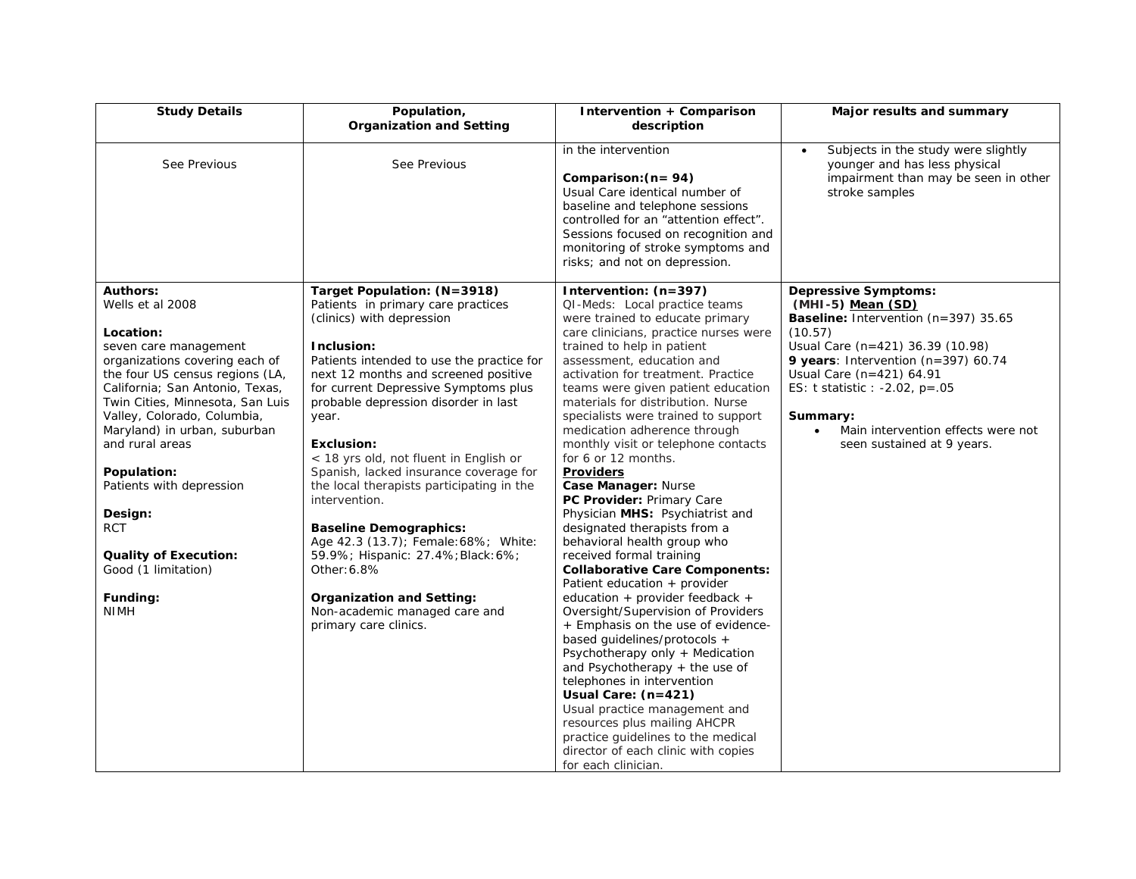| <b>Study Details</b>                                            | Population,<br><b>Organization and Setting</b>                                      | Intervention + Comparison<br>description                                                                                                                                                                                                                              | Major results and summary                                                                                                                   |
|-----------------------------------------------------------------|-------------------------------------------------------------------------------------|-----------------------------------------------------------------------------------------------------------------------------------------------------------------------------------------------------------------------------------------------------------------------|---------------------------------------------------------------------------------------------------------------------------------------------|
| See Previous                                                    | See Previous                                                                        | in the intervention<br>Comparison: (n= 94)<br>Usual Care identical number of<br>baseline and telephone sessions<br>controlled for an "attention effect".<br>Sessions focused on recognition and<br>monitoring of stroke symptoms and<br>risks; and not on depression. | Subjects in the study were slightly<br>$\bullet$<br>younger and has less physical<br>impairment than may be seen in other<br>stroke samples |
| <b>Authors:</b>                                                 | Target Population: (N=3918)                                                         | Intervention: (n=397)                                                                                                                                                                                                                                                 | <b>Depressive Symptoms:</b>                                                                                                                 |
| Wells et al 2008                                                | Patients in primary care practices<br>(clinics) with depression                     | QI-Meds: Local practice teams<br>were trained to educate primary                                                                                                                                                                                                      | (MHI-5) Mean (SD)<br>Baseline: Intervention (n=397) 35.65                                                                                   |
| Location:                                                       |                                                                                     | care clinicians, practice nurses were                                                                                                                                                                                                                                 | (10.57)                                                                                                                                     |
| seven care management<br>organizations covering each of         | Inclusion:<br>Patients intended to use the practice for                             | trained to help in patient<br>assessment, education and                                                                                                                                                                                                               | Usual Care (n=421) 36.39 (10.98)<br>9 years: Intervention ( $n=397$ ) 60.74                                                                 |
| the four US census regions (LA,                                 | next 12 months and screened positive                                                | activation for treatment. Practice                                                                                                                                                                                                                                    | Usual Care (n=421) 64.91                                                                                                                    |
| California; San Antonio, Texas,                                 | for current Depressive Symptoms plus                                                | teams were given patient education                                                                                                                                                                                                                                    | ES: t statistic : -2.02, $p = .05$                                                                                                          |
| Twin Cities, Minnesota, San Luis<br>Valley, Colorado, Columbia, | probable depression disorder in last                                                | materials for distribution. Nurse<br>specialists were trained to support                                                                                                                                                                                              | Summary:                                                                                                                                    |
| Maryland) in urban, suburban                                    | year.                                                                               | medication adherence through                                                                                                                                                                                                                                          | Main intervention effects were not<br>$\bullet$                                                                                             |
| and rural areas                                                 | <b>Exclusion:</b>                                                                   | monthly visit or telephone contacts                                                                                                                                                                                                                                   | seen sustained at 9 years.                                                                                                                  |
|                                                                 | < 18 yrs old, not fluent in English or                                              | for 6 or 12 months.                                                                                                                                                                                                                                                   |                                                                                                                                             |
| Population:<br>Patients with depression                         | Spanish, lacked insurance coverage for<br>the local therapists participating in the | <b>Providers</b><br>Case Manager: Nurse                                                                                                                                                                                                                               |                                                                                                                                             |
|                                                                 | intervention.                                                                       | PC Provider: Primary Care                                                                                                                                                                                                                                             |                                                                                                                                             |
| Design:                                                         |                                                                                     | Physician MHS: Psychiatrist and                                                                                                                                                                                                                                       |                                                                                                                                             |
| <b>RCT</b>                                                      | <b>Baseline Demographics:</b>                                                       | designated therapists from a                                                                                                                                                                                                                                          |                                                                                                                                             |
| <b>Quality of Execution:</b>                                    | Age 42.3 (13.7); Female: 68%; White:<br>59.9%; Hispanic: 27.4%; Black: 6%;          | behavioral health group who<br>received formal training                                                                                                                                                                                                               |                                                                                                                                             |
| Good (1 limitation)                                             | Other: 6.8%                                                                         | <b>Collaborative Care Components:</b>                                                                                                                                                                                                                                 |                                                                                                                                             |
|                                                                 |                                                                                     | Patient education + provider                                                                                                                                                                                                                                          |                                                                                                                                             |
| Funding:                                                        | <b>Organization and Setting:</b>                                                    | education + provider feedback +                                                                                                                                                                                                                                       |                                                                                                                                             |
| <b>NIMH</b>                                                     | Non-academic managed care and<br>primary care clinics.                              | Oversight/Supervision of Providers<br>+ Emphasis on the use of evidence-                                                                                                                                                                                              |                                                                                                                                             |
|                                                                 |                                                                                     | based guidelines/protocols +                                                                                                                                                                                                                                          |                                                                                                                                             |
|                                                                 |                                                                                     | Psychotherapy only + Medication                                                                                                                                                                                                                                       |                                                                                                                                             |
|                                                                 |                                                                                     | and Psychotherapy + the use of                                                                                                                                                                                                                                        |                                                                                                                                             |
|                                                                 |                                                                                     | telephones in intervention<br>Usual Care: (n=421)                                                                                                                                                                                                                     |                                                                                                                                             |
|                                                                 |                                                                                     | Usual practice management and                                                                                                                                                                                                                                         |                                                                                                                                             |
|                                                                 |                                                                                     | resources plus mailing AHCPR                                                                                                                                                                                                                                          |                                                                                                                                             |
|                                                                 |                                                                                     | practice guidelines to the medical                                                                                                                                                                                                                                    |                                                                                                                                             |
|                                                                 |                                                                                     | director of each clinic with copies<br>for each clinician.                                                                                                                                                                                                            |                                                                                                                                             |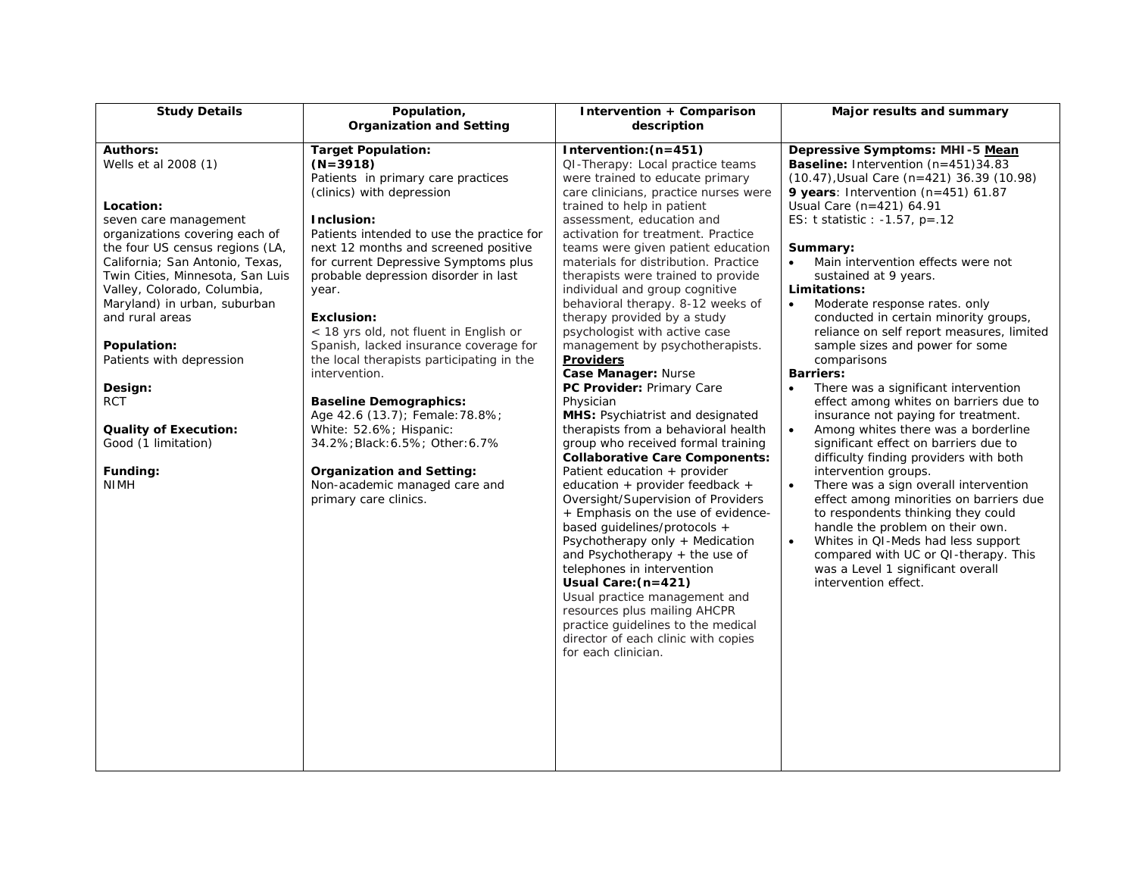| <b>Study Details</b>                                                                                                                                                                                                                                                                                                                                                                                                                                              | Population,<br><b>Organization and Setting</b>                                                                                                                                                                                                                                                                                                                                                                                                                                                                                                                                                                                                                                                                | Intervention + Comparison<br>description                                                                                                                                                                                                                                                                                                                                                                                                                                                                                                                                                                                                                                                                                                                                                                                                                                                                                                                                                                                                                                                                                                                                                                                                                                     | Major results and summary                                                                                                                                                                                                                                                                                                                                                                                                                                                                                                                                                                                                                                                                                                                                                                                                                                                                                                                                                                                                                                                                                                                                    |
|-------------------------------------------------------------------------------------------------------------------------------------------------------------------------------------------------------------------------------------------------------------------------------------------------------------------------------------------------------------------------------------------------------------------------------------------------------------------|---------------------------------------------------------------------------------------------------------------------------------------------------------------------------------------------------------------------------------------------------------------------------------------------------------------------------------------------------------------------------------------------------------------------------------------------------------------------------------------------------------------------------------------------------------------------------------------------------------------------------------------------------------------------------------------------------------------|------------------------------------------------------------------------------------------------------------------------------------------------------------------------------------------------------------------------------------------------------------------------------------------------------------------------------------------------------------------------------------------------------------------------------------------------------------------------------------------------------------------------------------------------------------------------------------------------------------------------------------------------------------------------------------------------------------------------------------------------------------------------------------------------------------------------------------------------------------------------------------------------------------------------------------------------------------------------------------------------------------------------------------------------------------------------------------------------------------------------------------------------------------------------------------------------------------------------------------------------------------------------------|--------------------------------------------------------------------------------------------------------------------------------------------------------------------------------------------------------------------------------------------------------------------------------------------------------------------------------------------------------------------------------------------------------------------------------------------------------------------------------------------------------------------------------------------------------------------------------------------------------------------------------------------------------------------------------------------------------------------------------------------------------------------------------------------------------------------------------------------------------------------------------------------------------------------------------------------------------------------------------------------------------------------------------------------------------------------------------------------------------------------------------------------------------------|
|                                                                                                                                                                                                                                                                                                                                                                                                                                                                   |                                                                                                                                                                                                                                                                                                                                                                                                                                                                                                                                                                                                                                                                                                               |                                                                                                                                                                                                                                                                                                                                                                                                                                                                                                                                                                                                                                                                                                                                                                                                                                                                                                                                                                                                                                                                                                                                                                                                                                                                              |                                                                                                                                                                                                                                                                                                                                                                                                                                                                                                                                                                                                                                                                                                                                                                                                                                                                                                                                                                                                                                                                                                                                                              |
| <b>Authors:</b><br>Wells et al 2008 (1)<br>Location:<br>seven care management<br>organizations covering each of<br>the four US census regions (LA,<br>California; San Antonio, Texas,<br>Twin Cities, Minnesota, San Luis<br>Valley, Colorado, Columbia,<br>Maryland) in urban, suburban<br>and rural areas<br>Population:<br>Patients with depression<br>Design:<br><b>RCT</b><br><b>Quality of Execution:</b><br>Good (1 limitation)<br>Funding:<br><b>NIMH</b> | <b>Target Population:</b><br>$(N=3918)$<br>Patients in primary care practices<br>(clinics) with depression<br>Inclusion:<br>Patients intended to use the practice for<br>next 12 months and screened positive<br>for current Depressive Symptoms plus<br>probable depression disorder in last<br>year.<br><b>Exclusion:</b><br>< 18 yrs old, not fluent in English or<br>Spanish, lacked insurance coverage for<br>the local therapists participating in the<br>intervention.<br><b>Baseline Demographics:</b><br>Age 42.6 (13.7); Female: 78.8%;<br>White: 52.6%; Hispanic:<br>34.2%; Black: 6.5%; Other: 6.7%<br><b>Organization and Setting:</b><br>Non-academic managed care and<br>primary care clinics. | Intervention: (n=451)<br>QI-Therapy: Local practice teams<br>were trained to educate primary<br>care clinicians, practice nurses were<br>trained to help in patient<br>assessment, education and<br>activation for treatment. Practice<br>teams were given patient education<br>materials for distribution. Practice<br>therapists were trained to provide<br>individual and group cognitive<br>behavioral therapy. 8-12 weeks of<br>therapy provided by a study<br>psychologist with active case<br>management by psychotherapists.<br><b>Providers</b><br>Case Manager: Nurse<br>PC Provider: Primary Care<br>Physician<br><b>MHS:</b> Psychiatrist and designated<br>therapists from a behavioral health<br>group who received formal training<br><b>Collaborative Care Components:</b><br>Patient education $+$ provider<br>education + provider feedback +<br>Oversight/Supervision of Providers<br>+ Emphasis on the use of evidence-<br>based guidelines/protocols +<br>Psychotherapy only + Medication<br>and Psychotherapy $+$ the use of<br>telephones in intervention<br>Usual Care: (n=421)<br>Usual practice management and<br>resources plus mailing AHCPR<br>practice guidelines to the medical<br>director of each clinic with copies<br>for each clinician. | Depressive Symptoms: MHI-5 Mean<br>Baseline: Intervention (n=451)34.83<br>(10.47), Usual Care (n=421) 36.39 (10.98)<br>9 years: Intervention (n=451) $61.87$<br>Usual Care (n=421) 64.91<br>ES: t statistic : -1.57, $p=.12$<br>Summary:<br>Main intervention effects were not<br>sustained at 9 years.<br>Limitations:<br>Moderate response rates. only<br>$\bullet$<br>conducted in certain minority groups,<br>reliance on self report measures, limited<br>sample sizes and power for some<br>comparisons<br><b>Barriers:</b><br>There was a significant intervention<br>effect among whites on barriers due to<br>insurance not paying for treatment.<br>Among whites there was a borderline<br>$\bullet$<br>significant effect on barriers due to<br>difficulty finding providers with both<br>intervention groups.<br>There was a sign overall intervention<br>$\bullet$<br>effect among minorities on barriers due<br>to respondents thinking they could<br>handle the problem on their own.<br>Whites in QI-Meds had less support<br>$\bullet$<br>compared with UC or QI-therapy. This<br>was a Level 1 significant overall<br>intervention effect. |